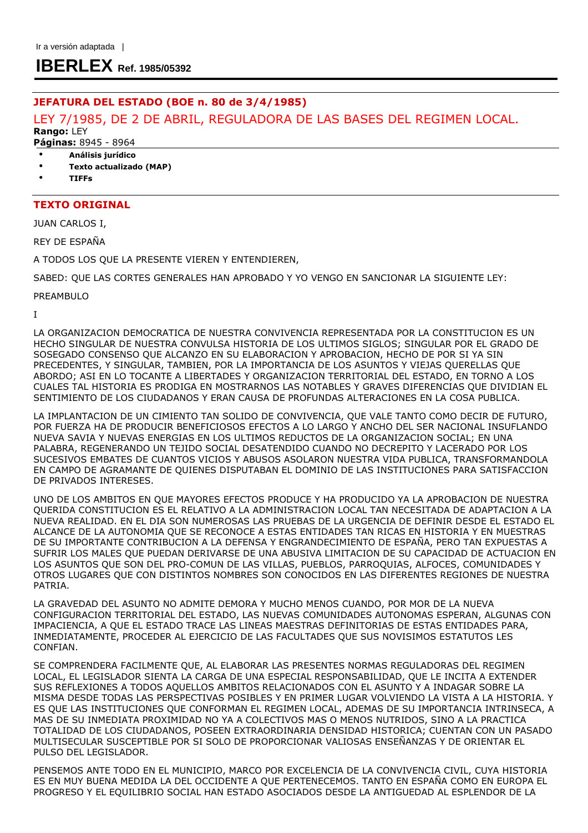# **IBERLEX Ref. 1985/05392**

# JEFATURA DEL ESTADO (BOE n. 80 de 3/4/1985)

# LEY 7/1985, DE 2 DE ABRIL, REGULADORA DE LAS BASES DEL REGIMEN LOCAL. Rango: LEY

Páginas: 8945 - 8964

- Análisis jurídico
- Texto actualizado (MAP)
- TIFFs

# TEXTO ORIGINAL

JUAN CARLOS I,

REY DE ESPAÑA

A TODOS LOS QUE LA PRESENTE VIEREN Y ENTENDIEREN,

SABED: QUE LAS CORTES GENERALES HAN APROBADO Y YO VENGO EN SANCIONAR LA SIGUIENTE LEY:

PREAMBULO

I

LA ORGANIZACION DEMOCRATICA DE NUESTRA CONVIVENCIA REPRESENTADA POR LA CONSTITUCION ES UN HECHO SINGULAR DE NUESTRA CONVULSA HISTORIA DE LOS ULTIMOS SIGLOS; SINGULAR POR EL GRADO DE SOSEGADO CONSENSO QUE ALCANZO EN SU ELABORACION Y APROBACION, HECHO DE POR SI YA SIN PRECEDENTES, Y SINGULAR, TAMBIEN, POR LA IMPORTANCIA DE LOS ASUNTOS Y VIEJAS QUERELLAS QUE ABORDO; ASI EN LO TOCANTE A LIBERTADES Y ORGANIZACION TERRITORIAL DEL ESTADO, EN TORNO A LOS CUALES TAL HISTORIA ES PRODIGA EN MOSTRARNOS LAS NOTABLES Y GRAVES DIFERENCIAS QUE DIVIDIAN EL SENTIMIENTO DE LOS CIUDADANOS Y ERAN CAUSA DE PROFUNDAS ALTERACIONES EN LA COSA PUBLICA.

LA IMPLANTACION DE UN CIMIENTO TAN SOLIDO DE CONVIVENCIA, QUE VALE TANTO COMO DECIR DE FUTURO, POR FUERZA HA DE PRODUCIR BENEFICIOSOS EFECTOS A LO LARGO Y ANCHO DEL SER NACIONAL INSUFLANDO NUEVA SAVIA Y NUEVAS ENERGIAS EN LOS ULTIMOS REDUCTOS DE LA ORGANIZACION SOCIAL; EN UNA PALABRA, REGENERANDO UN TEJIDO SOCIAL DESATENDIDO CUANDO NO DECREPITO Y LACERADO POR LOS SUCESIVOS EMBATES DE CUANTOS VICIOS Y ABUSOS ASOLARON NUESTRA VIDA PUBLICA, TRANSFORMANDOLA EN CAMPO DE AGRAMANTE DE QUIENES DISPUTABAN EL DOMINIO DE LAS INSTITUCIONES PARA SATISFACCION DE PRIVADOS INTERESES.

UNO DE LOS AMBITOS EN QUE MAYORES EFECTOS PRODUCE Y HA PRODUCIDO YA LA APROBACION DE NUESTRA QUERIDA CONSTITUCION ES EL RELATIVO A LA ADMINISTRACION LOCAL TAN NECESITADA DE ADAPTACION A LA NUEVA REALIDAD. EN EL DIA SON NUMEROSAS LAS PRUEBAS DE LA URGENCIA DE DEFINIR DESDE EL ESTADO EL ALCANCE DE LA AUTONOMIA QUE SE RECONOCE A ESTAS ENTIDADES TAN RICAS EN HISTORIA Y EN MUESTRAS DE SU IMPORTANTE CONTRIBUCION A LA DEFENSA Y ENGRANDECIMIENTO DE ESPAÑA, PERO TAN EXPUESTAS A SUFRIR LOS MALES QUE PUEDAN DERIVARSE DE UNA ABUSIVA LIMITACION DE SU CAPACIDAD DE ACTUACION EN LOS ASUNTOS QUE SON DEL PRO-COMUN DE LAS VILLAS, PUEBLOS, PARROQUIAS, ALFOCES, COMUNIDADES Y OTROS LUGARES QUE CON DISTINTOS NOMBRES SON CONOCIDOS EN LAS DIFERENTES REGIONES DE NUESTRA PATRIA.

LA GRAVEDAD DEL ASUNTO NO ADMITE DEMORA Y MUCHO MENOS CUANDO, POR MOR DE LA NUEVA CONFIGURACION TERRITORIAL DEL ESTADO, LAS NUEVAS COMUNIDADES AUTONOMAS ESPERAN, ALGUNAS CON IMPACIENCIA, A QUE EL ESTADO TRACE LAS LINEAS MAESTRAS DEFINITORIAS DE ESTAS ENTIDADES PARA, INMEDIATAMENTE, PROCEDER AL EJERCICIO DE LAS FACULTADES QUE SUS NOVISIMOS ESTATUTOS LES CONFIAN.

SE COMPRENDERA FACILMENTE QUE, AL ELABORAR LAS PRESENTES NORMAS REGULADORAS DEL REGIMEN LOCAL, EL LEGISLADOR SIENTA LA CARGA DE UNA ESPECIAL RESPONSABILIDAD, QUE LE INCITA A EXTENDER SUS REFLEXIONES A TODOS AQUELLOS AMBITOS RELACIONADOS CON EL ASUNTO Y A INDAGAR SOBRE LA MISMA DESDE TODAS LAS PERSPECTIVAS POSIBLES Y EN PRIMER LUGAR VOLVIENDO LA VISTA A LA HISTORIA. Y ES QUE LAS INSTITUCIONES QUE CONFORMAN EL REGIMEN LOCAL, ADEMAS DE SU IMPORTANCIA INTRINSECA, A MAS DE SU INMEDIATA PROXIMIDAD NO YA A COLECTIVOS MAS O MENOS NUTRIDOS, SINO A LA PRACTICA TOTALIDAD DE LOS CIUDADANOS, POSEEN EXTRAORDINARIA DENSIDAD HISTORICA; CUENTAN CON UN PASADO MULTISECULAR SUSCEPTIBLE POR SI SOLO DE PROPORCIONAR VALIOSAS ENSEÑANZAS Y DE ORIENTAR EL PULSO DEL LEGISLADOR.

PENSEMOS ANTE TODO EN EL MUNICIPIO, MARCO POR EXCELENCIA DE LA CONVIVENCIA CIVIL, CUYA HISTORIA ES EN MUY BUENA MEDIDA LA DEL OCCIDENTE A QUE PERTENECEMOS. TANTO EN ESPAÑA COMO EN EUROPA EL PROGRESO Y EL EQUILIBRIO SOCIAL HAN ESTADO ASOCIADOS DESDE LA ANTIGUEDAD AL ESPLENDOR DE LA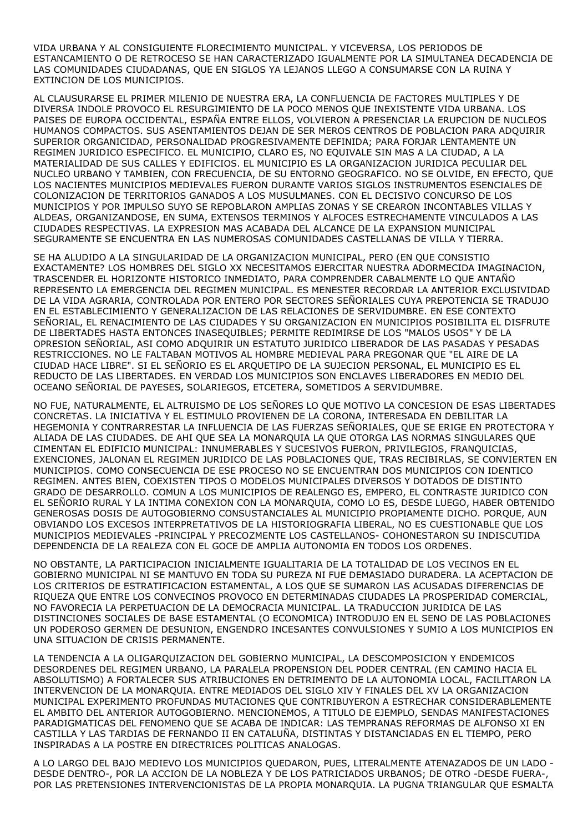VIDA URBANA Y AL CONSIGUIENTE FLORECIMIENTO MUNICIPAL. Y VICEVERSA, LOS PERIODOS DE ESTANCAMIENTO O DE RETROCESO SE HAN CARACTERIZADO IGUALMENTE POR LA SIMULTANEA DECADENCIA DE LAS COMUNIDADES CIUDADANAS, QUE EN SIGLOS YA LEJANOS LLEGO A CONSUMARSE CON LA RUINA Y EXTINCION DE LOS MUNICIPIOS.

AL CLAUSURARSE EL PRIMER MILENIO DE NUESTRA ERA, LA CONFLUENCIA DE FACTORES MULTIPLES Y DE DIVERSA INDOLE PROVOCO EL RESURGIMIENTO DE LA POCO MENOS QUE INEXISTENTE VIDA URBANA. LOS PAISES DE EUROPA OCCIDENTAL, ESPAÑA ENTRE ELLOS, VOLVIERON A PRESENCIAR LA ERUPCION DE NUCLEOS HUMANOS COMPACTOS. SUS ASENTAMIENTOS DEJAN DE SER MEROS CENTROS DE POBLACION PARA ADQUIRIR SUPERIOR ORGANICIDAD, PERSONALIDAD PROGRESIVAMENTE DEFINIDA; PARA FORJAR LENTAMENTE UN REGIMEN JURIDICO ESPECIFICO. EL MUNICIPIO, CLARO ES, NO EQUIVALE SIN MAS A LA CIUDAD, A LA MATERIALIDAD DE SUS CALLES Y EDIFICIOS. EL MUNICIPIO ES LA ORGANIZACION JURIDICA PECULIAR DEL NUCLEO URBANO Y TAMBIEN, CON FRECUENCIA, DE SU ENTORNO GEOGRAFICO. NO SE OLVIDE, EN EFECTO, QUE LOS NACIENTES MUNICIPIOS MEDIEVALES FUERON DURANTE VARIOS SIGLOS INSTRUMENTOS ESENCIALES DE COLONIZACION DE TERRITORIOS GANADOS A LOS MUSULMANES. CON EL DECISIVO CONCURSO DE LOS MUNICIPIOS Y POR IMPULSO SUYO SE REPOBLARON AMPLIAS ZONAS Y SE CREARON INCONTABLES VILLAS Y ALDEAS, ORGANIZANDOSE, EN SUMA, EXTENSOS TERMINOS Y ALFOCES ESTRECHAMENTE VINCULADOS A LAS CIUDADES RESPECTIVAS. LA EXPRESION MAS ACABADA DEL ALCANCE DE LA EXPANSION MUNICIPAL SEGURAMENTE SE ENCUENTRA EN LAS NUMEROSAS COMUNIDADES CASTELLANAS DE VILLA Y TIERRA.

SE HA ALUDIDO A LA SINGULARIDAD DE LA ORGANIZACION MUNICIPAL, PERO (EN QUE CONSISTIO EXACTAMENTE? LOS HOMBRES DEL SIGLO XX NECESITAMOS EJERCITAR NUESTRA ADORMECIDA IMAGINACION, TRASCENDER EL HORIZONTE HISTORICO INMEDIATO, PARA COMPRENDER CABALMENTE LO QUE ANTAÑO REPRESENTO LA EMERGENCIA DEL REGIMEN MUNICIPAL. ES MENESTER RECORDAR LA ANTERIOR EXCLUSIVIDAD DE LA VIDA AGRARIA, CONTROLADA POR ENTERO POR SECTORES SEÑORIALES CUYA PREPOTENCIA SE TRADUJO EN EL ESTABLECIMIENTO Y GENERALIZACION DE LAS RELACIONES DE SERVIDUMBRE. EN ESE CONTEXTO SEÑORIAL, EL RENACIMIENTO DE LAS CIUDADES Y SU ORGANIZACION EN MUNICIPIOS POSIBILITA EL DISFRUTE DE LIBERTADES HASTA ENTONCES INASEQUIBLES; PERMITE REDIMIRSE DE LOS "MALOS USOS" Y DE LA OPRESION SEÑORIAL, ASI COMO ADQUIRIR UN ESTATUTO JURIDICO LIBERADOR DE LAS PASADAS Y PESADAS RESTRICCIONES. NO LE FALTABAN MOTIVOS AL HOMBRE MEDIEVAL PARA PREGONAR QUE "EL AIRE DE LA CIUDAD HACE LIBRE". SI EL SEÑORIO ES EL ARQUETIPO DE LA SUJECION PERSONAL, EL MUNICIPIO ES EL REDUCTO DE LAS LIBERTADES. EN VERDAD LOS MUNICIPIOS SON ENCLAVES LIBERADORES EN MEDIO DEL OCEANO SEÑORIAL DE PAYESES, SOLARIEGOS, ETCETERA, SOMETIDOS A SERVIDUMBRE.

NO FUE, NATURALMENTE, EL ALTRUISMO DE LOS SEÑORES LO QUE MOTIVO LA CONCESION DE ESAS LIBERTADES CONCRETAS. LA INICIATIVA Y EL ESTIMULO PROVIENEN DE LA CORONA, INTERESADA EN DEBILITAR LA HEGEMONIA Y CONTRARRESTAR LA INFLUENCIA DE LAS FUERZAS SEÑORIALES, QUE SE ERIGE EN PROTECTORA Y ALIADA DE LAS CIUDADES. DE AHI QUE SEA LA MONARQUIA LA QUE OTORGA LAS NORMAS SINGULARES QUE CIMENTAN EL EDIFICIO MUNICIPAL: INNUMERABLES Y SUCESIVOS FUERON, PRIVILEGIOS, FRANQUICIAS, EXENCIONES, JALONAN EL REGIMEN JURIDICO DE LAS POBLACIONES QUE, TRAS RECIBIRLAS, SE CONVIERTEN EN MUNICIPIOS. COMO CONSECUENCIA DE ESE PROCESO NO SE ENCUENTRAN DOS MUNICIPIOS CON IDENTICO REGIMEN. ANTES BIEN, COEXISTEN TIPOS O MODELOS MUNICIPALES DIVERSOS Y DOTADOS DE DISTINTO GRADO DE DESARROLLO. COMUN A LOS MUNICIPIOS DE REALENGO ES, EMPERO, EL CONTRASTE JURIDICO CON EL SEÑORIO RURAL Y LA INTIMA CONEXION CON LA MONARQUIA, COMO LO ES, DESDE LUEGO, HABER OBTENIDO GENEROSAS DOSIS DE AUTOGOBIERNO CONSUSTANCIALES AL MUNICIPIO PROPIAMENTE DICHO. PORQUE, AUN OBVIANDO LOS EXCESOS INTERPRETATIVOS DE LA HISTORIOGRAFIA LIBERAL, NO ES CUESTIONABLE QUE LOS MUNICIPIOS MEDIEVALES -PRINCIPAL Y PRECOZMENTE LOS CASTELLANOS- COHONESTARON SU INDISCUTIDA DEPENDENCIA DE LA REALEZA CON EL GOCE DE AMPLIA AUTONOMIA EN TODOS LOS ORDENES.

NO OBSTANTE, LA PARTICIPACION INICIALMENTE IGUALITARIA DE LA TOTALIDAD DE LOS VECINOS EN EL GOBIERNO MUNICIPAL NI SE MANTUVO EN TODA SU PUREZA NI FUE DEMASIADO DURADERA. LA ACEPTACION DE LOS CRITERIOS DE ESTRATIFICACION ESTAMENTAL, A LOS QUE SE SUMARON LAS ACUSADAS DIFERENCIAS DE RIQUEZA QUE ENTRE LOS CONVECINOS PROVOCO EN DETERMINADAS CIUDADES LA PROSPERIDAD COMERCIAL, NO FAVORECIA LA PERPETUACION DE LA DEMOCRACIA MUNICIPAL. LA TRADUCCION JURIDICA DE LAS DISTINCIONES SOCIALES DE BASE ESTAMENTAL (O ECONOMICA) INTRODUJO EN EL SENO DE LAS POBLACIONES UN PODEROSO GERMEN DE DESUNION, ENGENDRO INCESANTES CONVULSIONES Y SUMIO A LOS MUNICIPIOS EN UNA SITUACION DE CRISIS PERMANENTE.

LA TENDENCIA A LA OLIGARQUIZACION DEL GOBIERNO MUNICIPAL, LA DESCOMPOSICION Y ENDEMICOS DESORDENES DEL REGIMEN URBANO, LA PARALELA PROPENSION DEL PODER CENTRAL (EN CAMINO HACIA EL ABSOLUTISMO) A FORTALECER SUS ATRIBUCIONES EN DETRIMENTO DE LA AUTONOMIA LOCAL, FACILITARON LA INTERVENCION DE LA MONARQUIA. ENTRE MEDIADOS DEL SIGLO XIV Y FINALES DEL XV LA ORGANIZACION MUNICIPAL EXPERIMENTO PROFUNDAS MUTACIONES QUE CONTRIBUYERON A ESTRECHAR CONSIDERABLEMENTE EL AMBITO DEL ANTERIOR AUTOGOBIERNO. MENCIONEMOS, A TITULO DE EJEMPLO, SENDAS MANIFESTACIONES PARADIGMATICAS DEL FENOMENO QUE SE ACABA DE INDICAR: LAS TEMPRANAS REFORMAS DE ALFONSO XI EN CASTILLA Y LAS TARDIAS DE FERNANDO II EN CATALUÑA, DISTINTAS Y DISTANCIADAS EN EL TIEMPO, PERO INSPIRADAS A LA POSTRE EN DIRECTRICES POLITICAS ANALOGAS.

A LO LARGO DEL BAJO MEDIEVO LOS MUNICIPIOS QUEDARON, PUES, LITERALMENTE ATENAZADOS DE UN LADO - DESDE DENTRO-, POR LA ACCION DE LA NOBLEZA Y DE LOS PATRICIADOS URBANOS; DE OTRO -DESDE FUERA-, POR LAS PRETENSIONES INTERVENCIONISTAS DE LA PROPIA MONARQUIA. LA PUGNA TRIANGULAR QUE ESMALTA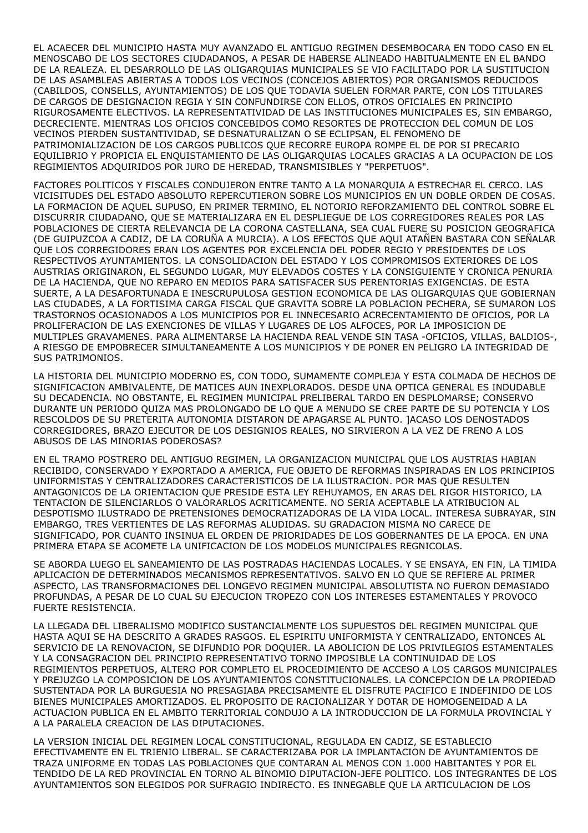EL ACAECER DEL MUNICIPIO HASTA MUY AVANZADO EL ANTIGUO REGIMEN DESEMBOCARA EN TODO CASO EN EL MENOSCABO DE LOS SECTORES CIUDADANOS, A PESAR DE HABERSE ALINEADO HABITUALMENTE EN EL BANDO DE LA REALEZA. EL DESARROLLO DE LAS OLIGARQUIAS MUNICIPALES SE VIO FACILITADO POR LA SUSTITUCION DE LAS ASAMBLEAS ABIERTAS A TODOS LOS VECINOS (CONCEJOS ABIERTOS) POR ORGANISMOS REDUCIDOS (CABILDOS, CONSELLS, AYUNTAMIENTOS) DE LOS QUE TODAVIA SUELEN FORMAR PARTE, CON LOS TITULARES DE CARGOS DE DESIGNACION REGIA Y SIN CONFUNDIRSE CON ELLOS, OTROS OFICIALES EN PRINCIPIO RIGUROSAMENTE ELECTIVOS. LA REPRESENTATIVIDAD DE LAS INSTITUCIONES MUNICIPALES ES, SIN EMBARGO, DECRECIENTE. MIENTRAS LOS OFICIOS CONCEBIDOS COMO RESORTES DE PROTECCION DEL COMUN DE LOS VECINOS PIERDEN SUSTANTIVIDAD, SE DESNATURALIZAN O SE ECLIPSAN, EL FENOMENO DE PATRIMONIALIZACION DE LOS CARGOS PUBLICOS QUE RECORRE EUROPA ROMPE EL DE POR SI PRECARIO EQUILIBRIO Y PROPICIA EL ENQUISTAMIENTO DE LAS OLIGARQUIAS LOCALES GRACIAS A LA OCUPACION DE LOS REGIMIENTOS ADQUIRIDOS POR JURO DE HEREDAD, TRANSMISIBLES Y "PERPETUOS".

FACTORES POLITICOS Y FISCALES CONDUJERON ENTRE TANTO A LA MONARQUIA A ESTRECHAR EL CERCO. LAS VICISITUDES DEL ESTADO ABSOLUTO REPERCUTIERON SOBRE LOS MUNICIPIOS EN UN DOBLE ORDEN DE COSAS. LA FORMACION DE AQUEL SUPUSO, EN PRIMER TERMINO, EL NOTORIO REFORZAMIENTO DEL CONTROL SOBRE EL DISCURRIR CIUDADANO, QUE SE MATERIALIZARA EN EL DESPLIEGUE DE LOS CORREGIDORES REALES POR LAS POBLACIONES DE CIERTA RELEVANCIA DE LA CORONA CASTELLANA, SEA CUAL FUERE SU POSICION GEOGRAFICA (DE GUIPUZCOA A CADIZ, DE LA CORUÑA A MURCIA). A LOS EFECTOS QUE AQUI ATAÑEN BASTARA CON SEÑALAR QUE LOS CORREGIDORES ERAN LOS AGENTES POR EXCELENCIA DEL PODER REGIO Y PRESIDENTES DE LOS RESPECTIVOS AYUNTAMIENTOS. LA CONSOLIDACION DEL ESTADO Y LOS COMPROMISOS EXTERIORES DE LOS AUSTRIAS ORIGINARON, EL SEGUNDO LUGAR, MUY ELEVADOS COSTES Y LA CONSIGUIENTE Y CRONICA PENURIA DE LA HACIENDA, QUE NO REPARO EN MEDIOS PARA SATISFACER SUS PERENTORIAS EXIGENCIAS. DE ESTA SUERTE, A LA DESAFORTUNADA E INESCRUPULOSA GESTION ECONOMICA DE LAS OLIGARQUIAS QUE GOBIERNAN LAS CIUDADES, A LA FORTISIMA CARGA FISCAL QUE GRAVITA SOBRE LA POBLACION PECHERA, SE SUMARON LOS TRASTORNOS OCASIONADOS A LOS MUNICIPIOS POR EL INNECESARIO ACRECENTAMIENTO DE OFICIOS, POR LA PROLIFERACION DE LAS EXENCIONES DE VILLAS Y LUGARES DE LOS ALFOCES, POR LA IMPOSICION DE MULTIPLES GRAVAMENES. PARA ALIMENTARSE LA HACIENDA REAL VENDE SIN TASA -OFICIOS, VILLAS, BALDIOS-, A RIESGO DE EMPOBRECER SIMULTANEAMENTE A LOS MUNICIPIOS Y DE PONER EN PELIGRO LA INTEGRIDAD DE SUS PATRIMONIOS.

LA HISTORIA DEL MUNICIPIO MODERNO ES, CON TODO, SUMAMENTE COMPLEJA Y ESTA COLMADA DE HECHOS DE SIGNIFICACION AMBIVALENTE, DE MATICES AUN INEXPLORADOS. DESDE UNA OPTICA GENERAL ES INDUDABLE SU DECADENCIA. NO OBSTANTE, EL REGIMEN MUNICIPAL PRELIBERAL TARDO EN DESPLOMARSE; CONSERVO DURANTE UN PERIODO QUIZA MAS PROLONGADO DE LO QUE A MENUDO SE CREE PARTE DE SU POTENCIA Y LOS RESCOLDOS DE SU PRETERITA AUTONOMIA DISTARON DE APAGARSE AL PUNTO. ]ACASO LOS DENOSTADOS CORREGIDORES, BRAZO EJECUTOR DE LOS DESIGNIOS REALES, NO SIRVIERON A LA VEZ DE FRENO A LOS ABUSOS DE LAS MINORIAS PODEROSAS?

EN EL TRAMO POSTRERO DEL ANTIGUO REGIMEN, LA ORGANIZACION MUNICIPAL QUE LOS AUSTRIAS HABIAN RECIBIDO, CONSERVADO Y EXPORTADO A AMERICA, FUE OBJETO DE REFORMAS INSPIRADAS EN LOS PRINCIPIOS UNIFORMISTAS Y CENTRALIZADORES CARACTERISTICOS DE LA ILUSTRACION. POR MAS QUE RESULTEN ANTAGONICOS DE LA ORIENTACION QUE PRESIDE ESTA LEY REHUYAMOS, EN ARAS DEL RIGOR HISTORICO, LA TENTACION DE SILENCIARLOS O VALORARLOS ACRITICAMENTE. NO SERIA ACEPTABLE LA ATRIBUCION AL DESPOTISMO ILUSTRADO DE PRETENSIONES DEMOCRATIZADORAS DE LA VIDA LOCAL. INTERESA SUBRAYAR, SIN EMBARGO, TRES VERTIENTES DE LAS REFORMAS ALUDIDAS. SU GRADACION MISMA NO CARECE DE SIGNIFICADO, POR CUANTO INSINUA EL ORDEN DE PRIORIDADES DE LOS GOBERNANTES DE LA EPOCA. EN UNA PRIMERA ETAPA SE ACOMETE LA UNIFICACION DE LOS MODELOS MUNICIPALES REGNICOLAS.

SE ABORDA LUEGO EL SANEAMIENTO DE LAS POSTRADAS HACIENDAS LOCALES. Y SE ENSAYA, EN FIN, LA TIMIDA APLICACION DE DETERMINADOS MECANISMOS REPRESENTATIVOS. SALVO EN LO QUE SE REFIERE AL PRIMER ASPECTO, LAS TRANSFORMACIONES DEL LONGEVO REGIMEN MUNICIPAL ABSOLUTISTA NO FUERON DEMASIADO PROFUNDAS, A PESAR DE LO CUAL SU EJECUCION TROPEZO CON LOS INTERESES ESTAMENTALES Y PROVOCO FUERTE RESISTENCIA.

LA LLEGADA DEL LIBERALISMO MODIFICO SUSTANCIALMENTE LOS SUPUESTOS DEL REGIMEN MUNICIPAL QUE HASTA AQUI SE HA DESCRITO A GRADES RASGOS. EL ESPIRITU UNIFORMISTA Y CENTRALIZADO, ENTONCES AL SERVICIO DE LA RENOVACION, SE DIFUNDIO POR DOQUIER. LA ABOLICION DE LOS PRIVILEGIOS ESTAMENTALES Y LA CONSAGRACION DEL PRINCIPIO REPRESENTATIVO TORNO IMPOSIBLE LA CONTINUIDAD DE LOS REGIMIENTOS PERPETUOS, ALTERO POR COMPLETO EL PROCEDIMIENTO DE ACCESO A LOS CARGOS MUNICIPALES Y PREJUZGO LA COMPOSICION DE LOS AYUNTAMIENTOS CONSTITUCIONALES. LA CONCEPCION DE LA PROPIEDAD SUSTENTADA POR LA BURGUESIA NO PRESAGIABA PRECISAMENTE EL DISFRUTE PACIFICO E INDEFINIDO DE LOS BIENES MUNICIPALES AMORTIZADOS. EL PROPOSITO DE RACIONALIZAR Y DOTAR DE HOMOGENEIDAD A LA ACTUACION PUBLICA EN EL AMBITO TERRITORIAL CONDUJO A LA INTRODUCCION DE LA FORMULA PROVINCIAL Y A LA PARALELA CREACION DE LAS DIPUTACIONES.

LA VERSION INICIAL DEL REGIMEN LOCAL CONSTITUCIONAL, REGULADA EN CADIZ, SE ESTABLECIO EFECTIVAMENTE EN EL TRIENIO LIBERAL. SE CARACTERIZABA POR LA IMPLANTACION DE AYUNTAMIENTOS DE TRAZA UNIFORME EN TODAS LAS POBLACIONES QUE CONTARAN AL MENOS CON 1.000 HABITANTES Y POR EL TENDIDO DE LA RED PROVINCIAL EN TORNO AL BINOMIO DIPUTACION-JEFE POLITICO. LOS INTEGRANTES DE LOS AYUNTAMIENTOS SON ELEGIDOS POR SUFRAGIO INDIRECTO. ES INNEGABLE QUE LA ARTICULACION DE LOS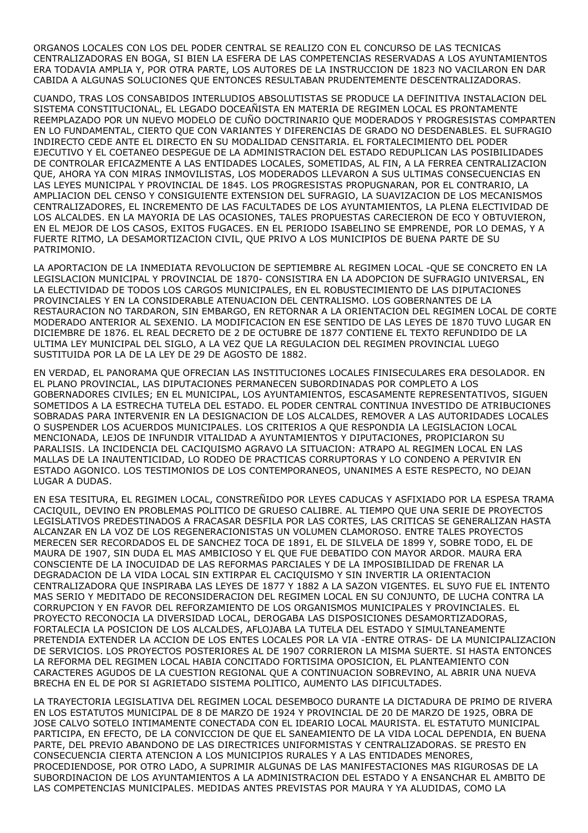ORGANOS LOCALES CON LOS DEL PODER CENTRAL SE REALIZO CON EL CONCURSO DE LAS TECNICAS CENTRALIZADORAS EN BOGA, SI BIEN LA ESFERA DE LAS COMPETENCIAS RESERVADAS A LOS AYUNTAMIENTOS ERA TODAVIA AMPLIA Y, POR OTRA PARTE, LOS AUTORES DE LA INSTRUCCION DE 1823 NO VACILARON EN DAR CABIDA A ALGUNAS SOLUCIONES QUE ENTONCES RESULTABAN PRUDENTEMENTE DESCENTRALIZADORAS.

CUANDO, TRAS LOS CONSABIDOS INTERLUDIOS ABSOLUTISTAS SE PRODUCE LA DEFINITIVA INSTALACION DEL SISTEMA CONSTITUCIONAL, EL LEGADO DOCEAÑISTA EN MATERIA DE REGIMEN LOCAL ES PRONTAMENTE REEMPLAZADO POR UN NUEVO MODELO DE CUÑO DOCTRINARIO QUE MODERADOS Y PROGRESISTAS COMPARTEN EN LO FUNDAMENTAL, CIERTO QUE CON VARIANTES Y DIFERENCIAS DE GRADO NO DESDENABLES. EL SUFRAGIO INDIRECTO CEDE ANTE EL DIRECTO EN SU MODALIDAD CENSITARIA. EL FORTALECIMIENTO DEL PODER EJECUTIVO Y EL COETANEO DESPEGUE DE LA ADMINISTRACION DEL ESTADO REDUPLICAN LAS POSIBILIDADES DE CONTROLAR EFICAZMENTE A LAS ENTIDADES LOCALES, SOMETIDAS, AL FIN, A LA FERREA CENTRALIZACION QUE, AHORA YA CON MIRAS INMOVILISTAS, LOS MODERADOS LLEVARON A SUS ULTIMAS CONSECUENCIAS EN LAS LEYES MUNICIPAL Y PROVINCIAL DE 1845. LOS PROGRESISTAS PROPUGNARAN, POR EL CONTRARIO, LA AMPLIACION DEL CENSO Y CONSIGUIENTE EXTENSION DEL SUFRAGIO, LA SUAVIZACION DE LOS MECANISMOS CENTRALIZADORES, EL INCREMENTO DE LAS FACULTADES DE LOS AYUNTAMIENTOS, LA PLENA ELECTIVIDAD DE LOS ALCALDES. EN LA MAYORIA DE LAS OCASIONES, TALES PROPUESTAS CARECIERON DE ECO Y OBTUVIERON, EN EL MEJOR DE LOS CASOS, EXITOS FUGACES. EN EL PERIODO ISABELINO SE EMPRENDE, POR LO DEMAS, Y A FUERTE RITMO, LA DESAMORTIZACION CIVIL, QUE PRIVO A LOS MUNICIPIOS DE BUENA PARTE DE SU PATRIMONIO.

LA APORTACION DE LA INMEDIATA REVOLUCION DE SEPTIEMBRE AL REGIMEN LOCAL -QUE SE CONCRETO EN LA LEGISLACION MUNICIPAL Y PROVINCIAL DE 1870- CONSISTIRA EN LA ADOPCION DE SUFRAGIO UNIVERSAL, EN LA ELECTIVIDAD DE TODOS LOS CARGOS MUNICIPALES, EN EL ROBUSTECIMIENTO DE LAS DIPUTACIONES PROVINCIALES Y EN LA CONSIDERABLE ATENUACION DEL CENTRALISMO. LOS GOBERNANTES DE LA RESTAURACION NO TARDARON, SIN EMBARGO, EN RETORNAR A LA ORIENTACION DEL REGIMEN LOCAL DE CORTE MODERADO ANTERIOR AL SEXENIO. LA MODIFICACION EN ESE SENTIDO DE LAS LEYES DE 1870 TUVO LUGAR EN DICIEMBRE DE 1876. EL REAL DECRETO DE 2 DE OCTUBRE DE 1877 CONTIENE EL TEXTO REFUNDIDO DE LA ULTIMA LEY MUNICIPAL DEL SIGLO, A LA VEZ QUE LA REGULACION DEL REGIMEN PROVINCIAL LUEGO SUSTITUIDA POR LA DE LA LEY DE 29 DE AGOSTO DE 1882.

EN VERDAD, EL PANORAMA QUE OFRECIAN LAS INSTITUCIONES LOCALES FINISECULARES ERA DESOLADOR. EN EL PLANO PROVINCIAL, LAS DIPUTACIONES PERMANECEN SUBORDINADAS POR COMPLETO A LOS GOBERNADORES CIVILES; EN EL MUNICIPAL, LOS AYUNTAMIENTOS, ESCASAMENTE REPRESENTATIVOS, SIGUEN SOMETIDOS A LA ESTRECHA TUTELA DEL ESTADO. EL PODER CENTRAL CONTINUA INVESTIDO DE ATRIBUCIONES SOBRADAS PARA INTERVENIR EN LA DESIGNACION DE LOS ALCALDES, REMOVER A LAS AUTORIDADES LOCALES O SUSPENDER LOS ACUERDOS MUNICIPALES. LOS CRITERIOS A QUE RESPONDIA LA LEGISLACION LOCAL MENCIONADA, LEJOS DE INFUNDIR VITALIDAD A AYUNTAMIENTOS Y DIPUTACIONES, PROPICIARON SU PARALISIS. LA INCIDENCIA DEL CACIQUISMO AGRAVO LA SITUACION: ATRAPO AL REGIMEN LOCAL EN LAS MALLAS DE LA INAUTENTICIDAD, LO RODEO DE PRACTICAS CORRUPTORAS Y LO CONDENO A PERVIVIR EN ESTADO AGONICO. LOS TESTIMONIOS DE LOS CONTEMPORANEOS, UNANIMES A ESTE RESPECTO, NO DEJAN LUGAR A DUDAS.

EN ESA TESITURA, EL REGIMEN LOCAL, CONSTREÑIDO POR LEYES CADUCAS Y ASFIXIADO POR LA ESPESA TRAMA CACIQUIL, DEVINO EN PROBLEMAS POLITICO DE GRUESO CALIBRE. AL TIEMPO QUE UNA SERIE DE PROYECTOS LEGISLATIVOS PREDESTINADOS A FRACASAR DESFILA POR LAS CORTES, LAS CRITICAS SE GENERALIZAN HASTA ALCANZAR EN LA VOZ DE LOS REGENERACIONISTAS UN VOLUMEN CLAMOROSO. ENTRE TALES PROYECTOS MERECEN SER RECORDADOS EL DE SANCHEZ TOCA DE 1891, EL DE SILVELA DE 1899 Y, SOBRE TODO, EL DE MAURA DE 1907, SIN DUDA EL MAS AMBICIOSO Y EL QUE FUE DEBATIDO CON MAYOR ARDOR. MAURA ERA CONSCIENTE DE LA INOCUIDAD DE LAS REFORMAS PARCIALES Y DE LA IMPOSIBILIDAD DE FRENAR LA DEGRADACION DE LA VIDA LOCAL SIN EXTIRPAR EL CACIQUISMO Y SIN INVERTIR LA ORIENTACION CENTRALIZADORA QUE INSPIRABA LAS LEYES DE 1877 Y 1882 A LA SAZON VIGENTES. EL SUYO FUE EL INTENTO MAS SERIO Y MEDITADO DE RECONSIDERACION DEL REGIMEN LOCAL EN SU CONJUNTO, DE LUCHA CONTRA LA CORRUPCION Y EN FAVOR DEL REFORZAMIENTO DE LOS ORGANISMOS MUNICIPALES Y PROVINCIALES. EL PROYECTO RECONOCIA LA DIVERSIDAD LOCAL, DEROGABA LAS DISPOSICIONES DESAMORTIZADORAS, FORTALECIA LA POSICION DE LOS ALCALDES, AFLOJABA LA TUTELA DEL ESTADO Y SIMULTANEAMENTE PRETENDIA EXTENDER LA ACCION DE LOS ENTES LOCALES POR LA VIA -ENTRE OTRAS- DE LA MUNICIPALIZACION DE SERVICIOS. LOS PROYECTOS POSTERIORES AL DE 1907 CORRIERON LA MISMA SUERTE. SI HASTA ENTONCES LA REFORMA DEL REGIMEN LOCAL HABIA CONCITADO FORTISIMA OPOSICION, EL PLANTEAMIENTO CON CARACTERES AGUDOS DE LA CUESTION REGIONAL QUE A CONTINUACION SOBREVINO, AL ABRIR UNA NUEVA BRECHA EN EL DE POR SI AGRIETADO SISTEMA POLITICO, AUMENTO LAS DIFICULTADES.

LA TRAYECTORIA LEGISLATIVA DEL REGIMEN LOCAL DESEMBOCO DURANTE LA DICTADURA DE PRIMO DE RIVERA EN LOS ESTATUTOS MUNICIPAL DE 8 DE MARZO DE 1924 Y PROVINCIAL DE 20 DE MARZO DE 1925, OBRA DE JOSE CALVO SOTELO INTIMAMENTE CONECTADA CON EL IDEARIO LOCAL MAURISTA. EL ESTATUTO MUNICIPAL PARTICIPA, EN EFECTO, DE LA CONVICCION DE QUE EL SANEAMIENTO DE LA VIDA LOCAL DEPENDIA, EN BUENA PARTE, DEL PREVIO ABANDONO DE LAS DIRECTRICES UNIFORMISTAS Y CENTRALIZADORAS. SE PRESTO EN CONSECUENCIA CIERTA ATENCION A LOS MUNICIPIOS RURALES Y A LAS ENTIDADES MENORES, PROCEDIENDOSE, POR OTRO LADO, A SUPRIMIR ALGUNAS DE LAS MANIFESTACIONES MAS RIGUROSAS DE LA SUBORDINACION DE LOS AYUNTAMIENTOS A LA ADMINISTRACION DEL ESTADO Y A ENSANCHAR EL AMBITO DE LAS COMPETENCIAS MUNICIPALES. MEDIDAS ANTES PREVISTAS POR MAURA Y YA ALUDIDAS, COMO LA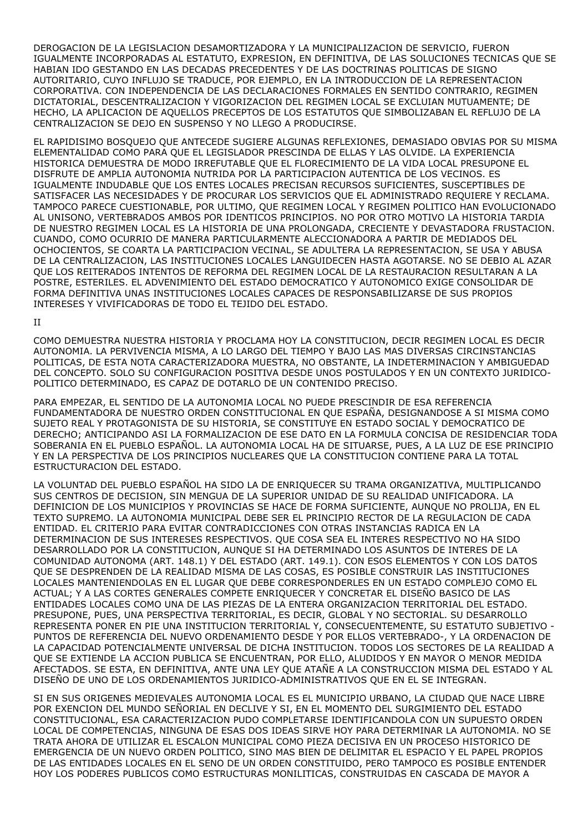DEROGACION DE LA LEGISLACION DESAMORTIZADORA Y LA MUNICIPALIZACION DE SERVICIO, FUERON IGUALMENTE INCORPORADAS AL ESTATUTO, EXPRESION, EN DEFINITIVA, DE LAS SOLUCIONES TECNICAS QUE SE HABIAN IDO GESTANDO EN LAS DECADAS PRECEDENTES Y DE LAS DOCTRINAS POLITICAS DE SIGNO AUTORITARIO, CUYO INFLUJO SE TRADUCE, POR EJEMPLO, EN LA INTRODUCCION DE LA REPRESENTACION CORPORATIVA. CON INDEPENDENCIA DE LAS DECLARACIONES FORMALES EN SENTIDO CONTRARIO, REGIMEN DICTATORIAL, DESCENTRALIZACION Y VIGORIZACION DEL REGIMEN LOCAL SE EXCLUIAN MUTUAMENTE; DE HECHO, LA APLICACION DE AQUELLOS PRECEPTOS DE LOS ESTATUTOS QUE SIMBOLIZABAN EL REFLUJO DE LA CENTRALIZACION SE DEJO EN SUSPENSO Y NO LLEGO A PRODUCIRSE.

EL RAPIDISIMO BOSQUEJO QUE ANTECEDE SUGIERE ALGUNAS REFLEXIONES, DEMASIADO OBVIAS POR SU MISMA ELEMENTALIDAD COMO PARA QUE EL LEGISLADOR PRESCINDA DE ELLAS Y LAS OLVIDE. LA EXPERIENCIA HISTORICA DEMUESTRA DE MODO IRREFUTABLE QUE EL FLORECIMIENTO DE LA VIDA LOCAL PRESUPONE EL DISFRUTE DE AMPLIA AUTONOMIA NUTRIDA POR LA PARTICIPACION AUTENTICA DE LOS VECINOS. ES IGUALMENTE INDUDABLE QUE LOS ENTES LOCALES PRECISAN RECURSOS SUFICIENTES, SUSCEPTIBLES DE SATISFACER LAS NECESIDADES Y DE PROCURAR LOS SERVICIOS QUE EL ADMINISTRADO REQUIERE Y RECLAMA. TAMPOCO PARECE CUESTIONABLE, POR ULTIMO, QUE REGIMEN LOCAL Y REGIMEN POLITICO HAN EVOLUCIONADO AL UNISONO, VERTEBRADOS AMBOS POR IDENTICOS PRINCIPIOS. NO POR OTRO MOTIVO LA HISTORIA TARDIA DE NUESTRO REGIMEN LOCAL ES LA HISTORIA DE UNA PROLONGADA, CRECIENTE Y DEVASTADORA FRUSTACION. CUANDO, COMO OCURRIO DE MANERA PARTICULARMENTE ALECCIONADORA A PARTIR DE MEDIADOS DEL OCHOCIENTOS, SE COARTA LA PARTICIPACION VECINAL, SE ADULTERA LA REPRESENTACION, SE USA Y ABUSA DE LA CENTRALIZACION, LAS INSTITUCIONES LOCALES LANGUIDECEN HASTA AGOTARSE. NO SE DEBIO AL AZAR QUE LOS REITERADOS INTENTOS DE REFORMA DEL REGIMEN LOCAL DE LA RESTAURACION RESULTARAN A LA POSTRE, ESTERILES. EL ADVENIMIENTO DEL ESTADO DEMOCRATICO Y AUTONOMICO EXIGE CONSOLIDAR DE FORMA DEFINITIVA UNAS INSTITUCIONES LOCALES CAPACES DE RESPONSABILIZARSE DE SUS PROPIOS INTERESES Y VIVIFICADORAS DE TODO EL TEJIDO DEL ESTADO.

#### II

COMO DEMUESTRA NUESTRA HISTORIA Y PROCLAMA HOY LA CONSTITUCION, DECIR REGIMEN LOCAL ES DECIR AUTONOMIA. LA PERVIVENCIA MISMA, A LO LARGO DEL TIEMPO Y BAJO LAS MAS DIVERSAS CIRCINSTANCIAS POLITICAS, DE ESTA NOTA CARACTERIZADORA MUESTRA, NO OBSTANTE, LA INDETERMINACION Y AMBIGUEDAD DEL CONCEPTO. SOLO SU CONFIGURACION POSITIVA DESDE UNOS POSTULADOS Y EN UN CONTEXTO JURIDICO-POLITICO DETERMINADO, ES CAPAZ DE DOTARLO DE UN CONTENIDO PRECISO.

PARA EMPEZAR, EL SENTIDO DE LA AUTONOMIA LOCAL NO PUEDE PRESCINDIR DE ESA REFERENCIA FUNDAMENTADORA DE NUESTRO ORDEN CONSTITUCIONAL EN QUE ESPAÑA, DESIGNANDOSE A SI MISMA COMO SUJETO REAL Y PROTAGONISTA DE SU HISTORIA, SE CONSTITUYE EN ESTADO SOCIAL Y DEMOCRATICO DE DERECHO; ANTICIPANDO ASI LA FORMALIZACION DE ESE DATO EN LA FORMULA CONCISA DE RESIDENCIAR TODA SOBERANIA EN EL PUEBLO ESPAÑOL. LA AUTONOMIA LOCAL HA DE SITUARSE, PUES, A LA LUZ DE ESE PRINCIPIO Y EN LA PERSPECTIVA DE LOS PRINCIPIOS NUCLEARES QUE LA CONSTITUCION CONTIENE PARA LA TOTAL ESTRUCTURACION DEL ESTADO.

LA VOLUNTAD DEL PUEBLO ESPAÑOL HA SIDO LA DE ENRIQUECER SU TRAMA ORGANIZATIVA, MULTIPLICANDO SUS CENTROS DE DECISION, SIN MENGUA DE LA SUPERIOR UNIDAD DE SU REALIDAD UNIFICADORA. LA DEFINICION DE LOS MUNICIPIOS Y PROVINCIAS SE HACE DE FORMA SUFICIENTE, AUNQUE NO PROLIJA, EN EL TEXTO SUPREMO. LA AUTONOMIA MUNICIPAL DEBE SER EL PRINCIPIO RECTOR DE LA REGULACION DE CADA ENTIDAD. EL CRITERIO PARA EVITAR CONTRADICCIONES CON OTRAS INSTANCIAS RADICA EN LA DETERMINACION DE SUS INTERESES RESPECTIVOS. QUE COSA SEA EL INTERES RESPECTIVO NO HA SIDO DESARROLLADO POR LA CONSTITUCION, AUNQUE SI HA DETERMINADO LOS ASUNTOS DE INTERES DE LA COMUNIDAD AUTONOMA (ART. 148.1) Y DEL ESTADO (ART. 149.1). CON ESOS ELEMENTOS Y CON LOS DATOS QUE SE DESPRENDEN DE LA REALIDAD MISMA DE LAS COSAS, ES POSIBLE CONSTRUIR LAS INSTITUCIONES LOCALES MANTENIENDOLAS EN EL LUGAR QUE DEBE CORRESPONDERLES EN UN ESTADO COMPLEJO COMO EL ACTUAL; Y A LAS CORTES GENERALES COMPETE ENRIQUECER Y CONCRETAR EL DISEÑO BASICO DE LAS ENTIDADES LOCALES COMO UNA DE LAS PIEZAS DE LA ENTERA ORGANIZACION TERRITORIAL DEL ESTADO. PRESUPONE, PUES, UNA PERSPECTIVA TERRITORIAL, ES DECIR, GLOBAL Y NO SECTORIAL. SU DESARROLLO REPRESENTA PONER EN PIE UNA INSTITUCION TERRITORIAL Y, CONSECUENTEMENTE, SU ESTATUTO SUBJETIVO - PUNTOS DE REFERENCIA DEL NUEVO ORDENAMIENTO DESDE Y POR ELLOS VERTEBRADO-, Y LA ORDENACION DE LA CAPACIDAD POTENCIALMENTE UNIVERSAL DE DICHA INSTITUCION. TODOS LOS SECTORES DE LA REALIDAD A QUE SE EXTIENDE LA ACCION PUBLICA SE ENCUENTRAN, POR ELLO, ALUDIDOS Y EN MAYOR O MENOR MEDIDA AFECTADOS. SE ESTA, EN DEFINITIVA, ANTE UNA LEY QUE ATAÑE A LA CONSTRUCCION MISMA DEL ESTADO Y AL DISEÑO DE UNO DE LOS ORDENAMIENTOS JURIDICO-ADMINISTRATIVOS QUE EN EL SE INTEGRAN.

SI EN SUS ORIGENES MEDIEVALES AUTONOMIA LOCAL ES EL MUNICIPIO URBANO, LA CIUDAD QUE NACE LIBRE POR EXENCION DEL MUNDO SEÑORIAL EN DECLIVE Y SI, EN EL MOMENTO DEL SURGIMIENTO DEL ESTADO CONSTITUCIONAL, ESA CARACTERIZACION PUDO COMPLETARSE IDENTIFICANDOLA CON UN SUPUESTO ORDEN LOCAL DE COMPETENCIAS, NINGUNA DE ESAS DOS IDEAS SIRVE HOY PARA DETERMINAR LA AUTONOMIA. NO SE TRATA AHORA DE UTILIZAR EL ESCALON MUNICIPAL COMO PIEZA DECISIVA EN UN PROCESO HISTORICO DE EMERGENCIA DE UN NUEVO ORDEN POLITICO, SINO MAS BIEN DE DELIMITAR EL ESPACIO Y EL PAPEL PROPIOS DE LAS ENTIDADES LOCALES EN EL SENO DE UN ORDEN CONSTITUIDO, PERO TAMPOCO ES POSIBLE ENTENDER HOY LOS PODERES PUBLICOS COMO ESTRUCTURAS MONILITICAS, CONSTRUIDAS EN CASCADA DE MAYOR A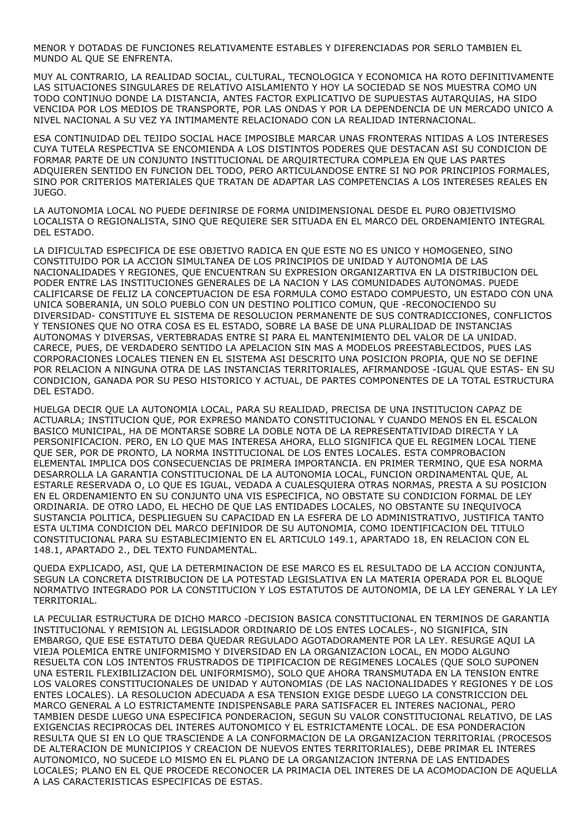MENOR Y DOTADAS DE FUNCIONES RELATIVAMENTE ESTABLES Y DIFERENCIADAS POR SERLO TAMBIEN EL MUNDO AL QUE SE ENFRENTA.

MUY AL CONTRARIO, LA REALIDAD SOCIAL, CULTURAL, TECNOLOGICA Y ECONOMICA HA ROTO DEFINITIVAMENTE LAS SITUACIONES SINGULARES DE RELATIVO AISLAMIENTO Y HOY LA SOCIEDAD SE NOS MUESTRA COMO UN TODO CONTINUO DONDE LA DISTANCIA, ANTES FACTOR EXPLICATIVO DE SUPUESTAS AUTARQUIAS, HA SIDO VENCIDA POR LOS MEDIOS DE TRANSPORTE, POR LAS ONDAS Y POR LA DEPENDENCIA DE UN MERCADO UNICO A NIVEL NACIONAL A SU VEZ YA INTIMAMENTE RELACIONADO CON LA REALIDAD INTERNACIONAL.

ESA CONTINUIDAD DEL TEJIDO SOCIAL HACE IMPOSIBLE MARCAR UNAS FRONTERAS NITIDAS A LOS INTERESES CUYA TUTELA RESPECTIVA SE ENCOMIENDA A LOS DISTINTOS PODERES QUE DESTACAN ASI SU CONDICION DE FORMAR PARTE DE UN CONJUNTO INSTITUCIONAL DE ARQUIRTECTURA COMPLEJA EN QUE LAS PARTES ADQUIEREN SENTIDO EN FUNCION DEL TODO, PERO ARTICULANDOSE ENTRE SI NO POR PRINCIPIOS FORMALES, SINO POR CRITERIOS MATERIALES QUE TRATAN DE ADAPTAR LAS COMPETENCIAS A LOS INTERESES REALES EN JUEGO.

LA AUTONOMIA LOCAL NO PUEDE DEFINIRSE DE FORMA UNIDIMENSIONAL DESDE EL PURO OBJETIVISMO LOCALISTA O REGIONALISTA, SINO QUE REQUIERE SER SITUADA EN EL MARCO DEL ORDENAMIENTO INTEGRAL DEL ESTADO.

LA DIFICULTAD ESPECIFICA DE ESE OBJETIVO RADICA EN QUE ESTE NO ES UNICO Y HOMOGENEO, SINO CONSTITUIDO POR LA ACCION SIMULTANEA DE LOS PRINCIPIOS DE UNIDAD Y AUTONOMIA DE LAS NACIONALIDADES Y REGIONES, QUE ENCUENTRAN SU EXPRESION ORGANIZARTIVA EN LA DISTRIBUCION DEL PODER ENTRE LAS INSTITUCIONES GENERALES DE LA NACION Y LAS COMUNIDADES AUTONOMAS. PUEDE CALIFICARSE DE FELIZ LA CONCEPTUACION DE ESA FORMULA COMO ESTADO COMPUESTO, UN ESTADO CON UNA UNICA SOBERANIA, UN SOLO PUEBLO CON UN DESTINO POLITICO COMUN, QUE -RECONOCIENDO SU DIVERSIDAD- CONSTITUYE EL SISTEMA DE RESOLUCION PERMANENTE DE SUS CONTRADICCIONES, CONFLICTOS Y TENSIONES QUE NO OTRA COSA ES EL ESTADO, SOBRE LA BASE DE UNA PLURALIDAD DE INSTANCIAS AUTONOMAS Y DIVERSAS, VERTEBRADAS ENTRE SI PARA EL MANTENIMIENTO DEL VALOR DE LA UNIDAD. CARECE, PUES, DE VERDADERO SENTIDO LA APELACION SIN MAS A MODELOS PREESTABLECIDOS, PUES LAS CORPORACIONES LOCALES TIENEN EN EL SISTEMA ASI DESCRITO UNA POSICION PROPIA, QUE NO SE DEFINE POR RELACION A NINGUNA OTRA DE LAS INSTANCIAS TERRITORIALES, AFIRMANDOSE -IGUAL QUE ESTAS- EN SU CONDICION, GANADA POR SU PESO HISTORICO Y ACTUAL, DE PARTES COMPONENTES DE LA TOTAL ESTRUCTURA DEL ESTADO.

HUELGA DECIR QUE LA AUTONOMIA LOCAL, PARA SU REALIDAD, PRECISA DE UNA INSTITUCION CAPAZ DE ACTUARLA; INSTITUCION QUE, POR EXPRESO MANDATO CONSTITUCIONAL Y CUANDO MENOS EN EL ESCALON BASICO MUNICIPAL, HA DE MONTARSE SOBRE LA DOBLE NOTA DE LA REPRESENTATIVIDAD DIRECTA Y LA PERSONIFICACION. PERO, EN LO QUE MAS INTERESA AHORA, ELLO SIGNIFICA QUE EL REGIMEN LOCAL TIENE QUE SER, POR DE PRONTO, LA NORMA INSTITUCIONAL DE LOS ENTES LOCALES. ESTA COMPROBACION ELEMENTAL IMPLICA DOS CONSECUENCIAS DE PRIMERA IMPORTANCIA. EN PRIMER TERMINO, QUE ESA NORMA DESARROLLA LA GARANTIA CONSTITUCIONAL DE LA AUTONOMIA LOCAL, FUNCION ORDINAMENTAL QUE, AL ESTARLE RESERVADA O, LO QUE ES IGUAL, VEDADA A CUALESQUIERA OTRAS NORMAS, PRESTA A SU POSICION EN EL ORDENAMIENTO EN SU CONJUNTO UNA VIS ESPECIFICA, NO OBSTATE SU CONDICION FORMAL DE LEY ORDINARIA. DE OTRO LADO, EL HECHO DE QUE LAS ENTIDADES LOCALES, NO OBSTANTE SU INEQUIVOCA SUSTANCIA POLITICA, DESPLIEGUEN SU CAPACIDAD EN LA ESFERA DE LO ADMINISTRATIVO, JUSTIFICA TANTO ESTA ULTIMA CONDICION DEL MARCO DEFINIDOR DE SU AUTONOMIA, COMO IDENTIFICACION DEL TITULO CONSTITUCIONAL PARA SU ESTABLECIMIENTO EN EL ARTICULO 149.1, APARTADO 18, EN RELACION CON EL 148.1, APARTADO 2., DEL TEXTO FUNDAMENTAL.

QUEDA EXPLICADO, ASI, QUE LA DETERMINACION DE ESE MARCO ES EL RESULTADO DE LA ACCION CONJUNTA, SEGUN LA CONCRETA DISTRIBUCION DE LA POTESTAD LEGISLATIVA EN LA MATERIA OPERADA POR EL BLOQUE NORMATIVO INTEGRADO POR LA CONSTITUCION Y LOS ESTATUTOS DE AUTONOMIA, DE LA LEY GENERAL Y LA LEY TERRITORIAL.

LA PECULIAR ESTRUCTURA DE DICHO MARCO -DECISION BASICA CONSTITUCIONAL EN TERMINOS DE GARANTIA INSTITUCIONAL Y REMISION AL LEGISLADOR ORDINARIO DE LOS ENTES LOCALES-, NO SIGNIFICA, SIN EMBARGO, QUE ESE ESTATUTO DEBA QUEDAR REGULADO AGOTADORAMENTE POR LA LEY. RESURGE AQUI LA VIEJA POLEMICA ENTRE UNIFORMISMO Y DIVERSIDAD EN LA ORGANIZACION LOCAL, EN MODO ALGUNO RESUELTA CON LOS INTENTOS FRUSTRADOS DE TIPIFICACION DE REGIMENES LOCALES (QUE SOLO SUPONEN UNA ESTERIL FLEXIBILIZACION DEL UNIFORMISMO), SOLO QUE AHORA TRANSMUTADA EN LA TENSION ENTRE LOS VALORES CONSTITUCIONALES DE UNIDAD Y AUTONOMIAS (DE LAS NACIONALIDADES Y REGIONES Y DE LOS ENTES LOCALES). LA RESOLUCION ADECUADA A ESA TENSION EXIGE DESDE LUEGO LA CONSTRICCION DEL MARCO GENERAL A LO ESTRICTAMENTE INDISPENSABLE PARA SATISFACER EL INTERES NACIONAL, PERO TAMBIEN DESDE LUEGO UNA ESPECIFICA PONDERACION, SEGUN SU VALOR CONSTITUCIONAL RELATIVO, DE LAS EXIGENCIAS RECIPROCAS DEL INTERES AUTONOMICO Y EL ESTRICTAMENTE LOCAL. DE ESA PONDERACION RESULTA QUE SI EN LO QUE TRASCIENDE A LA CONFORMACION DE LA ORGANIZACION TERRITORIAL (PROCESOS DE ALTERACION DE MUNICIPIOS Y CREACION DE NUEVOS ENTES TERRITORIALES), DEBE PRIMAR EL INTERES AUTONOMICO, NO SUCEDE LO MISMO EN EL PLANO DE LA ORGANIZACION INTERNA DE LAS ENTIDADES LOCALES; PLANO EN EL QUE PROCEDE RECONOCER LA PRIMACIA DEL INTERES DE LA ACOMODACION DE AQUELLA A LAS CARACTERISTICAS ESPECIFICAS DE ESTAS.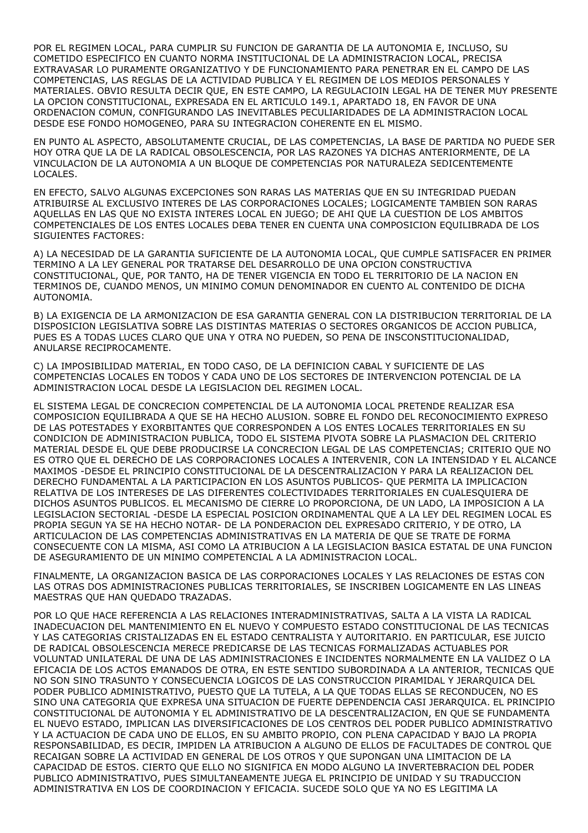POR EL REGIMEN LOCAL, PARA CUMPLIR SU FUNCION DE GARANTIA DE LA AUTONOMIA E, INCLUSO, SU COMETIDO ESPECIFICO EN CUANTO NORMA INSTITUCIONAL DE LA ADMINISTRACION LOCAL, PRECISA EXTRAVASAR LO PURAMENTE ORGANIZATIVO Y DE FUNCIONAMIENTO PARA PENETRAR EN EL CAMPO DE LAS COMPETENCIAS, LAS REGLAS DE LA ACTIVIDAD PUBLICA Y EL REGIMEN DE LOS MEDIOS PERSONALES Y MATERIALES. OBVIO RESULTA DECIR QUE, EN ESTE CAMPO, LA REGULACIOIN LEGAL HA DE TENER MUY PRESENTE LA OPCION CONSTITUCIONAL, EXPRESADA EN EL ARTICULO 149.1, APARTADO 18, EN FAVOR DE UNA ORDENACION COMUN, CONFIGURANDO LAS INEVITABLES PECULIARIDADES DE LA ADMINISTRACION LOCAL DESDE ESE FONDO HOMOGENEO, PARA SU INTEGRACION COHERENTE EN EL MISMO.

EN PUNTO AL ASPECTO, ABSOLUTAMENTE CRUCIAL, DE LAS COMPETENCIAS, LA BASE DE PARTIDA NO PUEDE SER HOY OTRA QUE LA DE LA RADICAL OBSOLESCENCIA, POR LAS RAZONES YA DICHAS ANTERIORMENTE, DE LA VINCULACION DE LA AUTONOMIA A UN BLOQUE DE COMPETENCIAS POR NATURALEZA SEDICENTEMENTE LOCALES.

EN EFECTO, SALVO ALGUNAS EXCEPCIONES SON RARAS LAS MATERIAS QUE EN SU INTEGRIDAD PUEDAN ATRIBUIRSE AL EXCLUSIVO INTERES DE LAS CORPORACIONES LOCALES; LOGICAMENTE TAMBIEN SON RARAS AQUELLAS EN LAS QUE NO EXISTA INTERES LOCAL EN JUEGO; DE AHI QUE LA CUESTION DE LOS AMBITOS COMPETENCIALES DE LOS ENTES LOCALES DEBA TENER EN CUENTA UNA COMPOSICION EQUILIBRADA DE LOS SIGUIENTES FACTORES:

A) LA NECESIDAD DE LA GARANTIA SUFICIENTE DE LA AUTONOMIA LOCAL, QUE CUMPLE SATISFACER EN PRIMER TERMINO A LA LEY GENERAL POR TRATARSE DEL DESARROLLO DE UNA OPCION CONSTRUCTIVA CONSTITUCIONAL, QUE, POR TANTO, HA DE TENER VIGENCIA EN TODO EL TERRITORIO DE LA NACION EN TERMINOS DE, CUANDO MENOS, UN MINIMO COMUN DENOMINADOR EN CUENTO AL CONTENIDO DE DICHA AUTONOMIA.

B) LA EXIGENCIA DE LA ARMONIZACION DE ESA GARANTIA GENERAL CON LA DISTRIBUCION TERRITORIAL DE LA DISPOSICION LEGISLATIVA SOBRE LAS DISTINTAS MATERIAS O SECTORES ORGANICOS DE ACCION PUBLICA, PUES ES A TODAS LUCES CLARO QUE UNA Y OTRA NO PUEDEN, SO PENA DE INSCONSTITUCIONALIDAD, ANULARSE RECIPROCAMENTE.

C) LA IMPOSIBILIDAD MATERIAL, EN TODO CASO, DE LA DEFINICION CABAL Y SUFICIENTE DE LAS COMPETENCIAS LOCALES EN TODOS Y CADA UNO DE LOS SECTORES DE INTERVENCION POTENCIAL DE LA ADMINISTRACION LOCAL DESDE LA LEGISLACION DEL REGIMEN LOCAL.

EL SISTEMA LEGAL DE CONCRECION COMPETENCIAL DE LA AUTONOMIA LOCAL PRETENDE REALIZAR ESA COMPOSICION EQUILIBRADA A QUE SE HA HECHO ALUSION. SOBRE EL FONDO DEL RECONOCIMIENTO EXPRESO DE LAS POTESTADES Y EXORBITANTES QUE CORRESPONDEN A LOS ENTES LOCALES TERRITORIALES EN SU CONDICION DE ADMINISTRACION PUBLICA, TODO EL SISTEMA PIVOTA SOBRE LA PLASMACION DEL CRITERIO MATERIAL DESDE EL QUE DEBE PRODUCIRSE LA CONCRECION LEGAL DE LAS COMPETENCIAS; CRITERIO QUE NO ES OTRO QUE EL DERECHO DE LAS CORPORACIONES LOCALES A INTERVENIR, CON LA INTENSIDAD Y EL ALCANCE MAXIMOS -DESDE EL PRINCIPIO CONSTITUCIONAL DE LA DESCENTRALIZACION Y PARA LA REALIZACION DEL DERECHO FUNDAMENTAL A LA PARTICIPACION EN LOS ASUNTOS PUBLICOS- QUE PERMITA LA IMPLICACION RELATIVA DE LOS INTERESES DE LAS DIFERENTES COLECTIVIDADES TERRITORIALES EN CUALESQUIERA DE DICHOS ASUNTOS PUBLICOS. EL MECANISMO DE CIERRE LO PROPORCIONA, DE UN LADO, LA IMPOSICION A LA LEGISLACION SECTORIAL -DESDE LA ESPECIAL POSICION ORDINAMENTAL QUE A LA LEY DEL REGIMEN LOCAL ES PROPIA SEGUN YA SE HA HECHO NOTAR- DE LA PONDERACION DEL EXPRESADO CRITERIO, Y DE OTRO, LA ARTICULACION DE LAS COMPETENCIAS ADMINISTRATIVAS EN LA MATERIA DE QUE SE TRATE DE FORMA CONSECUENTE CON LA MISMA, ASI COMO LA ATRIBUCION A LA LEGISLACION BASICA ESTATAL DE UNA FUNCION DE ASEGURAMIENTO DE UN MINIMO COMPETENCIAL A LA ADMINISTRACION LOCAL.

FINALMENTE, LA ORGANIZACION BASICA DE LAS CORPORACIONES LOCALES Y LAS RELACIONES DE ESTAS CON LAS OTRAS DOS ADMINISTRACIONES PUBLICAS TERRITORIALES, SE INSCRIBEN LOGICAMENTE EN LAS LINEAS MAESTRAS QUE HAN QUEDADO TRAZADAS.

POR LO QUE HACE REFERENCIA A LAS RELACIONES INTERADMINISTRATIVAS, SALTA A LA VISTA LA RADICAL INADECUACION DEL MANTENIMIENTO EN EL NUEVO Y COMPUESTO ESTADO CONSTITUCIONAL DE LAS TECNICAS Y LAS CATEGORIAS CRISTALIZADAS EN EL ESTADO CENTRALISTA Y AUTORITARIO. EN PARTICULAR, ESE JUICIO DE RADICAL OBSOLESCENCIA MERECE PREDICARSE DE LAS TECNICAS FORMALIZADAS ACTUABLES POR VOLUNTAD UNILATERAL DE UNA DE LAS ADMINISTRACIONES E INCIDENTES NORMALMENTE EN LA VALIDEZ O LA EFICACIA DE LOS ACTOS EMANADOS DE OTRA, EN ESTE SENTIDO SUBORDINADA A LA ANTERIOR, TECNICAS QUE NO SON SINO TRASUNTO Y CONSECUENCIA LOGICOS DE LAS CONSTRUCCION PIRAMIDAL Y JERARQUICA DEL PODER PUBLICO ADMINISTRATIVO, PUESTO QUE LA TUTELA, A LA QUE TODAS ELLAS SE RECONDUCEN, NO ES SINO UNA CATEGORIA QUE EXPRESA UNA SITUACION DE FUERTE DEPENDENCIA CASI JERARQUICA. EL PRINCIPIO CONSTITUCIONAL DE AUTONOMIA Y EL ADMINISTRATIVO DE LA DESCENTRALIZACION, EN QUE SE FUNDAMENTA EL NUEVO ESTADO, IMPLICAN LAS DIVERSIFICACIONES DE LOS CENTROS DEL PODER PUBLICO ADMINISTRATIVO Y LA ACTUACION DE CADA UNO DE ELLOS, EN SU AMBITO PROPIO, CON PLENA CAPACIDAD Y BAJO LA PROPIA RESPONSABILIDAD, ES DECIR, IMPIDEN LA ATRIBUCION A ALGUNO DE ELLOS DE FACULTADES DE CONTROL QUE RECAIGAN SOBRE LA ACTIVIDAD EN GENERAL DE LOS OTROS Y QUE SUPONGAN UNA LIMITACION DE LA CAPACIDAD DE ESTOS. CIERTO QUE ELLO NO SIGNIFICA EN MODO ALGUNO LA INVERTEBRACION DEL PODER PUBLICO ADMINISTRATIVO, PUES SIMULTANEAMENTE JUEGA EL PRINCIPIO DE UNIDAD Y SU TRADUCCION ADMINISTRATIVA EN LOS DE COORDINACION Y EFICACIA. SUCEDE SOLO QUE YA NO ES LEGITIMA LA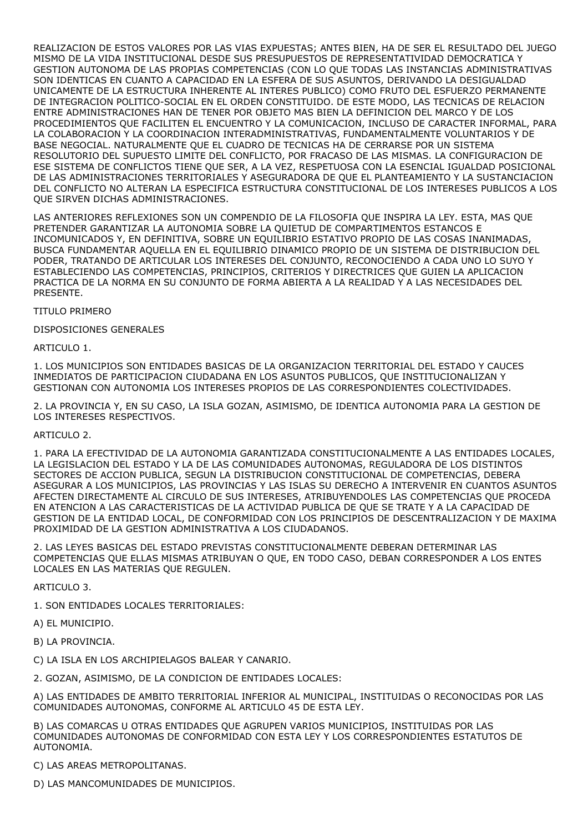REALIZACION DE ESTOS VALORES POR LAS VIAS EXPUESTAS; ANTES BIEN, HA DE SER EL RESULTADO DEL JUEGO MISMO DE LA VIDA INSTITUCIONAL DESDE SUS PRESUPUESTOS DE REPRESENTATIVIDAD DEMOCRATICA Y GESTION AUTONOMA DE LAS PROPIAS COMPETENCIAS (CON LO QUE TODAS LAS INSTANCIAS ADMINISTRATIVAS SON IDENTICAS EN CUANTO A CAPACIDAD EN LA ESFERA DE SUS ASUNTOS, DERIVANDO LA DESIGUALDAD UNICAMENTE DE LA ESTRUCTURA INHERENTE AL INTERES PUBLICO) COMO FRUTO DEL ESFUERZO PERMANENTE DE INTEGRACION POLITICO-SOCIAL EN EL ORDEN CONSTITUIDO. DE ESTE MODO, LAS TECNICAS DE RELACION ENTRE ADMINISTRACIONES HAN DE TENER POR OBJETO MAS BIEN LA DEFINICION DEL MARCO Y DE LOS PROCEDIMIENTOS QUE FACILITEN EL ENCUENTRO Y LA COMUNICACION, INCLUSO DE CARACTER INFORMAL, PARA LA COLABORACION Y LA COORDINACION INTERADMINISTRATIVAS, FUNDAMENTALMENTE VOLUNTARIOS Y DE BASE NEGOCIAL. NATURALMENTE QUE EL CUADRO DE TECNICAS HA DE CERRARSE POR UN SISTEMA RESOLUTORIO DEL SUPUESTO LIMITE DEL CONFLICTO, POR FRACASO DE LAS MISMAS. LA CONFIGURACION DE ESE SISTEMA DE CONFLICTOS TIENE QUE SER, A LA VEZ, RESPETUOSA CON LA ESENCIAL IGUALDAD POSICIONAL DE LAS ADMINISTRACIONES TERRITORIALES Y ASEGURADORA DE QUE EL PLANTEAMIENTO Y LA SUSTANCIACION DEL CONFLICTO NO ALTERAN LA ESPECIFICA ESTRUCTURA CONSTITUCIONAL DE LOS INTERESES PUBLICOS A LOS QUE SIRVEN DICHAS ADMINISTRACIONES.

LAS ANTERIORES REFLEXIONES SON UN COMPENDIO DE LA FILOSOFIA QUE INSPIRA LA LEY. ESTA, MAS QUE PRETENDER GARANTIZAR LA AUTONOMIA SOBRE LA QUIETUD DE COMPARTIMENTOS ESTANCOS E INCOMUNICADOS Y, EN DEFINITIVA, SOBRE UN EQUILIBRIO ESTATIVO PROPIO DE LAS COSAS INANIMADAS, BUSCA FUNDAMENTAR AQUELLA EN EL EQUILIBRIO DINAMICO PROPIO DE UN SISTEMA DE DISTRIBUCION DEL PODER, TRATANDO DE ARTICULAR LOS INTERESES DEL CONJUNTO, RECONOCIENDO A CADA UNO LO SUYO Y ESTABLECIENDO LAS COMPETENCIAS, PRINCIPIOS, CRITERIOS Y DIRECTRICES QUE GUIEN LA APLICACION PRACTICA DE LA NORMA EN SU CONJUNTO DE FORMA ABIERTA A LA REALIDAD Y A LAS NECESIDADES DEL PRESENTE.

TITULO PRIMERO

#### DISPOSICIONES GENERALES

ARTICULO 1.

1. LOS MUNICIPIOS SON ENTIDADES BASICAS DE LA ORGANIZACION TERRITORIAL DEL ESTADO Y CAUCES INMEDIATOS DE PARTICIPACION CIUDADANA EN LOS ASUNTOS PUBLICOS, QUE INSTITUCIONALIZAN Y GESTIONAN CON AUTONOMIA LOS INTERESES PROPIOS DE LAS CORRESPONDIENTES COLECTIVIDADES.

2. LA PROVINCIA Y, EN SU CASO, LA ISLA GOZAN, ASIMISMO, DE IDENTICA AUTONOMIA PARA LA GESTION DE LOS INTERESES RESPECTIVOS.

#### ARTICULO 2.

1. PARA LA EFECTIVIDAD DE LA AUTONOMIA GARANTIZADA CONSTITUCIONALMENTE A LAS ENTIDADES LOCALES, LA LEGISLACION DEL ESTADO Y LA DE LAS COMUNIDADES AUTONOMAS, REGULADORA DE LOS DISTINTOS SECTORES DE ACCION PUBLICA, SEGUN LA DISTRIBUCION CONSTITUCIONAL DE COMPETENCIAS, DEBERA ASEGURAR A LOS MUNICIPIOS, LAS PROVINCIAS Y LAS ISLAS SU DERECHO A INTERVENIR EN CUANTOS ASUNTOS AFECTEN DIRECTAMENTE AL CIRCULO DE SUS INTERESES, ATRIBUYENDOLES LAS COMPETENCIAS QUE PROCEDA EN ATENCION A LAS CARACTERISTICAS DE LA ACTIVIDAD PUBLICA DE QUE SE TRATE Y A LA CAPACIDAD DE GESTION DE LA ENTIDAD LOCAL, DE CONFORMIDAD CON LOS PRINCIPIOS DE DESCENTRALIZACION Y DE MAXIMA PROXIMIDAD DE LA GESTION ADMINISTRATIVA A LOS CIUDADANOS.

2. LAS LEYES BASICAS DEL ESTADO PREVISTAS CONSTITUCIONALMENTE DEBERAN DETERMINAR LAS COMPETENCIAS QUE ELLAS MISMAS ATRIBUYAN O QUE, EN TODO CASO, DEBAN CORRESPONDER A LOS ENTES LOCALES EN LAS MATERIAS QUE REGULEN.

ARTICULO 3.

1. SON ENTIDADES LOCALES TERRITORIALES:

A) EL MUNICIPIO.

B) LA PROVINCIA.

C) LA ISLA EN LOS ARCHIPIELAGOS BALEAR Y CANARIO.

2. GOZAN, ASIMISMO, DE LA CONDICION DE ENTIDADES LOCALES:

A) LAS ENTIDADES DE AMBITO TERRITORIAL INFERIOR AL MUNICIPAL, INSTITUIDAS O RECONOCIDAS POR LAS COMUNIDADES AUTONOMAS, CONFORME AL ARTICULO 45 DE ESTA LEY.

B) LAS COMARCAS U OTRAS ENTIDADES QUE AGRUPEN VARIOS MUNICIPIOS, INSTITUIDAS POR LAS COMUNIDADES AUTONOMAS DE CONFORMIDAD CON ESTA LEY Y LOS CORRESPONDIENTES ESTATUTOS DE AUTONOMIA.

C) LAS AREAS METROPOLITANAS.

D) LAS MANCOMUNIDADES DE MUNICIPIOS.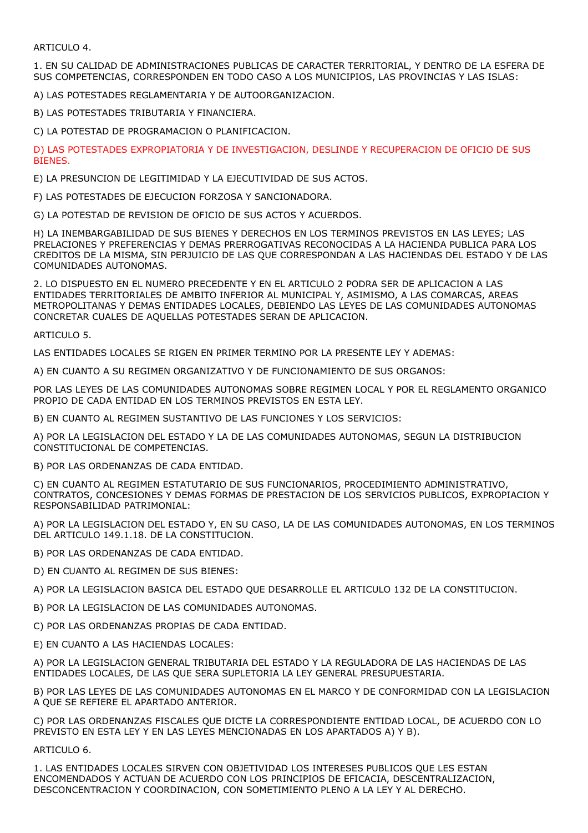ARTICULO 4.

1. EN SU CALIDAD DE ADMINISTRACIONES PUBLICAS DE CARACTER TERRITORIAL, Y DENTRO DE LA ESFERA DE SUS COMPETENCIAS, CORRESPONDEN EN TODO CASO A LOS MUNICIPIOS, LAS PROVINCIAS Y LAS ISLAS:

A) LAS POTESTADES REGLAMENTARIA Y DE AUTOORGANIZACION.

B) LAS POTESTADES TRIBUTARIA Y FINANCIERA.

C) LA POTESTAD DE PROGRAMACION O PLANIFICACION.

D) LAS POTESTADES EXPROPIATORIA Y DE INVESTIGACION, DESLINDE Y RECUPERACION DE OFICIO DE SUS BIENES.

E) LA PRESUNCION DE LEGITIMIDAD Y LA EJECUTIVIDAD DE SUS ACTOS.

F) LAS POTESTADES DE EJECUCION FORZOSA Y SANCIONADORA.

G) LA POTESTAD DE REVISION DE OFICIO DE SUS ACTOS Y ACUERDOS.

H) LA INEMBARGABILIDAD DE SUS BIENES Y DERECHOS EN LOS TERMINOS PREVISTOS EN LAS LEYES; LAS PRELACIONES Y PREFERENCIAS Y DEMAS PRERROGATIVAS RECONOCIDAS A LA HACIENDA PUBLICA PARA LOS CREDITOS DE LA MISMA, SIN PERJUICIO DE LAS QUE CORRESPONDAN A LAS HACIENDAS DEL ESTADO Y DE LAS COMUNIDADES AUTONOMAS.

2. LO DISPUESTO EN EL NUMERO PRECEDENTE Y EN EL ARTICULO 2 PODRA SER DE APLICACION A LAS ENTIDADES TERRITORIALES DE AMBITO INFERIOR AL MUNICIPAL Y, ASIMISMO, A LAS COMARCAS, AREAS METROPOLITANAS Y DEMAS ENTIDADES LOCALES, DEBIENDO LAS LEYES DE LAS COMUNIDADES AUTONOMAS CONCRETAR CUALES DE AQUELLAS POTESTADES SERAN DE APLICACION.

ARTICULO 5.

LAS ENTIDADES LOCALES SE RIGEN EN PRIMER TERMINO POR LA PRESENTE LEY Y ADEMAS:

A) EN CUANTO A SU REGIMEN ORGANIZATIVO Y DE FUNCIONAMIENTO DE SUS ORGANOS:

POR LAS LEYES DE LAS COMUNIDADES AUTONOMAS SOBRE REGIMEN LOCAL Y POR EL REGLAMENTO ORGANICO PROPIO DE CADA ENTIDAD EN LOS TERMINOS PREVISTOS EN ESTA LEY.

B) EN CUANTO AL REGIMEN SUSTANTIVO DE LAS FUNCIONES Y LOS SERVICIOS:

A) POR LA LEGISLACION DEL ESTADO Y LA DE LAS COMUNIDADES AUTONOMAS, SEGUN LA DISTRIBUCION CONSTITUCIONAL DE COMPETENCIAS.

B) POR LAS ORDENANZAS DE CADA ENTIDAD.

C) EN CUANTO AL REGIMEN ESTATUTARIO DE SUS FUNCIONARIOS, PROCEDIMIENTO ADMINISTRATIVO, CONTRATOS, CONCESIONES Y DEMAS FORMAS DE PRESTACION DE LOS SERVICIOS PUBLICOS, EXPROPIACION Y RESPONSABILIDAD PATRIMONIAL:

A) POR LA LEGISLACION DEL ESTADO Y, EN SU CASO, LA DE LAS COMUNIDADES AUTONOMAS, EN LOS TERMINOS DEL ARTICULO 149.1.18. DE LA CONSTITUCION.

B) POR LAS ORDENANZAS DE CADA ENTIDAD.

D) EN CUANTO AL REGIMEN DE SUS BIENES:

A) POR LA LEGISLACION BASICA DEL ESTADO QUE DESARROLLE EL ARTICULO 132 DE LA CONSTITUCION.

B) POR LA LEGISLACION DE LAS COMUNIDADES AUTONOMAS.

C) POR LAS ORDENANZAS PROPIAS DE CADA ENTIDAD.

E) EN CUANTO A LAS HACIENDAS LOCALES:

A) POR LA LEGISLACION GENERAL TRIBUTARIA DEL ESTADO Y LA REGULADORA DE LAS HACIENDAS DE LAS ENTIDADES LOCALES, DE LAS QUE SERA SUPLETORIA LA LEY GENERAL PRESUPUESTARIA.

B) POR LAS LEYES DE LAS COMUNIDADES AUTONOMAS EN EL MARCO Y DE CONFORMIDAD CON LA LEGISLACION A QUE SE REFIERE EL APARTADO ANTERIOR.

C) POR LAS ORDENANZAS FISCALES QUE DICTE LA CORRESPONDIENTE ENTIDAD LOCAL, DE ACUERDO CON LO PREVISTO EN ESTA LEY Y EN LAS LEYES MENCIONADAS EN LOS APARTADOS A) Y B).

ARTICULO 6.

1. LAS ENTIDADES LOCALES SIRVEN CON OBJETIVIDAD LOS INTERESES PUBLICOS QUE LES ESTAN ENCOMENDADOS Y ACTUAN DE ACUERDO CON LOS PRINCIPIOS DE EFICACIA, DESCENTRALIZACION, DESCONCENTRACION Y COORDINACION, CON SOMETIMIENTO PLENO A LA LEY Y AL DERECHO.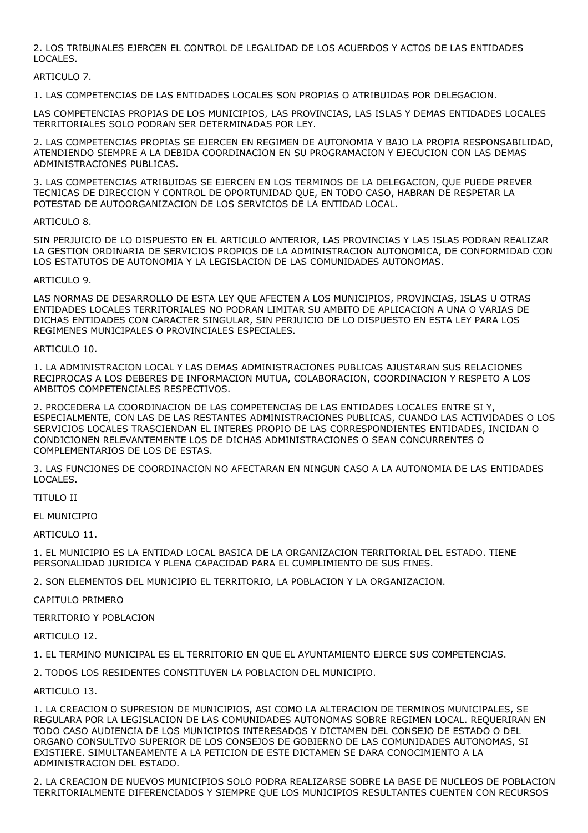2. LOS TRIBUNALES EJERCEN EL CONTROL DE LEGALIDAD DE LOS ACUERDOS Y ACTOS DE LAS ENTIDADES LOCALES.

# ARTICULO 7.

1. LAS COMPETENCIAS DE LAS ENTIDADES LOCALES SON PROPIAS O ATRIBUIDAS POR DELEGACION.

LAS COMPETENCIAS PROPIAS DE LOS MUNICIPIOS, LAS PROVINCIAS, LAS ISLAS Y DEMAS ENTIDADES LOCALES TERRITORIALES SOLO PODRAN SER DETERMINADAS POR LEY.

2. LAS COMPETENCIAS PROPIAS SE EJERCEN EN REGIMEN DE AUTONOMIA Y BAJO LA PROPIA RESPONSABILIDAD, ATENDIENDO SIEMPRE A LA DEBIDA COORDINACION EN SU PROGRAMACION Y EJECUCION CON LAS DEMAS ADMINISTRACIONES PUBLICAS.

3. LAS COMPETENCIAS ATRIBUIDAS SE EJERCEN EN LOS TERMINOS DE LA DELEGACION, QUE PUEDE PREVER TECNICAS DE DIRECCION Y CONTROL DE OPORTUNIDAD QUE, EN TODO CASO, HABRAN DE RESPETAR LA POTESTAD DE AUTOORGANIZACION DE LOS SERVICIOS DE LA ENTIDAD LOCAL.

# ARTICULO 8.

SIN PERJUICIO DE LO DISPUESTO EN EL ARTICULO ANTERIOR, LAS PROVINCIAS Y LAS ISLAS PODRAN REALIZAR LA GESTION ORDINARIA DE SERVICIOS PROPIOS DE LA ADMINISTRACION AUTONOMICA, DE CONFORMIDAD CON LOS ESTATUTOS DE AUTONOMIA Y LA LEGISLACION DE LAS COMUNIDADES AUTONOMAS.

#### ARTICULO 9.

LAS NORMAS DE DESARROLLO DE ESTA LEY QUE AFECTEN A LOS MUNICIPIOS, PROVINCIAS, ISLAS U OTRAS ENTIDADES LOCALES TERRITORIALES NO PODRAN LIMITAR SU AMBITO DE APLICACION A UNA O VARIAS DE DICHAS ENTIDADES CON CARACTER SINGULAR, SIN PERJUICIO DE LO DISPUESTO EN ESTA LEY PARA LOS REGIMENES MUNICIPALES O PROVINCIALES ESPECIALES.

#### ARTICULO 10.

1. LA ADMINISTRACION LOCAL Y LAS DEMAS ADMINISTRACIONES PUBLICAS AJUSTARAN SUS RELACIONES RECIPROCAS A LOS DEBERES DE INFORMACION MUTUA, COLABORACION, COORDINACION Y RESPETO A LOS AMBITOS COMPETENCIALES RESPECTIVOS.

2. PROCEDERA LA COORDINACION DE LAS COMPETENCIAS DE LAS ENTIDADES LOCALES ENTRE SI Y, ESPECIALMENTE, CON LAS DE LAS RESTANTES ADMINISTRACIONES PUBLICAS, CUANDO LAS ACTIVIDADES O LOS SERVICIOS LOCALES TRASCIENDAN EL INTERES PROPIO DE LAS CORRESPONDIENTES ENTIDADES, INCIDAN O CONDICIONEN RELEVANTEMENTE LOS DE DICHAS ADMINISTRACIONES O SEAN CONCURRENTES O COMPLEMENTARIOS DE LOS DE ESTAS.

3. LAS FUNCIONES DE COORDINACION NO AFECTARAN EN NINGUN CASO A LA AUTONOMIA DE LAS ENTIDADES LOCALES.

TITULO II

EL MUNICIPIO

ARTICULO 11.

1. EL MUNICIPIO ES LA ENTIDAD LOCAL BASICA DE LA ORGANIZACION TERRITORIAL DEL ESTADO. TIENE PERSONALIDAD JURIDICA Y PLENA CAPACIDAD PARA EL CUMPLIMIENTO DE SUS FINES.

2. SON ELEMENTOS DEL MUNICIPIO EL TERRITORIO, LA POBLACION Y LA ORGANIZACION.

CAPITULO PRIMERO

TERRITORIO Y POBLACION

ARTICULO 12.

1. EL TERMINO MUNICIPAL ES EL TERRITORIO EN QUE EL AYUNTAMIENTO EJERCE SUS COMPETENCIAS.

2. TODOS LOS RESIDENTES CONSTITUYEN LA POBLACION DEL MUNICIPIO.

# ARTICULO 13.

1. LA CREACION O SUPRESION DE MUNICIPIOS, ASI COMO LA ALTERACION DE TERMINOS MUNICIPALES, SE REGULARA POR LA LEGISLACION DE LAS COMUNIDADES AUTONOMAS SOBRE REGIMEN LOCAL. REQUERIRAN EN TODO CASO AUDIENCIA DE LOS MUNICIPIOS INTERESADOS Y DICTAMEN DEL CONSEJO DE ESTADO O DEL ORGANO CONSULTIVO SUPERIOR DE LOS CONSEJOS DE GOBIERNO DE LAS COMUNIDADES AUTONOMAS, SI EXISTIERE. SIMULTANEAMENTE A LA PETICION DE ESTE DICTAMEN SE DARA CONOCIMIENTO A LA ADMINISTRACION DEL ESTADO.

2. LA CREACION DE NUEVOS MUNICIPIOS SOLO PODRA REALIZARSE SOBRE LA BASE DE NUCLEOS DE POBLACION TERRITORIALMENTE DIFERENCIADOS Y SIEMPRE QUE LOS MUNICIPIOS RESULTANTES CUENTEN CON RECURSOS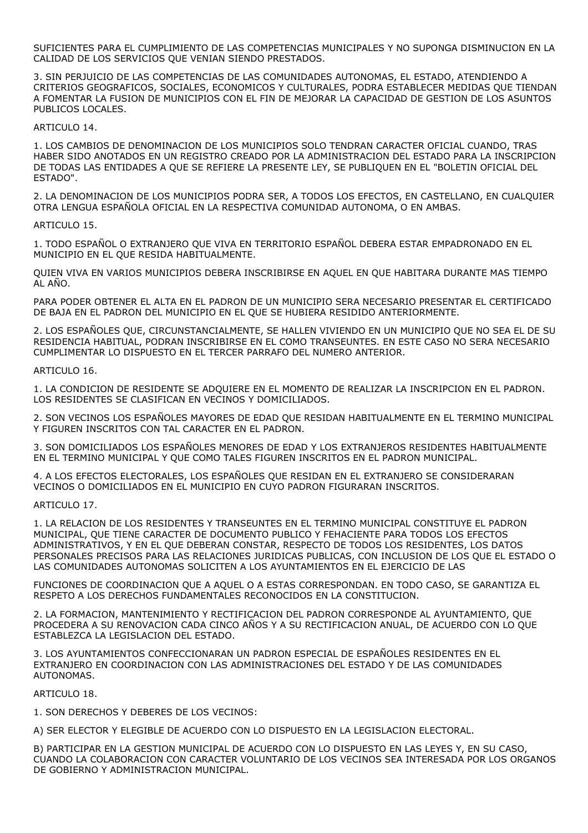SUFICIENTES PARA EL CUMPLIMIENTO DE LAS COMPETENCIAS MUNICIPALES Y NO SUPONGA DISMINUCION EN LA CALIDAD DE LOS SERVICIOS QUE VENIAN SIENDO PRESTADOS.

3. SIN PERJUICIO DE LAS COMPETENCIAS DE LAS COMUNIDADES AUTONOMAS, EL ESTADO, ATENDIENDO A CRITERIOS GEOGRAFICOS, SOCIALES, ECONOMICOS Y CULTURALES, PODRA ESTABLECER MEDIDAS QUE TIENDAN A FOMENTAR LA FUSION DE MUNICIPIOS CON EL FIN DE MEJORAR LA CAPACIDAD DE GESTION DE LOS ASUNTOS PUBLICOS LOCALES.

ARTICULO 14.

1. LOS CAMBIOS DE DENOMINACION DE LOS MUNICIPIOS SOLO TENDRAN CARACTER OFICIAL CUANDO, TRAS HABER SIDO ANOTADOS EN UN REGISTRO CREADO POR LA ADMINISTRACION DEL ESTADO PARA LA INSCRIPCION DE TODAS LAS ENTIDADES A QUE SE REFIERE LA PRESENTE LEY, SE PUBLIQUEN EN EL "BOLETIN OFICIAL DEL ESTADO".

2. LA DENOMINACION DE LOS MUNICIPIOS PODRA SER, A TODOS LOS EFECTOS, EN CASTELLANO, EN CUALQUIER OTRA LENGUA ESPAÑOLA OFICIAL EN LA RESPECTIVA COMUNIDAD AUTONOMA, O EN AMBAS.

# ARTICULO 15.

1. TODO ESPAÑOL O EXTRANJERO QUE VIVA EN TERRITORIO ESPAÑOL DEBERA ESTAR EMPADRONADO EN EL MUNICIPIO EN EL QUE RESIDA HABITUALMENTE.

QUIEN VIVA EN VARIOS MUNICIPIOS DEBERA INSCRIBIRSE EN AQUEL EN QUE HABITARA DURANTE MAS TIEMPO AL AÑO.

PARA PODER OBTENER EL ALTA EN EL PADRON DE UN MUNICIPIO SERA NECESARIO PRESENTAR EL CERTIFICADO DE BAJA EN EL PADRON DEL MUNICIPIO EN EL QUE SE HUBIERA RESIDIDO ANTERIORMENTE.

2. LOS ESPAÑOLES QUE, CIRCUNSTANCIALMENTE, SE HALLEN VIVIENDO EN UN MUNICIPIO QUE NO SEA EL DE SU RESIDENCIA HABITUAL, PODRAN INSCRIBIRSE EN EL COMO TRANSEUNTES. EN ESTE CASO NO SERA NECESARIO CUMPLIMENTAR LO DISPUESTO EN EL TERCER PARRAFO DEL NUMERO ANTERIOR.

ARTICULO 16.

1. LA CONDICION DE RESIDENTE SE ADQUIERE EN EL MOMENTO DE REALIZAR LA INSCRIPCION EN EL PADRON. LOS RESIDENTES SE CLASIFICAN EN VECINOS Y DOMICILIADOS.

2. SON VECINOS LOS ESPAÑOLES MAYORES DE EDAD QUE RESIDAN HABITUALMENTE EN EL TERMINO MUNICIPAL Y FIGUREN INSCRITOS CON TAL CARACTER EN EL PADRON.

3. SON DOMICILIADOS LOS ESPAÑOLES MENORES DE EDAD Y LOS EXTRANJEROS RESIDENTES HABITUALMENTE EN EL TERMINO MUNICIPAL Y QUE COMO TALES FIGUREN INSCRITOS EN EL PADRON MUNICIPAL.

4. A LOS EFECTOS ELECTORALES, LOS ESPAÑOLES QUE RESIDAN EN EL EXTRANJERO SE CONSIDERARAN VECINOS O DOMICILIADOS EN EL MUNICIPIO EN CUYO PADRON FIGURARAN INSCRITOS.

ARTICULO 17.

1. LA RELACION DE LOS RESIDENTES Y TRANSEUNTES EN EL TERMINO MUNICIPAL CONSTITUYE EL PADRON MUNICIPAL, QUE TIENE CARACTER DE DOCUMENTO PUBLICO Y FEHACIENTE PARA TODOS LOS EFECTOS ADMINISTRATIVOS, Y EN EL QUE DEBERAN CONSTAR, RESPECTO DE TODOS LOS RESIDENTES, LOS DATOS PERSONALES PRECISOS PARA LAS RELACIONES JURIDICAS PUBLICAS, CON INCLUSION DE LOS QUE EL ESTADO O LAS COMUNIDADES AUTONOMAS SOLICITEN A LOS AYUNTAMIENTOS EN EL EJERCICIO DE LAS

FUNCIONES DE COORDINACION QUE A AQUEL O A ESTAS CORRESPONDAN. EN TODO CASO, SE GARANTIZA EL RESPETO A LOS DERECHOS FUNDAMENTALES RECONOCIDOS EN LA CONSTITUCION.

2. LA FORMACION, MANTENIMIENTO Y RECTIFICACION DEL PADRON CORRESPONDE AL AYUNTAMIENTO, QUE PROCEDERA A SU RENOVACION CADA CINCO AÑOS Y A SU RECTIFICACION ANUAL, DE ACUERDO CON LO QUE ESTABLEZCA LA LEGISLACION DEL ESTADO.

3. LOS AYUNTAMIENTOS CONFECCIONARAN UN PADRON ESPECIAL DE ESPAÑOLES RESIDENTES EN EL EXTRANJERO EN COORDINACION CON LAS ADMINISTRACIONES DEL ESTADO Y DE LAS COMUNIDADES AUTONOMAS.

ARTICULO 18.

1. SON DERECHOS Y DEBERES DE LOS VECINOS:

A) SER ELECTOR Y ELEGIBLE DE ACUERDO CON LO DISPUESTO EN LA LEGISLACION ELECTORAL.

B) PARTICIPAR EN LA GESTION MUNICIPAL DE ACUERDO CON LO DISPUESTO EN LAS LEYES Y, EN SU CASO, CUANDO LA COLABORACION CON CARACTER VOLUNTARIO DE LOS VECINOS SEA INTERESADA POR LOS ORGANOS DE GOBIERNO Y ADMINISTRACION MUNICIPAL.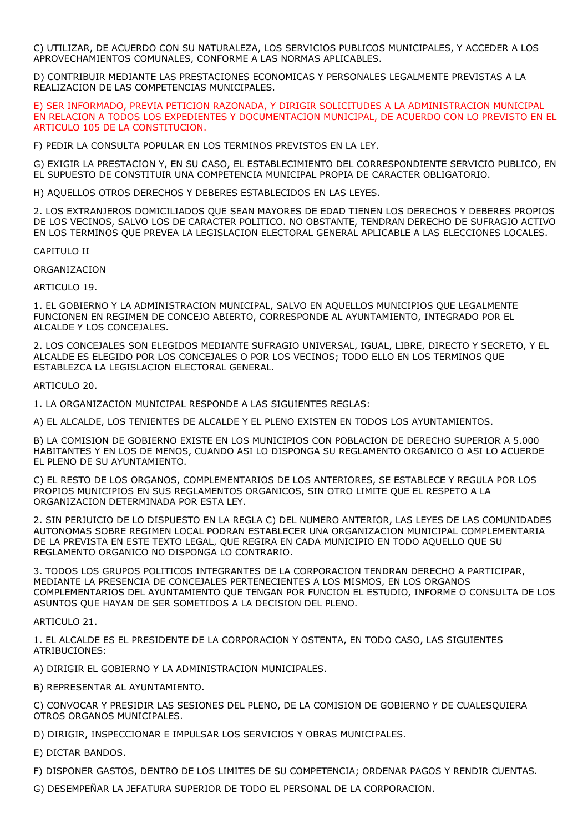C) UTILIZAR, DE ACUERDO CON SU NATURALEZA, LOS SERVICIOS PUBLICOS MUNICIPALES, Y ACCEDER A LOS APROVECHAMIENTOS COMUNALES, CONFORME A LAS NORMAS APLICABLES.

D) CONTRIBUIR MEDIANTE LAS PRESTACIONES ECONOMICAS Y PERSONALES LEGALMENTE PREVISTAS A LA REALIZACION DE LAS COMPETENCIAS MUNICIPALES.

E) SER INFORMADO, PREVIA PETICION RAZONADA, Y DIRIGIR SOLICITUDES A LA ADMINISTRACION MUNICIPAL EN RELACION A TODOS LOS EXPEDIENTES Y DOCUMENTACION MUNICIPAL, DE ACUERDO CON LO PREVISTO EN EL ARTICULO 105 DE LA CONSTITUCION.

F) PEDIR LA CONSULTA POPULAR EN LOS TERMINOS PREVISTOS EN LA LEY.

G) EXIGIR LA PRESTACION Y, EN SU CASO, EL ESTABLECIMIENTO DEL CORRESPONDIENTE SERVICIO PUBLICO, EN EL SUPUESTO DE CONSTITUIR UNA COMPETENCIA MUNICIPAL PROPIA DE CARACTER OBLIGATORIO.

H) AQUELLOS OTROS DERECHOS Y DEBERES ESTABLECIDOS EN LAS LEYES.

2. LOS EXTRANJEROS DOMICILIADOS QUE SEAN MAYORES DE EDAD TIENEN LOS DERECHOS Y DEBERES PROPIOS DE LOS VECINOS, SALVO LOS DE CARACTER POLITICO. NO OBSTANTE, TENDRAN DERECHO DE SUFRAGIO ACTIVO EN LOS TERMINOS QUE PREVEA LA LEGISLACION ELECTORAL GENERAL APLICABLE A LAS ELECCIONES LOCALES.

CAPITULO II

ORGANIZACION

ARTICULO 19.

1. EL GOBIERNO Y LA ADMINISTRACION MUNICIPAL, SALVO EN AQUELLOS MUNICIPIOS QUE LEGALMENTE FUNCIONEN EN REGIMEN DE CONCEJO ABIERTO, CORRESPONDE AL AYUNTAMIENTO, INTEGRADO POR EL ALCALDE Y LOS CONCEJALES.

2. LOS CONCEJALES SON ELEGIDOS MEDIANTE SUFRAGIO UNIVERSAL, IGUAL, LIBRE, DIRECTO Y SECRETO, Y EL ALCALDE ES ELEGIDO POR LOS CONCEJALES O POR LOS VECINOS; TODO ELLO EN LOS TERMINOS QUE ESTABLEZCA LA LEGISLACION ELECTORAL GENERAL.

ARTICULO 20.

1. LA ORGANIZACION MUNICIPAL RESPONDE A LAS SIGUIENTES REGLAS:

A) EL ALCALDE, LOS TENIENTES DE ALCALDE Y EL PLENO EXISTEN EN TODOS LOS AYUNTAMIENTOS.

B) LA COMISION DE GOBIERNO EXISTE EN LOS MUNICIPIOS CON POBLACION DE DERECHO SUPERIOR A 5.000 HABITANTES Y EN LOS DE MENOS, CUANDO ASI LO DISPONGA SU REGLAMENTO ORGANICO O ASI LO ACUERDE EL PLENO DE SU AYUNTAMIENTO.

C) EL RESTO DE LOS ORGANOS, COMPLEMENTARIOS DE LOS ANTERIORES, SE ESTABLECE Y REGULA POR LOS PROPIOS MUNICIPIOS EN SUS REGLAMENTOS ORGANICOS, SIN OTRO LIMITE QUE EL RESPETO A LA ORGANIZACION DETERMINADA POR ESTA LEY.

2. SIN PERJUICIO DE LO DISPUESTO EN LA REGLA C) DEL NUMERO ANTERIOR, LAS LEYES DE LAS COMUNIDADES AUTONOMAS SOBRE REGIMEN LOCAL PODRAN ESTABLECER UNA ORGANIZACION MUNICIPAL COMPLEMENTARIA DE LA PREVISTA EN ESTE TEXTO LEGAL, QUE REGIRA EN CADA MUNICIPIO EN TODO AQUELLO QUE SU REGLAMENTO ORGANICO NO DISPONGA LO CONTRARIO.

3. TODOS LOS GRUPOS POLITICOS INTEGRANTES DE LA CORPORACION TENDRAN DERECHO A PARTICIPAR, MEDIANTE LA PRESENCIA DE CONCEJALES PERTENECIENTES A LOS MISMOS, EN LOS ORGANOS COMPLEMENTARIOS DEL AYUNTAMIENTO QUE TENGAN POR FUNCION EL ESTUDIO, INFORME O CONSULTA DE LOS ASUNTOS QUE HAYAN DE SER SOMETIDOS A LA DECISION DEL PLENO.

ARTICULO 21.

1. EL ALCALDE ES EL PRESIDENTE DE LA CORPORACION Y OSTENTA, EN TODO CASO, LAS SIGUIENTES ATRIBUCIONES:

A) DIRIGIR EL GOBIERNO Y LA ADMINISTRACION MUNICIPALES.

B) REPRESENTAR AL AYUNTAMIENTO.

C) CONVOCAR Y PRESIDIR LAS SESIONES DEL PLENO, DE LA COMISION DE GOBIERNO Y DE CUALESQUIERA OTROS ORGANOS MUNICIPALES.

D) DIRIGIR, INSPECCIONAR E IMPULSAR LOS SERVICIOS Y OBRAS MUNICIPALES.

E) DICTAR BANDOS.

F) DISPONER GASTOS, DENTRO DE LOS LIMITES DE SU COMPETENCIA; ORDENAR PAGOS Y RENDIR CUENTAS.

G) DESEMPEÑAR LA JEFATURA SUPERIOR DE TODO EL PERSONAL DE LA CORPORACION.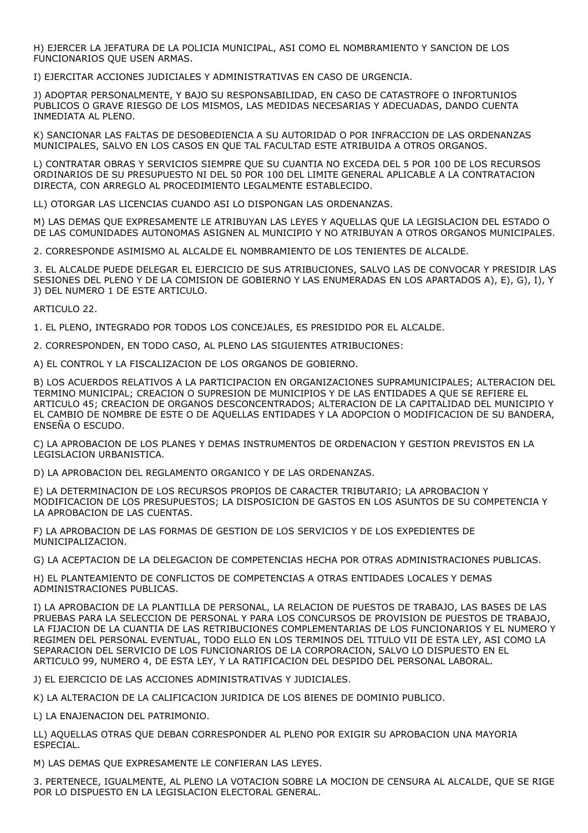H) EJERCER LA JEFATURA DE LA POLICIA MUNICIPAL, ASI COMO EL NOMBRAMIENTO Y SANCION DE LOS FUNCIONARIOS QUE USEN ARMAS.

I) EJERCITAR ACCIONES JUDICIALES Y ADMINISTRATIVAS EN CASO DE URGENCIA.

J) ADOPTAR PERSONALMENTE, Y BAJO SU RESPONSABILIDAD, EN CASO DE CATASTROFE O INFORTUNIOS PUBLICOS O GRAVE RIESGO DE LOS MISMOS, LAS MEDIDAS NECESARIAS Y ADECUADAS, DANDO CUENTA INMEDIATA AL PLENO.

K) SANCIONAR LAS FALTAS DE DESOBEDIENCIA A SU AUTORIDAD O POR INFRACCION DE LAS ORDENANZAS MUNICIPALES, SALVO EN LOS CASOS EN QUE TAL FACULTAD ESTE ATRIBUIDA A OTROS ORGANOS.

L) CONTRATAR OBRAS Y SERVICIOS SIEMPRE QUE SU CUANTIA NO EXCEDA DEL 5 POR 100 DE LOS RECURSOS ORDINARIOS DE SU PRESUPUESTO NI DEL 50 POR 100 DEL LIMITE GENERAL APLICABLE A LA CONTRATACION DIRECTA, CON ARREGLO AL PROCEDIMIENTO LEGALMENTE ESTABLECIDO.

LL) OTORGAR LAS LICENCIAS CUANDO ASI LO DISPONGAN LAS ORDENANZAS.

M) LAS DEMAS QUE EXPRESAMENTE LE ATRIBUYAN LAS LEYES Y AQUELLAS QUE LA LEGISLACION DEL ESTADO O DE LAS COMUNIDADES AUTONOMAS ASIGNEN AL MUNICIPIO Y NO ATRIBUYAN A OTROS ORGANOS MUNICIPALES.

2. CORRESPONDE ASIMISMO AL ALCALDE EL NOMBRAMIENTO DE LOS TENIENTES DE ALCALDE.

3. EL ALCALDE PUEDE DELEGAR EL EJERCICIO DE SUS ATRIBUCIONES, SALVO LAS DE CONVOCAR Y PRESIDIR LAS SESIONES DEL PLENO Y DE LA COMISION DE GOBIERNO Y LAS ENUMERADAS EN LOS APARTADOS A), E), G), I), Y J) DEL NUMERO 1 DE ESTE ARTICULO.

ARTICULO 22.

1. EL PLENO, INTEGRADO POR TODOS LOS CONCEJALES, ES PRESIDIDO POR EL ALCALDE.

2. CORRESPONDEN, EN TODO CASO, AL PLENO LAS SIGUIENTES ATRIBUCIONES:

A) EL CONTROL Y LA FISCALIZACION DE LOS ORGANOS DE GOBIERNO.

B) LOS ACUERDOS RELATIVOS A LA PARTICIPACION EN ORGANIZACIONES SUPRAMUNICIPALES; ALTERACION DEL TERMINO MUNICIPAL; CREACION O SUPRESION DE MUNICIPIOS Y DE LAS ENTIDADES A QUE SE REFIERE EL ARTICULO 45; CREACION DE ORGANOS DESCONCENTRADOS; ALTERACION DE LA CAPITALIDAD DEL MUNICIPIO Y EL CAMBIO DE NOMBRE DE ESTE O DE AQUELLAS ENTIDADES Y LA ADOPCION O MODIFICACION DE SU BANDERA, ENSEÑA O ESCUDO.

C) LA APROBACION DE LOS PLANES Y DEMAS INSTRUMENTOS DE ORDENACION Y GESTION PREVISTOS EN LA LEGISLACION URBANISTICA.

D) LA APROBACION DEL REGLAMENTO ORGANICO Y DE LAS ORDENANZAS.

E) LA DETERMINACION DE LOS RECURSOS PROPIOS DE CARACTER TRIBUTARIO; LA APROBACION Y MODIFICACION DE LOS PRESUPUESTOS; LA DISPOSICION DE GASTOS EN LOS ASUNTOS DE SU COMPETENCIA Y LA APROBACION DE LAS CUENTAS.

F) LA APROBACION DE LAS FORMAS DE GESTION DE LOS SERVICIOS Y DE LOS EXPEDIENTES DE MUNICIPALIZACION.

G) LA ACEPTACION DE LA DELEGACION DE COMPETENCIAS HECHA POR OTRAS ADMINISTRACIONES PUBLICAS.

H) EL PLANTEAMIENTO DE CONFLICTOS DE COMPETENCIAS A OTRAS ENTIDADES LOCALES Y DEMAS ADMINISTRACIONES PUBLICAS.

I) LA APROBACION DE LA PLANTILLA DE PERSONAL, LA RELACION DE PUESTOS DE TRABAJO, LAS BASES DE LAS PRUEBAS PARA LA SELECCION DE PERSONAL Y PARA LOS CONCURSOS DE PROVISION DE PUESTOS DE TRABAJO, LA FIJACION DE LA CUANTIA DE LAS RETRIBUCIONES COMPLEMENTARIAS DE LOS FUNCIONARIOS Y EL NUMERO Y REGIMEN DEL PERSONAL EVENTUAL, TODO ELLO EN LOS TERMINOS DEL TITULO VII DE ESTA LEY, ASI COMO LA SEPARACION DEL SERVICIO DE LOS FUNCIONARIOS DE LA CORPORACION, SALVO LO DISPUESTO EN EL ARTICULO 99, NUMERO 4, DE ESTA LEY, Y LA RATIFICACION DEL DESPIDO DEL PERSONAL LABORAL.

J) EL EJERCICIO DE LAS ACCIONES ADMINISTRATIVAS Y JUDICIALES.

K) LA ALTERACION DE LA CALIFICACION JURIDICA DE LOS BIENES DE DOMINIO PUBLICO.

L) LA ENAJENACION DEL PATRIMONIO.

LL) AQUELLAS OTRAS QUE DEBAN CORRESPONDER AL PLENO POR EXIGIR SU APROBACION UNA MAYORIA ESPECIAL.

M) LAS DEMAS QUE EXPRESAMENTE LE CONFIERAN LAS LEYES.

3. PERTENECE, IGUALMENTE, AL PLENO LA VOTACION SOBRE LA MOCION DE CENSURA AL ALCALDE, QUE SE RIGE POR LO DISPUESTO EN LA LEGISLACION ELECTORAL GENERAL.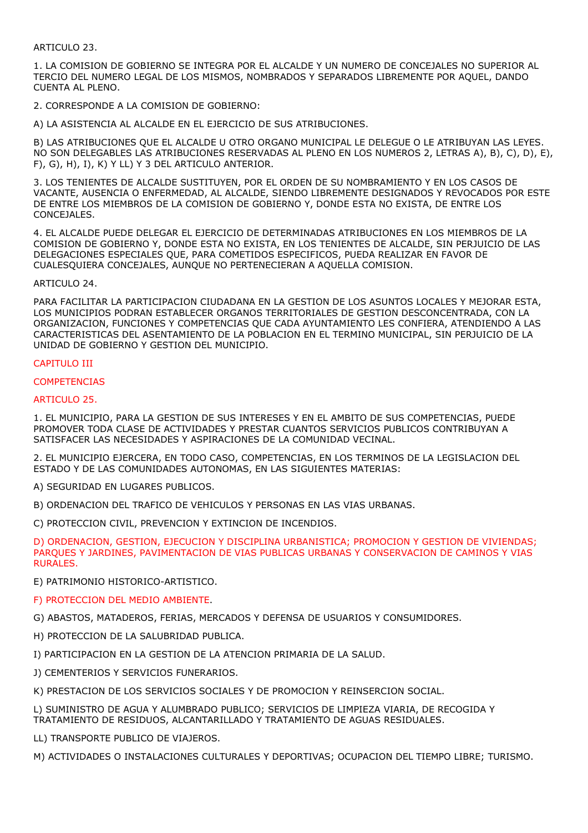# ARTICULO 23.

1. LA COMISION DE GOBIERNO SE INTEGRA POR EL ALCALDE Y UN NUMERO DE CONCEJALES NO SUPERIOR AL TERCIO DEL NUMERO LEGAL DE LOS MISMOS, NOMBRADOS Y SEPARADOS LIBREMENTE POR AQUEL, DANDO CUENTA AL PLENO.

2. CORRESPONDE A LA COMISION DE GOBIERNO:

A) LA ASISTENCIA AL ALCALDE EN EL EJERCICIO DE SUS ATRIBUCIONES.

B) LAS ATRIBUCIONES QUE EL ALCALDE U OTRO ORGANO MUNICIPAL LE DELEGUE O LE ATRIBUYAN LAS LEYES. NO SON DELEGABLES LAS ATRIBUCIONES RESERVADAS AL PLENO EN LOS NUMEROS 2, LETRAS A), B), C), D), E), F), G), H), I), K) Y LL) Y 3 DEL ARTICULO ANTERIOR.

3. LOS TENIENTES DE ALCALDE SUSTITUYEN, POR EL ORDEN DE SU NOMBRAMIENTO Y EN LOS CASOS DE VACANTE, AUSENCIA O ENFERMEDAD, AL ALCALDE, SIENDO LIBREMENTE DESIGNADOS Y REVOCADOS POR ESTE DE ENTRE LOS MIEMBROS DE LA COMISION DE GOBIERNO Y, DONDE ESTA NO EXISTA, DE ENTRE LOS CONCEJALES.

4. EL ALCALDE PUEDE DELEGAR EL EJERCICIO DE DETERMINADAS ATRIBUCIONES EN LOS MIEMBROS DE LA COMISION DE GOBIERNO Y, DONDE ESTA NO EXISTA, EN LOS TENIENTES DE ALCALDE, SIN PERJUICIO DE LAS DELEGACIONES ESPECIALES QUE, PARA COMETIDOS ESPECIFICOS, PUEDA REALIZAR EN FAVOR DE CUALESQUIERA CONCEJALES, AUNQUE NO PERTENECIERAN A AQUELLA COMISION.

# ARTICULO 24.

PARA FACILITAR LA PARTICIPACION CIUDADANA EN LA GESTION DE LOS ASUNTOS LOCALES Y MEJORAR ESTA, LOS MUNICIPIOS PODRAN ESTABLECER ORGANOS TERRITORIALES DE GESTION DESCONCENTRADA, CON LA ORGANIZACION, FUNCIONES Y COMPETENCIAS QUE CADA AYUNTAMIENTO LES CONFIERA, ATENDIENDO A LAS CARACTERISTICAS DEL ASENTAMIENTO DE LA POBLACION EN EL TERMINO MUNICIPAL, SIN PERJUICIO DE LA UNIDAD DE GOBIERNO Y GESTION DEL MUNICIPIO.

# CAPITULO III

# **COMPETENCIAS**

# ARTICULO 25.

1. EL MUNICIPIO, PARA LA GESTION DE SUS INTERESES Y EN EL AMBITO DE SUS COMPETENCIAS, PUEDE PROMOVER TODA CLASE DE ACTIVIDADES Y PRESTAR CUANTOS SERVICIOS PUBLICOS CONTRIBUYAN A SATISFACER LAS NECESIDADES Y ASPIRACIONES DE LA COMUNIDAD VECINAL.

2. EL MUNICIPIO EJERCERA, EN TODO CASO, COMPETENCIAS, EN LOS TERMINOS DE LA LEGISLACION DEL ESTADO Y DE LAS COMUNIDADES AUTONOMAS, EN LAS SIGUIENTES MATERIAS:

A) SEGURIDAD EN LUGARES PUBLICOS.

B) ORDENACION DEL TRAFICO DE VEHICULOS Y PERSONAS EN LAS VIAS URBANAS.

C) PROTECCION CIVIL, PREVENCION Y EXTINCION DE INCENDIOS.

D) ORDENACION, GESTION, EJECUCION Y DISCIPLINA URBANISTICA; PROMOCION Y GESTION DE VIVIENDAS; PARQUES Y JARDINES, PAVIMENTACION DE VIAS PUBLICAS URBANAS Y CONSERVACION DE CAMINOS Y VIAS RURALES.

E) PATRIMONIO HISTORICO-ARTISTICO.

F) PROTECCION DEL MEDIO AMBIENTE.

G) ABASTOS, MATADEROS, FERIAS, MERCADOS Y DEFENSA DE USUARIOS Y CONSUMIDORES.

H) PROTECCION DE LA SALUBRIDAD PUBLICA.

I) PARTICIPACION EN LA GESTION DE LA ATENCION PRIMARIA DE LA SALUD.

J) CEMENTERIOS Y SERVICIOS FUNERARIOS.

K) PRESTACION DE LOS SERVICIOS SOCIALES Y DE PROMOCION Y REINSERCION SOCIAL.

L) SUMINISTRO DE AGUA Y ALUMBRADO PUBLICO; SERVICIOS DE LIMPIEZA VIARIA, DE RECOGIDA Y TRATAMIENTO DE RESIDUOS, ALCANTARILLADO Y TRATAMIENTO DE AGUAS RESIDUALES.

LL) TRANSPORTE PUBLICO DE VIAJEROS.

M) ACTIVIDADES O INSTALACIONES CULTURALES Y DEPORTIVAS; OCUPACION DEL TIEMPO LIBRE; TURISMO.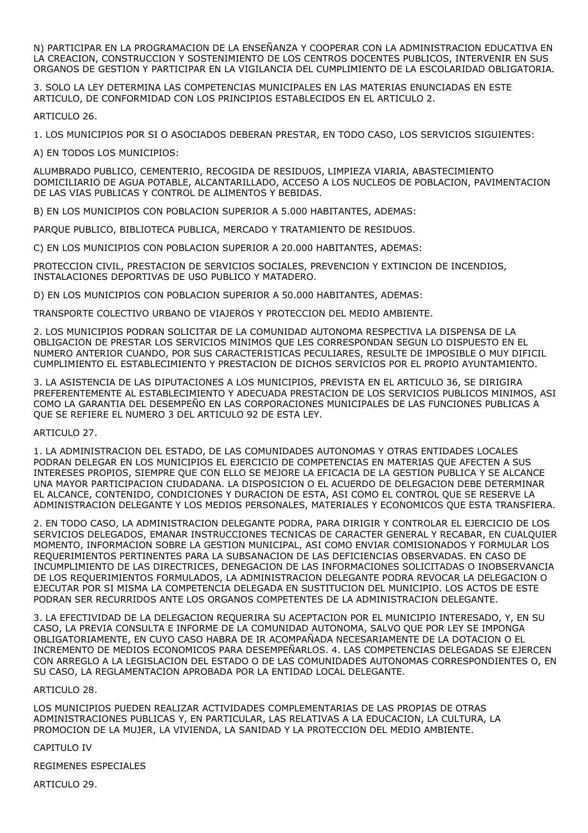N) PARTICIPAR EN LA PROGRAMACION DE LA ENSEÑANZA Y COOPERAR CON LA ADMINISTRACION EDUCATIVA EN LA CREACION, CONSTRUCCION Y SOSTENIMIENTO DE LOS CENTROS DOCENTES PUBLICOS, INTERVENIR EN SUS ORGANOS DE GESTION Y PARTICIPAR EN LA VIGILANCIA DEL CUMPLIMIENTO DE LA ESCOLARIDAD OBLIGATORIA.

3. SOLO LA LEY DETERMINA LAS COMPETENCIAS MUNICIPALES EN LAS MATERIAS ENUNCIADAS EN ESTE ARTICULO, DE CONFORMIDAD CON LOS PRINCIPIOS ESTABLECIDOS EN EL ARTICULO 2.

ARTICULO 26.

1. LOS MUNICIPIOS POR SI O ASOCIADOS DEBERAN PRESTAR, EN TODO CASO, LOS SERVICIOS SIGUIENTES:

A) EN TODOS LOS MUNICIPIOS:

ALUMBRADO PUBLICO, CEMENTERIO, RECOGIDA DE RESIDUOS, LIMPIEZA VIARIA, ABASTECIMIENTO DOMICILIARIO DE AGUA POTABLE, ALCANTARILLADO, ACCESO A LOS NUCLEOS DE POBLACION, PAVIMENTACION DE LAS VIAS PUBLICAS Y CONTROL DE ALIMENTOS Y BEBIDAS.

B) EN LOS MUNICIPIOS CON POBLACION SUPERIOR A 5.000 HABITANTES, ADEMAS:

PARQUE PUBLICO, BIBLIOTECA PUBLICA, MERCADO Y TRATAMIENTO DE RESIDUOS.

C) EN LOS MUNICIPIOS CON POBLACION SUPERIOR A 20.000 HABITANTES, ADEMAS:

PROTECCION CIVIL, PRESTACION DE SERVICIOS SOCIALES, PREVENCION Y EXTINCION DE INCENDIOS, INSTALACIONES DEPORTIVAS DE USO PUBLICO Y MATADERO.

D) EN LOS MUNICIPIOS CON POBLACION SUPERIOR A 50.000 HABITANTES, ADEMAS:

TRANSPORTE COLECTIVO URBANO DE VIAJEROS Y PROTECCION DEL MEDIO AMBIENTE.

2. LOS MUNICIPIOS PODRAN SOLICITAR DE LA COMUNIDAD AUTONOMA RESPECTIVA LA DISPENSA DE LA OBLIGACION DE PRESTAR LOS SERVICIOS MINIMOS QUE LES CORRESPONDAN SEGUN LO DISPUESTO EN EL NUMERO ANTERIOR CUANDO, POR SUS CARACTERISTICAS PECULIARES, RESULTE DE IMPOSIBLE O MUY DIFICIL CUMPLIMIENTO EL ESTABLECIMIENTO Y PRESTACION DE DICHOS SERVICIOS POR EL PROPIO AYUNTAMIENTO.

3. LA ASISTENCIA DE LAS DIPUTACIONES A LOS MUNICIPIOS, PREVISTA EN EL ARTICULO 36, SE DIRIGIRA PREFERENTEMENTE AL ESTABLECIMIENTO Y ADECUADA PRESTACION DE LOS SERVICIOS PUBLICOS MINIMOS, ASI COMO LA GARANTIA DEL DESEMPEÑO EN LAS CORPORACIONES MUNICIPALES DE LAS FUNCIONES PUBLICAS A QUE SE REFIERE EL NUMERO 3 DEL ARTICULO 92 DE ESTA LEY.

ARTICULO 27.

1. LA ADMINISTRACION DEL ESTADO, DE LAS COMUNIDADES AUTONOMAS Y OTRAS ENTIDADES LOCALES PODRAN DELEGAR EN LOS MUNICIPIOS EL EJERCICIO DE COMPETENCIAS EN MATERIAS QUE AFECTEN A SUS INTERESES PROPIOS, SIEMPRE QUE CON ELLO SE MEJORE LA EFICACIA DE LA GESTION PUBLICA Y SE ALCANCE UNA MAYOR PARTICIPACION CIUDADANA. LA DISPOSICION O EL ACUERDO DE DELEGACION DEBE DETERMINAR EL ALCANCE, CONTENIDO, CONDICIONES Y DURACION DE ESTA, ASI COMO EL CONTROL QUE SE RESERVE LA ADMINISTRACION DELEGANTE Y LOS MEDIOS PERSONALES, MATERIALES Y ECONOMICOS QUE ESTA TRANSFIERA.

2. EN TODO CASO, LA ADMINISTRACION DELEGANTE PODRA, PARA DIRIGIR Y CONTROLAR EL EJERCICIO DE LOS SERVICIOS DELEGADOS, EMANAR INSTRUCCIONES TECNICAS DE CARACTER GENERAL Y RECABAR, EN CUALQUIER MOMENTO, INFORMACION SOBRE LA GESTION MUNICIPAL, ASI COMO ENVIAR COMISIONADOS Y FORMULAR LOS REQUERIMIENTOS PERTINENTES PARA LA SUBSANACION DE LAS DEFICIENCIAS OBSERVADAS. EN CASO DE INCUMPLIMIENTO DE LAS DIRECTRICES, DENEGACION DE LAS INFORMACIONES SOLICITADAS O INOBSERVANCIA DE LOS REQUERIMIENTOS FORMULADOS, LA ADMINISTRACION DELEGANTE PODRA REVOCAR LA DELEGACION O EJECUTAR POR SI MISMA LA COMPETENCIA DELEGADA EN SUSTITUCION DEL MUNICIPIO. LOS ACTOS DE ESTE PODRAN SER RECURRIDOS ANTE LOS ORGANOS COMPETENTES DE LA ADMINISTRACION DELEGANTE.

3. LA EFECTIVIDAD DE LA DELEGACION REQUERIRA SU ACEPTACION POR EL MUNICIPIO INTERESADO, Y, EN SU CASO, LA PREVIA CONSULTA E INFORME DE LA COMUNIDAD AUTONOMA, SALVO QUE POR LEY SE IMPONGA OBLIGATORIAMENTE, EN CUYO CASO HABRA DE IR ACOMPAÑADA NECESARIAMENTE DE LA DOTACION O EL INCREMENTO DE MEDIOS ECONOMICOS PARA DESEMPEÑARLOS. 4. LAS COMPETENCIAS DELEGADAS SE EJERCEN CON ARREGLO A LA LEGISLACION DEL ESTADO O DE LAS COMUNIDADES AUTONOMAS CORRESPONDIENTES O, EN SU CASO, LA REGLAMENTACION APROBADA POR LA ENTIDAD LOCAL DELEGANTE.

# ARTICULO 28.

LOS MUNICIPIOS PUEDEN REALIZAR ACTIVIDADES COMPLEMENTARIAS DE LAS PROPIAS DE OTRAS ADMINISTRACIONES PUBLICAS Y, EN PARTICULAR, LAS RELATIVAS A LA EDUCACION, LA CULTURA, LA PROMOCION DE LA MUJER, LA VIVIENDA, LA SANIDAD Y LA PROTECCION DEL MEDIO AMBIENTE.

# CAPITULO IV

REGIMENES ESPECIALES

ARTICULO 29.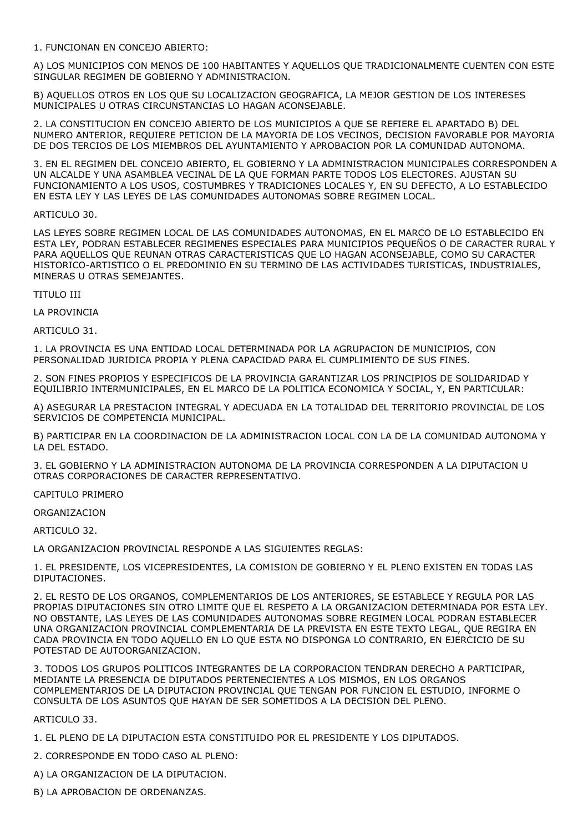1. FUNCIONAN EN CONCEJO ABIERTO:

A) LOS MUNICIPIOS CON MENOS DE 100 HABITANTES Y AQUELLOS QUE TRADICIONALMENTE CUENTEN CON ESTE SINGULAR REGIMEN DE GOBIERNO Y ADMINISTRACION.

B) AQUELLOS OTROS EN LOS QUE SU LOCALIZACION GEOGRAFICA, LA MEJOR GESTION DE LOS INTERESES MUNICIPALES U OTRAS CIRCUNSTANCIAS LO HAGAN ACONSEJABLE.

2. LA CONSTITUCION EN CONCEJO ABIERTO DE LOS MUNICIPIOS A QUE SE REFIERE EL APARTADO B) DEL NUMERO ANTERIOR, REQUIERE PETICION DE LA MAYORIA DE LOS VECINOS, DECISION FAVORABLE POR MAYORIA DE DOS TERCIOS DE LOS MIEMBROS DEL AYUNTAMIENTO Y APROBACION POR LA COMUNIDAD AUTONOMA.

3. EN EL REGIMEN DEL CONCEJO ABIERTO, EL GOBIERNO Y LA ADMINISTRACION MUNICIPALES CORRESPONDEN A UN ALCALDE Y UNA ASAMBLEA VECINAL DE LA QUE FORMAN PARTE TODOS LOS ELECTORES. AJUSTAN SU FUNCIONAMIENTO A LOS USOS, COSTUMBRES Y TRADICIONES LOCALES Y, EN SU DEFECTO, A LO ESTABLECIDO EN ESTA LEY Y LAS LEYES DE LAS COMUNIDADES AUTONOMAS SOBRE REGIMEN LOCAL.

# ARTICULO 30.

LAS LEYES SOBRE REGIMEN LOCAL DE LAS COMUNIDADES AUTONOMAS, EN EL MARCO DE LO ESTABLECIDO EN ESTA LEY, PODRAN ESTABLECER REGIMENES ESPECIALES PARA MUNICIPIOS PEQUEÑOS O DE CARACTER RURAL Y PARA AQUELLOS QUE REUNAN OTRAS CARACTERISTICAS QUE LO HAGAN ACONSEJABLE, COMO SU CARACTER HISTORICO-ARTISTICO O EL PREDOMINIO EN SU TERMINO DE LAS ACTIVIDADES TURISTICAS, INDUSTRIALES, MINERAS U OTRAS SEMEJANTES.

TITULO III

LA PROVINCIA

ARTICULO 31.

1. LA PROVINCIA ES UNA ENTIDAD LOCAL DETERMINADA POR LA AGRUPACION DE MUNICIPIOS, CON PERSONALIDAD JURIDICA PROPIA Y PLENA CAPACIDAD PARA EL CUMPLIMIENTO DE SUS FINES.

2. SON FINES PROPIOS Y ESPECIFICOS DE LA PROVINCIA GARANTIZAR LOS PRINCIPIOS DE SOLIDARIDAD Y EQUILIBRIO INTERMUNICIPALES, EN EL MARCO DE LA POLITICA ECONOMICA Y SOCIAL, Y, EN PARTICULAR:

A) ASEGURAR LA PRESTACION INTEGRAL Y ADECUADA EN LA TOTALIDAD DEL TERRITORIO PROVINCIAL DE LOS SERVICIOS DE COMPETENCIA MUNICIPAL.

B) PARTICIPAR EN LA COORDINACION DE LA ADMINISTRACION LOCAL CON LA DE LA COMUNIDAD AUTONOMA Y LA DEL ESTADO.

3. EL GOBIERNO Y LA ADMINISTRACION AUTONOMA DE LA PROVINCIA CORRESPONDEN A LA DIPUTACION U OTRAS CORPORACIONES DE CARACTER REPRESENTATIVO.

CAPITULO PRIMERO

ORGANIZACION

ARTICULO 32.

LA ORGANIZACION PROVINCIAL RESPONDE A LAS SIGUIENTES REGLAS:

1. EL PRESIDENTE, LOS VICEPRESIDENTES, LA COMISION DE GOBIERNO Y EL PLENO EXISTEN EN TODAS LAS DIPUTACIONES.

2. EL RESTO DE LOS ORGANOS, COMPLEMENTARIOS DE LOS ANTERIORES, SE ESTABLECE Y REGULA POR LAS PROPIAS DIPUTACIONES SIN OTRO LIMITE QUE EL RESPETO A LA ORGANIZACION DETERMINADA POR ESTA LEY. NO OBSTANTE, LAS LEYES DE LAS COMUNIDADES AUTONOMAS SOBRE REGIMEN LOCAL PODRAN ESTABLECER UNA ORGANIZACION PROVINCIAL COMPLEMENTARIA DE LA PREVISTA EN ESTE TEXTO LEGAL, QUE REGIRA EN CADA PROVINCIA EN TODO AQUELLO EN LO QUE ESTA NO DISPONGA LO CONTRARIO, EN EJERCICIO DE SU POTESTAD DE AUTOORGANIZACION.

3. TODOS LOS GRUPOS POLITICOS INTEGRANTES DE LA CORPORACION TENDRAN DERECHO A PARTICIPAR, MEDIANTE LA PRESENCIA DE DIPUTADOS PERTENECIENTES A LOS MISMOS, EN LOS ORGANOS COMPLEMENTARIOS DE LA DIPUTACION PROVINCIAL QUE TENGAN POR FUNCION EL ESTUDIO, INFORME O CONSULTA DE LOS ASUNTOS QUE HAYAN DE SER SOMETIDOS A LA DECISION DEL PLENO.

ARTICULO 33.

1. EL PLENO DE LA DIPUTACION ESTA CONSTITUIDO POR EL PRESIDENTE Y LOS DIPUTADOS.

2. CORRESPONDE EN TODO CASO AL PLENO:

A) LA ORGANIZACION DE LA DIPUTACION.

B) LA APROBACION DE ORDENANZAS.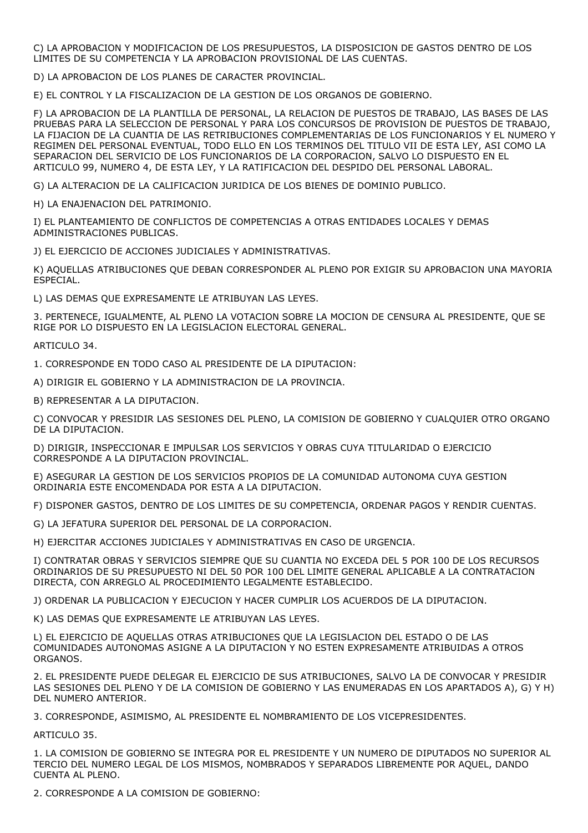C) LA APROBACION Y MODIFICACION DE LOS PRESUPUESTOS, LA DISPOSICION DE GASTOS DENTRO DE LOS LIMITES DE SU COMPETENCIA Y LA APROBACION PROVISIONAL DE LAS CUENTAS.

D) LA APROBACION DE LOS PLANES DE CARACTER PROVINCIAL.

E) EL CONTROL Y LA FISCALIZACION DE LA GESTION DE LOS ORGANOS DE GOBIERNO.

F) LA APROBACION DE LA PLANTILLA DE PERSONAL, LA RELACION DE PUESTOS DE TRABAJO, LAS BASES DE LAS PRUEBAS PARA LA SELECCION DE PERSONAL Y PARA LOS CONCURSOS DE PROVISION DE PUESTOS DE TRABAJO, LA FIJACION DE LA CUANTIA DE LAS RETRIBUCIONES COMPLEMENTARIAS DE LOS FUNCIONARIOS Y EL NUMERO Y REGIMEN DEL PERSONAL EVENTUAL, TODO ELLO EN LOS TERMINOS DEL TITULO VII DE ESTA LEY, ASI COMO LA SEPARACION DEL SERVICIO DE LOS FUNCIONARIOS DE LA CORPORACION, SALVO LO DISPUESTO EN EL ARTICULO 99, NUMERO 4, DE ESTA LEY, Y LA RATIFICACION DEL DESPIDO DEL PERSONAL LABORAL.

G) LA ALTERACION DE LA CALIFICACION JURIDICA DE LOS BIENES DE DOMINIO PUBLICO.

H) LA ENAJENACION DEL PATRIMONIO.

I) EL PLANTEAMIENTO DE CONFLICTOS DE COMPETENCIAS A OTRAS ENTIDADES LOCALES Y DEMAS ADMINISTRACIONES PUBLICAS.

J) EL EJERCICIO DE ACCIONES JUDICIALES Y ADMINISTRATIVAS.

K) AQUELLAS ATRIBUCIONES QUE DEBAN CORRESPONDER AL PLENO POR EXIGIR SU APROBACION UNA MAYORIA ESPECIAL.

L) LAS DEMAS QUE EXPRESAMENTE LE ATRIBUYAN LAS LEYES.

3. PERTENECE, IGUALMENTE, AL PLENO LA VOTACION SOBRE LA MOCION DE CENSURA AL PRESIDENTE, QUE SE RIGE POR LO DISPUESTO EN LA LEGISLACION ELECTORAL GENERAL.

ARTICULO 34.

1. CORRESPONDE EN TODO CASO AL PRESIDENTE DE LA DIPUTACION:

A) DIRIGIR EL GOBIERNO Y LA ADMINISTRACION DE LA PROVINCIA.

B) REPRESENTAR A LA DIPUTACION.

C) CONVOCAR Y PRESIDIR LAS SESIONES DEL PLENO, LA COMISION DE GOBIERNO Y CUALQUIER OTRO ORGANO DE LA DIPUTACION.

D) DIRIGIR, INSPECCIONAR E IMPULSAR LOS SERVICIOS Y OBRAS CUYA TITULARIDAD O EJERCICIO CORRESPONDE A LA DIPUTACION PROVINCIAL.

E) ASEGURAR LA GESTION DE LOS SERVICIOS PROPIOS DE LA COMUNIDAD AUTONOMA CUYA GESTION ORDINARIA ESTE ENCOMENDADA POR ESTA A LA DIPUTACION.

F) DISPONER GASTOS, DENTRO DE LOS LIMITES DE SU COMPETENCIA, ORDENAR PAGOS Y RENDIR CUENTAS.

G) LA JEFATURA SUPERIOR DEL PERSONAL DE LA CORPORACION.

H) EJERCITAR ACCIONES JUDICIALES Y ADMINISTRATIVAS EN CASO DE URGENCIA.

I) CONTRATAR OBRAS Y SERVICIOS SIEMPRE QUE SU CUANTIA NO EXCEDA DEL 5 POR 100 DE LOS RECURSOS ORDINARIOS DE SU PRESUPUESTO NI DEL 50 POR 100 DEL LIMITE GENERAL APLICABLE A LA CONTRATACION DIRECTA, CON ARREGLO AL PROCEDIMIENTO LEGALMENTE ESTABLECIDO.

J) ORDENAR LA PUBLICACION Y EJECUCION Y HACER CUMPLIR LOS ACUERDOS DE LA DIPUTACION.

K) LAS DEMAS QUE EXPRESAMENTE LE ATRIBUYAN LAS LEYES.

L) EL EJERCICIO DE AQUELLAS OTRAS ATRIBUCIONES QUE LA LEGISLACION DEL ESTADO O DE LAS COMUNIDADES AUTONOMAS ASIGNE A LA DIPUTACION Y NO ESTEN EXPRESAMENTE ATRIBUIDAS A OTROS ORGANOS.

2. EL PRESIDENTE PUEDE DELEGAR EL EJERCICIO DE SUS ATRIBUCIONES, SALVO LA DE CONVOCAR Y PRESIDIR LAS SESIONES DEL PLENO Y DE LA COMISION DE GOBIERNO Y LAS ENUMERADAS EN LOS APARTADOS A), G) Y H) DEL NUMERO ANTERIOR.

3. CORRESPONDE, ASIMISMO, AL PRESIDENTE EL NOMBRAMIENTO DE LOS VICEPRESIDENTES.

ARTICULO 35.

1. LA COMISION DE GOBIERNO SE INTEGRA POR EL PRESIDENTE Y UN NUMERO DE DIPUTADOS NO SUPERIOR AL TERCIO DEL NUMERO LEGAL DE LOS MISMOS, NOMBRADOS Y SEPARADOS LIBREMENTE POR AQUEL, DANDO CUENTA AL PLENO.

2. CORRESPONDE A LA COMISION DE GOBIERNO: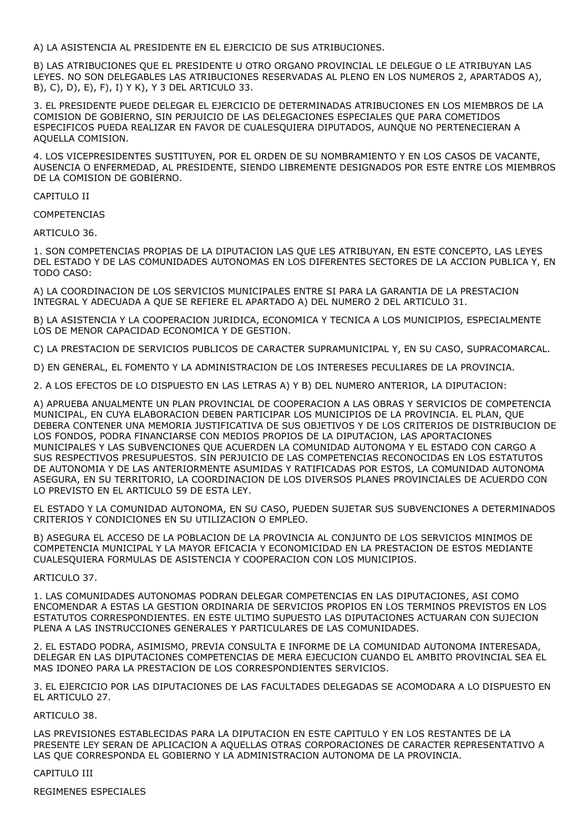A) LA ASISTENCIA AL PRESIDENTE EN EL EJERCICIO DE SUS ATRIBUCIONES.

B) LAS ATRIBUCIONES QUE EL PRESIDENTE U OTRO ORGANO PROVINCIAL LE DELEGUE O LE ATRIBUYAN LAS LEYES. NO SON DELEGABLES LAS ATRIBUCIONES RESERVADAS AL PLENO EN LOS NUMEROS 2, APARTADOS A), B), C), D), E), F), I) Y K), Y 3 DEL ARTICULO 33.

3. EL PRESIDENTE PUEDE DELEGAR EL EJERCICIO DE DETERMINADAS ATRIBUCIONES EN LOS MIEMBROS DE LA COMISION DE GOBIERNO, SIN PERJUICIO DE LAS DELEGACIONES ESPECIALES QUE PARA COMETIDOS ESPECIFICOS PUEDA REALIZAR EN FAVOR DE CUALESQUIERA DIPUTADOS, AUNQUE NO PERTENECIERAN A AQUELLA COMISION.

4. LOS VICEPRESIDENTES SUSTITUYEN, POR EL ORDEN DE SU NOMBRAMIENTO Y EN LOS CASOS DE VACANTE, AUSENCIA O ENFERMEDAD, AL PRESIDENTE, SIENDO LIBREMENTE DESIGNADOS POR ESTE ENTRE LOS MIEMBROS DE LA COMISION DE GOBIERNO.

CAPITULO II

COMPETENCIAS

ARTICULO 36.

1. SON COMPETENCIAS PROPIAS DE LA DIPUTACION LAS QUE LES ATRIBUYAN, EN ESTE CONCEPTO, LAS LEYES DEL ESTADO Y DE LAS COMUNIDADES AUTONOMAS EN LOS DIFERENTES SECTORES DE LA ACCION PUBLICA Y, EN TODO CASO:

A) LA COORDINACION DE LOS SERVICIOS MUNICIPALES ENTRE SI PARA LA GARANTIA DE LA PRESTACION INTEGRAL Y ADECUADA A QUE SE REFIERE EL APARTADO A) DEL NUMERO 2 DEL ARTICULO 31.

B) LA ASISTENCIA Y LA COOPERACION JURIDICA, ECONOMICA Y TECNICA A LOS MUNICIPIOS, ESPECIALMENTE LOS DE MENOR CAPACIDAD ECONOMICA Y DE GESTION.

C) LA PRESTACION DE SERVICIOS PUBLICOS DE CARACTER SUPRAMUNICIPAL Y, EN SU CASO, SUPRACOMARCAL.

D) EN GENERAL, EL FOMENTO Y LA ADMINISTRACION DE LOS INTERESES PECULIARES DE LA PROVINCIA.

2. A LOS EFECTOS DE LO DISPUESTO EN LAS LETRAS A) Y B) DEL NUMERO ANTERIOR, LA DIPUTACION:

A) APRUEBA ANUALMENTE UN PLAN PROVINCIAL DE COOPERACION A LAS OBRAS Y SERVICIOS DE COMPETENCIA MUNICIPAL, EN CUYA ELABORACION DEBEN PARTICIPAR LOS MUNICIPIOS DE LA PROVINCIA. EL PLAN, QUE DEBERA CONTENER UNA MEMORIA JUSTIFICATIVA DE SUS OBJETIVOS Y DE LOS CRITERIOS DE DISTRIBUCION DE LOS FONDOS, PODRA FINANCIARSE CON MEDIOS PROPIOS DE LA DIPUTACION, LAS APORTACIONES MUNICIPALES Y LAS SUBVENCIONES QUE ACUERDEN LA COMUNIDAD AUTONOMA Y EL ESTADO CON CARGO A SUS RESPECTIVOS PRESUPUESTOS. SIN PERJUICIO DE LAS COMPETENCIAS RECONOCIDAS EN LOS ESTATUTOS DE AUTONOMIA Y DE LAS ANTERIORMENTE ASUMIDAS Y RATIFICADAS POR ESTOS, LA COMUNIDAD AUTONOMA ASEGURA, EN SU TERRITORIO, LA COORDINACION DE LOS DIVERSOS PLANES PROVINCIALES DE ACUERDO CON LO PREVISTO EN EL ARTICULO 59 DE ESTA LEY.

EL ESTADO Y LA COMUNIDAD AUTONOMA, EN SU CASO, PUEDEN SUJETAR SUS SUBVENCIONES A DETERMINADOS CRITERIOS Y CONDICIONES EN SU UTILIZACION O EMPLEO.

B) ASEGURA EL ACCESO DE LA POBLACION DE LA PROVINCIA AL CONJUNTO DE LOS SERVICIOS MINIMOS DE COMPETENCIA MUNICIPAL Y LA MAYOR EFICACIA Y ECONOMICIDAD EN LA PRESTACION DE ESTOS MEDIANTE CUALESQUIERA FORMULAS DE ASISTENCIA Y COOPERACION CON LOS MUNICIPIOS.

ARTICULO 37.

1. LAS COMUNIDADES AUTONOMAS PODRAN DELEGAR COMPETENCIAS EN LAS DIPUTACIONES, ASI COMO ENCOMENDAR A ESTAS LA GESTION ORDINARIA DE SERVICIOS PROPIOS EN LOS TERMINOS PREVISTOS EN LOS ESTATUTOS CORRESPONDIENTES. EN ESTE ULTIMO SUPUESTO LAS DIPUTACIONES ACTUARAN CON SUJECION PLENA A LAS INSTRUCCIONES GENERALES Y PARTICULARES DE LAS COMUNIDADES.

2. EL ESTADO PODRA, ASIMISMO, PREVIA CONSULTA E INFORME DE LA COMUNIDAD AUTONOMA INTERESADA, DELEGAR EN LAS DIPUTACIONES COMPETENCIAS DE MERA EJECUCION CUANDO EL AMBITO PROVINCIAL SEA EL MAS IDONEO PARA LA PRESTACION DE LOS CORRESPONDIENTES SERVICIOS.

3. EL EJERCICIO POR LAS DIPUTACIONES DE LAS FACULTADES DELEGADAS SE ACOMODARA A LO DISPUESTO EN EL ARTICULO 27.

ARTICULO 38.

LAS PREVISIONES ESTABLECIDAS PARA LA DIPUTACION EN ESTE CAPITULO Y EN LOS RESTANTES DE LA PRESENTE LEY SERAN DE APLICACION A AQUELLAS OTRAS CORPORACIONES DE CARACTER REPRESENTATIVO A LAS QUE CORRESPONDA EL GOBIERNO Y LA ADMINISTRACION AUTONOMA DE LA PROVINCIA.

# CAPITULO III

REGIMENES ESPECIALES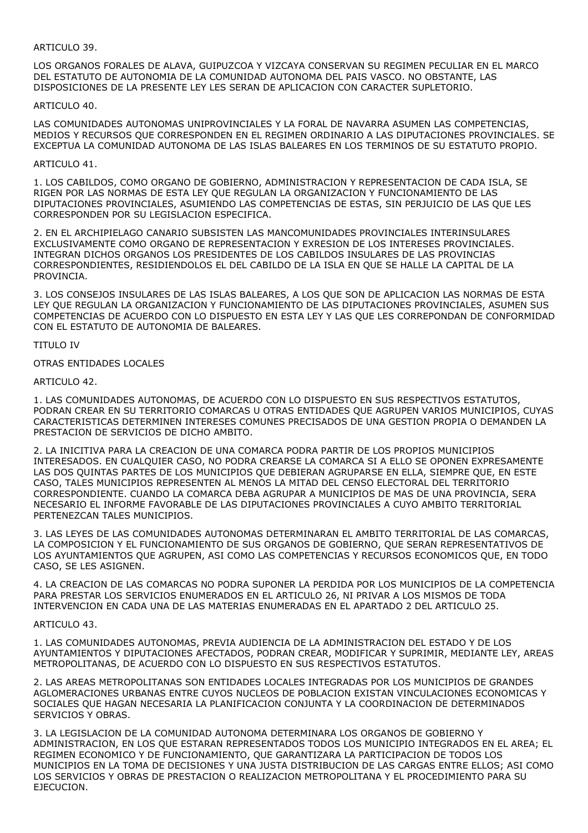### ARTICULO 39.

LOS ORGANOS FORALES DE ALAVA, GUIPUZCOA Y VIZCAYA CONSERVAN SU REGIMEN PECULIAR EN EL MARCO DEL ESTATUTO DE AUTONOMIA DE LA COMUNIDAD AUTONOMA DEL PAIS VASCO. NO OBSTANTE, LAS DISPOSICIONES DE LA PRESENTE LEY LES SERAN DE APLICACION CON CARACTER SUPLETORIO.

#### ARTICULO 40.

LAS COMUNIDADES AUTONOMAS UNIPROVINCIALES Y LA FORAL DE NAVARRA ASUMEN LAS COMPETENCIAS, MEDIOS Y RECURSOS QUE CORRESPONDEN EN EL REGIMEN ORDINARIO A LAS DIPUTACIONES PROVINCIALES. SE EXCEPTUA LA COMUNIDAD AUTONOMA DE LAS ISLAS BALEARES EN LOS TERMINOS DE SU ESTATUTO PROPIO.

### ARTICULO 41.

1. LOS CABILDOS, COMO ORGANO DE GOBIERNO, ADMINISTRACION Y REPRESENTACION DE CADA ISLA, SE RIGEN POR LAS NORMAS DE ESTA LEY QUE REGULAN LA ORGANIZACION Y FUNCIONAMIENTO DE LAS DIPUTACIONES PROVINCIALES, ASUMIENDO LAS COMPETENCIAS DE ESTAS, SIN PERJUICIO DE LAS QUE LES CORRESPONDEN POR SU LEGISLACION ESPECIFICA.

2. EN EL ARCHIPIELAGO CANARIO SUBSISTEN LAS MANCOMUNIDADES PROVINCIALES INTERINSULARES EXCLUSIVAMENTE COMO ORGANO DE REPRESENTACION Y EXRESION DE LOS INTERESES PROVINCIALES. INTEGRAN DICHOS ORGANOS LOS PRESIDENTES DE LOS CABILDOS INSULARES DE LAS PROVINCIAS CORRESPONDIENTES, RESIDIENDOLOS EL DEL CABILDO DE LA ISLA EN QUE SE HALLE LA CAPITAL DE LA PROVINCIA.

3. LOS CONSEJOS INSULARES DE LAS ISLAS BALEARES, A LOS QUE SON DE APLICACION LAS NORMAS DE ESTA LEY QUE REGULAN LA ORGANIZACION Y FUNCIONAMIENTO DE LAS DIPUTACIONES PROVINCIALES, ASUMEN SUS COMPETENCIAS DE ACUERDO CON LO DISPUESTO EN ESTA LEY Y LAS QUE LES CORREPONDAN DE CONFORMIDAD CON EL ESTATUTO DE AUTONOMIA DE BALEARES.

#### TITULO IV

#### OTRAS ENTIDADES LOCALES

ARTICULO 42.

1. LAS COMUNIDADES AUTONOMAS, DE ACUERDO CON LO DISPUESTO EN SUS RESPECTIVOS ESTATUTOS, PODRAN CREAR EN SU TERRITORIO COMARCAS U OTRAS ENTIDADES QUE AGRUPEN VARIOS MUNICIPIOS, CUYAS CARACTERISTICAS DETERMINEN INTERESES COMUNES PRECISADOS DE UNA GESTION PROPIA O DEMANDEN LA PRESTACION DE SERVICIOS DE DICHO AMBITO.

2. LA INICITIVA PARA LA CREACION DE UNA COMARCA PODRA PARTIR DE LOS PROPIOS MUNICIPIOS INTERESADOS. EN CUALQUIER CASO, NO PODRA CREARSE LA COMARCA SI A ELLO SE OPONEN EXPRESAMENTE LAS DOS QUINTAS PARTES DE LOS MUNICIPIOS QUE DEBIERAN AGRUPARSE EN ELLA, SIEMPRE QUE, EN ESTE CASO, TALES MUNICIPIOS REPRESENTEN AL MENOS LA MITAD DEL CENSO ELECTORAL DEL TERRITORIO CORRESPONDIENTE. CUANDO LA COMARCA DEBA AGRUPAR A MUNICIPIOS DE MAS DE UNA PROVINCIA, SERA NECESARIO EL INFORME FAVORABLE DE LAS DIPUTACIONES PROVINCIALES A CUYO AMBITO TERRITORIAL PERTENEZCAN TALES MUNICIPIOS.

3. LAS LEYES DE LAS COMUNIDADES AUTONOMAS DETERMINARAN EL AMBITO TERRITORIAL DE LAS COMARCAS, LA COMPOSICION Y EL FUNCIONAMIENTO DE SUS ORGANOS DE GOBIERNO, QUE SERAN REPRESENTATIVOS DE LOS AYUNTAMIENTOS QUE AGRUPEN, ASI COMO LAS COMPETENCIAS Y RECURSOS ECONOMICOS QUE, EN TODO CASO, SE LES ASIGNEN.

4. LA CREACION DE LAS COMARCAS NO PODRA SUPONER LA PERDIDA POR LOS MUNICIPIOS DE LA COMPETENCIA PARA PRESTAR LOS SERVICIOS ENUMERADOS EN EL ARTICULO 26, NI PRIVAR A LOS MISMOS DE TODA INTERVENCION EN CADA UNA DE LAS MATERIAS ENUMERADAS EN EL APARTADO 2 DEL ARTICULO 25.

# ARTICULO 43.

1. LAS COMUNIDADES AUTONOMAS, PREVIA AUDIENCIA DE LA ADMINISTRACION DEL ESTADO Y DE LOS AYUNTAMIENTOS Y DIPUTACIONES AFECTADOS, PODRAN CREAR, MODIFICAR Y SUPRIMIR, MEDIANTE LEY, AREAS METROPOLITANAS, DE ACUERDO CON LO DISPUESTO EN SUS RESPECTIVOS ESTATUTOS.

2. LAS AREAS METROPOLITANAS SON ENTIDADES LOCALES INTEGRADAS POR LOS MUNICIPIOS DE GRANDES AGLOMERACIONES URBANAS ENTRE CUYOS NUCLEOS DE POBLACION EXISTAN VINCULACIONES ECONOMICAS Y SOCIALES QUE HAGAN NECESARIA LA PLANIFICACION CONJUNTA Y LA COORDINACION DE DETERMINADOS SERVICIOS Y OBRAS.

3. LA LEGISLACION DE LA COMUNIDAD AUTONOMA DETERMINARA LOS ORGANOS DE GOBIERNO Y ADMINISTRACION, EN LOS QUE ESTARAN REPRESENTADOS TODOS LOS MUNICIPIO INTEGRADOS EN EL AREA; EL REGIMEN ECONOMICO Y DE FUNCIONAMIENTO, QUE GARANTIZARA LA PARTICIPACION DE TODOS LOS MUNICIPIOS EN LA TOMA DE DECISIONES Y UNA JUSTA DISTRIBUCION DE LAS CARGAS ENTRE ELLOS; ASI COMO LOS SERVICIOS Y OBRAS DE PRESTACION O REALIZACION METROPOLITANA Y EL PROCEDIMIENTO PARA SU EJECUCION.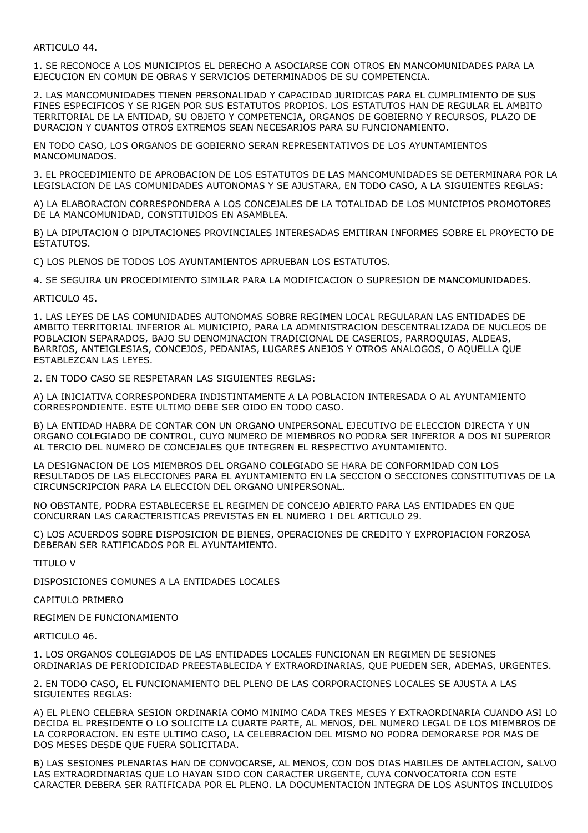# ARTICULO 44.

1. SE RECONOCE A LOS MUNICIPIOS EL DERECHO A ASOCIARSE CON OTROS EN MANCOMUNIDADES PARA LA EJECUCION EN COMUN DE OBRAS Y SERVICIOS DETERMINADOS DE SU COMPETENCIA.

2. LAS MANCOMUNIDADES TIENEN PERSONALIDAD Y CAPACIDAD JURIDICAS PARA EL CUMPLIMIENTO DE SUS FINES ESPECIFICOS Y SE RIGEN POR SUS ESTATUTOS PROPIOS. LOS ESTATUTOS HAN DE REGULAR EL AMBITO TERRITORIAL DE LA ENTIDAD, SU OBJETO Y COMPETENCIA, ORGANOS DE GOBIERNO Y RECURSOS, PLAZO DE DURACION Y CUANTOS OTROS EXTREMOS SEAN NECESARIOS PARA SU FUNCIONAMIENTO.

EN TODO CASO, LOS ORGANOS DE GOBIERNO SERAN REPRESENTATIVOS DE LOS AYUNTAMIENTOS MANCOMUNADOS.

3. EL PROCEDIMIENTO DE APROBACION DE LOS ESTATUTOS DE LAS MANCOMUNIDADES SE DETERMINARA POR LA LEGISLACION DE LAS COMUNIDADES AUTONOMAS Y SE AJUSTARA, EN TODO CASO, A LA SIGUIENTES REGLAS:

A) LA ELABORACION CORRESPONDERA A LOS CONCEJALES DE LA TOTALIDAD DE LOS MUNICIPIOS PROMOTORES DE LA MANCOMUNIDAD, CONSTITUIDOS EN ASAMBLEA.

B) LA DIPUTACION O DIPUTACIONES PROVINCIALES INTERESADAS EMITIRAN INFORMES SOBRE EL PROYECTO DE ESTATUTOS.

C) LOS PLENOS DE TODOS LOS AYUNTAMIENTOS APRUEBAN LOS ESTATUTOS.

4. SE SEGUIRA UN PROCEDIMIENTO SIMILAR PARA LA MODIFICACION O SUPRESION DE MANCOMUNIDADES.

ARTICULO 45.

1. LAS LEYES DE LAS COMUNIDADES AUTONOMAS SOBRE REGIMEN LOCAL REGULARAN LAS ENTIDADES DE AMBITO TERRITORIAL INFERIOR AL MUNICIPIO, PARA LA ADMINISTRACION DESCENTRALIZADA DE NUCLEOS DE POBLACION SEPARADOS, BAJO SU DENOMINACION TRADICIONAL DE CASERIOS, PARROQUIAS, ALDEAS, BARRIOS, ANTEIGLESIAS, CONCEJOS, PEDANIAS, LUGARES ANEJOS Y OTROS ANALOGOS, O AQUELLA QUE ESTABLEZCAN LAS LEYES.

2. EN TODO CASO SE RESPETARAN LAS SIGUIENTES REGLAS:

A) LA INICIATIVA CORRESPONDERA INDISTINTAMENTE A LA POBLACION INTERESADA O AL AYUNTAMIENTO CORRESPONDIENTE. ESTE ULTIMO DEBE SER OIDO EN TODO CASO.

B) LA ENTIDAD HABRA DE CONTAR CON UN ORGANO UNIPERSONAL EJECUTIVO DE ELECCION DIRECTA Y UN ORGANO COLEGIADO DE CONTROL, CUYO NUMERO DE MIEMBROS NO PODRA SER INFERIOR A DOS NI SUPERIOR AL TERCIO DEL NUMERO DE CONCEJALES QUE INTEGREN EL RESPECTIVO AYUNTAMIENTO.

LA DESIGNACION DE LOS MIEMBROS DEL ORGANO COLEGIADO SE HARA DE CONFORMIDAD CON LOS RESULTADOS DE LAS ELECCIONES PARA EL AYUNTAMIENTO EN LA SECCION O SECCIONES CONSTITUTIVAS DE LA CIRCUNSCRIPCION PARA LA ELECCION DEL ORGANO UNIPERSONAL.

NO OBSTANTE, PODRA ESTABLECERSE EL REGIMEN DE CONCEJO ABIERTO PARA LAS ENTIDADES EN QUE CONCURRAN LAS CARACTERISTICAS PREVISTAS EN EL NUMERO 1 DEL ARTICULO 29.

C) LOS ACUERDOS SOBRE DISPOSICION DE BIENES, OPERACIONES DE CREDITO Y EXPROPIACION FORZOSA DEBERAN SER RATIFICADOS POR EL AYUNTAMIENTO.

TITULO V

DISPOSICIONES COMUNES A LA ENTIDADES LOCALES

CAPITULO PRIMERO

REGIMEN DE FUNCIONAMIENTO

ARTICULO 46.

1. LOS ORGANOS COLEGIADOS DE LAS ENTIDADES LOCALES FUNCIONAN EN REGIMEN DE SESIONES ORDINARIAS DE PERIODICIDAD PREESTABLECIDA Y EXTRAORDINARIAS, QUE PUEDEN SER, ADEMAS, URGENTES.

2. EN TODO CASO, EL FUNCIONAMIENTO DEL PLENO DE LAS CORPORACIONES LOCALES SE AJUSTA A LAS SIGUIENTES REGLAS:

A) EL PLENO CELEBRA SESION ORDINARIA COMO MINIMO CADA TRES MESES Y EXTRAORDINARIA CUANDO ASI LO DECIDA EL PRESIDENTE O LO SOLICITE LA CUARTE PARTE, AL MENOS, DEL NUMERO LEGAL DE LOS MIEMBROS DE LA CORPORACION. EN ESTE ULTIMO CASO, LA CELEBRACION DEL MISMO NO PODRA DEMORARSE POR MAS DE DOS MESES DESDE QUE FUERA SOLICITADA.

B) LAS SESIONES PLENARIAS HAN DE CONVOCARSE, AL MENOS, CON DOS DIAS HABILES DE ANTELACION, SALVO LAS EXTRAORDINARIAS QUE LO HAYAN SIDO CON CARACTER URGENTE, CUYA CONVOCATORIA CON ESTE CARACTER DEBERA SER RATIFICADA POR EL PLENO. LA DOCUMENTACION INTEGRA DE LOS ASUNTOS INCLUIDOS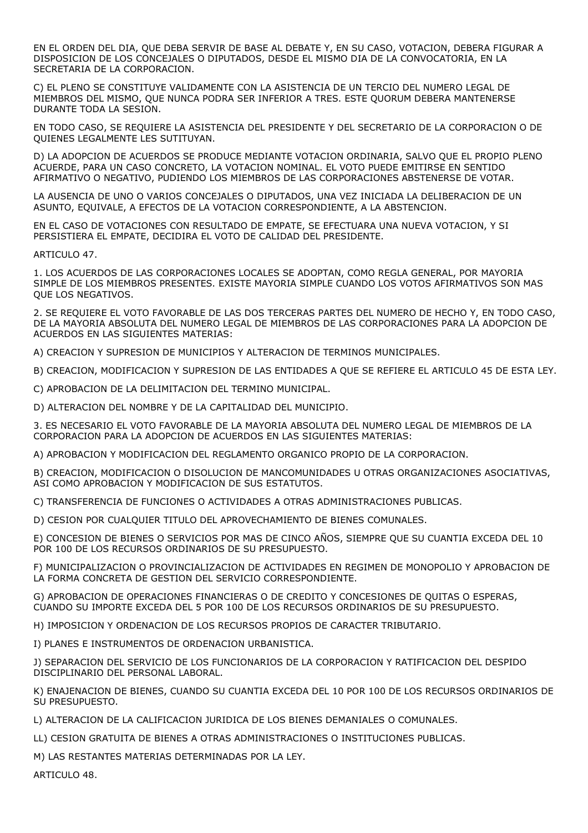EN EL ORDEN DEL DIA, QUE DEBA SERVIR DE BASE AL DEBATE Y, EN SU CASO, VOTACION, DEBERA FIGURAR A DISPOSICION DE LOS CONCEJALES O DIPUTADOS, DESDE EL MISMO DIA DE LA CONVOCATORIA, EN LA SECRETARIA DE LA CORPORACION.

C) EL PLENO SE CONSTITUYE VALIDAMENTE CON LA ASISTENCIA DE UN TERCIO DEL NUMERO LEGAL DE MIEMBROS DEL MISMO, QUE NUNCA PODRA SER INFERIOR A TRES. ESTE QUORUM DEBERA MANTENERSE DURANTE TODA LA SESION.

EN TODO CASO, SE REQUIERE LA ASISTENCIA DEL PRESIDENTE Y DEL SECRETARIO DE LA CORPORACION O DE QUIENES LEGALMENTE LES SUTITUYAN.

D) LA ADOPCION DE ACUERDOS SE PRODUCE MEDIANTE VOTACION ORDINARIA, SALVO QUE EL PROPIO PLENO ACUERDE, PARA UN CASO CONCRETO, LA VOTACION NOMINAL. EL VOTO PUEDE EMITIRSE EN SENTIDO AFIRMATIVO O NEGATIVO, PUDIENDO LOS MIEMBROS DE LAS CORPORACIONES ABSTENERSE DE VOTAR.

LA AUSENCIA DE UNO O VARIOS CONCEJALES O DIPUTADOS, UNA VEZ INICIADA LA DELIBERACION DE UN ASUNTO, EQUIVALE, A EFECTOS DE LA VOTACION CORRESPONDIENTE, A LA ABSTENCION.

EN EL CASO DE VOTACIONES CON RESULTADO DE EMPATE, SE EFECTUARA UNA NUEVA VOTACION, Y SI PERSISTIERA EL EMPATE, DECIDIRA EL VOTO DE CALIDAD DEL PRESIDENTE.

ARTICULO 47.

1. LOS ACUERDOS DE LAS CORPORACIONES LOCALES SE ADOPTAN, COMO REGLA GENERAL, POR MAYORIA SIMPLE DE LOS MIEMBROS PRESENTES. EXISTE MAYORIA SIMPLE CUANDO LOS VOTOS AFIRMATIVOS SON MAS QUE LOS NEGATIVOS.

2. SE REQUIERE EL VOTO FAVORABLE DE LAS DOS TERCERAS PARTES DEL NUMERO DE HECHO Y, EN TODO CASO, DE LA MAYORIA ABSOLUTA DEL NUMERO LEGAL DE MIEMBROS DE LAS CORPORACIONES PARA LA ADOPCION DE ACUERDOS EN LAS SIGUIENTES MATERIAS:

A) CREACION Y SUPRESION DE MUNICIPIOS Y ALTERACION DE TERMINOS MUNICIPALES.

B) CREACION, MODIFICACION Y SUPRESION DE LAS ENTIDADES A QUE SE REFIERE EL ARTICULO 45 DE ESTA LEY.

C) APROBACION DE LA DELIMITACION DEL TERMINO MUNICIPAL.

D) ALTERACION DEL NOMBRE Y DE LA CAPITALIDAD DEL MUNICIPIO.

3. ES NECESARIO EL VOTO FAVORABLE DE LA MAYORIA ABSOLUTA DEL NUMERO LEGAL DE MIEMBROS DE LA CORPORACION PARA LA ADOPCION DE ACUERDOS EN LAS SIGUIENTES MATERIAS:

A) APROBACION Y MODIFICACION DEL REGLAMENTO ORGANICO PROPIO DE LA CORPORACION.

B) CREACION, MODIFICACION O DISOLUCION DE MANCOMUNIDADES U OTRAS ORGANIZACIONES ASOCIATIVAS, ASI COMO APROBACION Y MODIFICACION DE SUS ESTATUTOS.

C) TRANSFERENCIA DE FUNCIONES O ACTIVIDADES A OTRAS ADMINISTRACIONES PUBLICAS.

D) CESION POR CUALQUIER TITULO DEL APROVECHAMIENTO DE BIENES COMUNALES.

E) CONCESION DE BIENES O SERVICIOS POR MAS DE CINCO AÑOS, SIEMPRE QUE SU CUANTIA EXCEDA DEL 10 POR 100 DE LOS RECURSOS ORDINARIOS DE SU PRESUPUESTO.

F) MUNICIPALIZACION O PROVINCIALIZACION DE ACTIVIDADES EN REGIMEN DE MONOPOLIO Y APROBACION DE LA FORMA CONCRETA DE GESTION DEL SERVICIO CORRESPONDIENTE.

G) APROBACION DE OPERACIONES FINANCIERAS O DE CREDITO Y CONCESIONES DE QUITAS O ESPERAS, CUANDO SU IMPORTE EXCEDA DEL 5 POR 100 DE LOS RECURSOS ORDINARIOS DE SU PRESUPUESTO.

H) IMPOSICION Y ORDENACION DE LOS RECURSOS PROPIOS DE CARACTER TRIBUTARIO.

I) PLANES E INSTRUMENTOS DE ORDENACION URBANISTICA.

J) SEPARACION DEL SERVICIO DE LOS FUNCIONARIOS DE LA CORPORACION Y RATIFICACION DEL DESPIDO DISCIPLINARIO DEL PERSONAL LABORAL.

K) ENAJENACION DE BIENES, CUANDO SU CUANTIA EXCEDA DEL 10 POR 100 DE LOS RECURSOS ORDINARIOS DE SU PRESUPUESTO.

L) ALTERACION DE LA CALIFICACION JURIDICA DE LOS BIENES DEMANIALES O COMUNALES.

LL) CESION GRATUITA DE BIENES A OTRAS ADMINISTRACIONES O INSTITUCIONES PUBLICAS.

M) LAS RESTANTES MATERIAS DETERMINADAS POR LA LEY.

ARTICULO 48.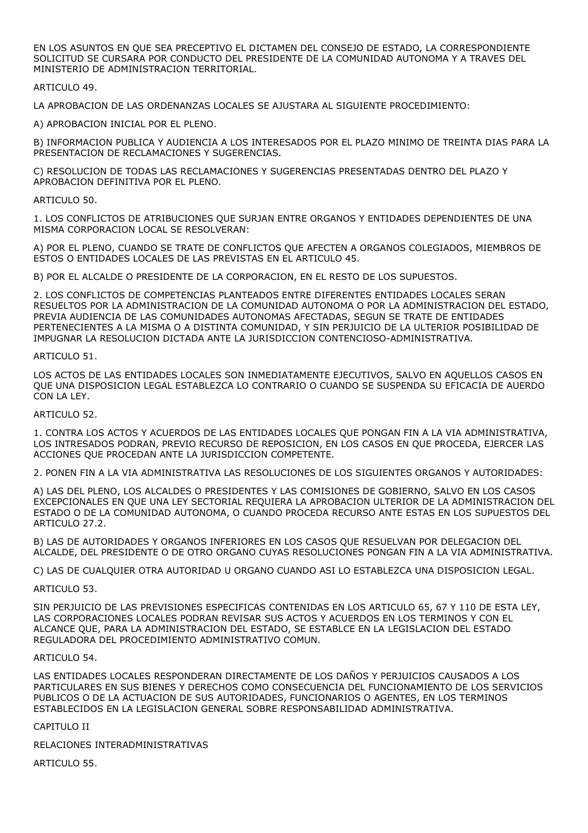EN LOS ASUNTOS EN QUE SEA PRECEPTIVO EL DICTAMEN DEL CONSEJO DE ESTADO, LA CORRESPONDIENTE SOLICITUD SE CURSARA POR CONDUCTO DEL PRESIDENTE DE LA COMUNIDAD AUTONOMA Y A TRAVES DEL MINISTERIO DE ADMINISTRACION TERRITORIAL.

ARTICULO 49.

LA APROBACION DE LAS ORDENANZAS LOCALES SE AJUSTARA AL SIGUIENTE PROCEDIMIENTO:

A) APROBACION INICIAL POR EL PLENO.

B) INFORMACION PUBLICA Y AUDIENCIA A LOS INTERESADOS POR EL PLAZO MINIMO DE TREINTA DIAS PARA LA PRESENTACION DE RECLAMACIONES Y SUGERENCIAS.

C) RESOLUCION DE TODAS LAS RECLAMACIONES Y SUGERENCIAS PRESENTADAS DENTRO DEL PLAZO Y APROBACION DEFINITIVA POR EL PLENO.

### ARTICULO 50.

1. LOS CONFLICTOS DE ATRIBUCIONES QUE SURJAN ENTRE ORGANOS Y ENTIDADES DEPENDIENTES DE UNA MISMA CORPORACION LOCAL SE RESOLVERAN:

A) POR EL PLENO, CUANDO SE TRATE DE CONFLICTOS QUE AFECTEN A ORGANOS COLEGIADOS, MIEMBROS DE ESTOS O ENTIDADES LOCALES DE LAS PREVISTAS EN EL ARTICULO 45.

B) POR EL ALCALDE O PRESIDENTE DE LA CORPORACION, EN EL RESTO DE LOS SUPUESTOS.

2. LOS CONFLICTOS DE COMPETENCIAS PLANTEADOS ENTRE DIFERENTES ENTIDADES LOCALES SERAN RESUELTOS POR LA ADMINISTRACION DE LA COMUNIDAD AUTONOMA O POR LA ADMINISTRACION DEL ESTADO, PREVIA AUDIENCIA DE LAS COMUNIDADES AUTONOMAS AFECTADAS, SEGUN SE TRATE DE ENTIDADES PERTENECIENTES A LA MISMA O A DISTINTA COMUNIDAD, Y SIN PERJUICIO DE LA ULTERIOR POSIBILIDAD DE IMPUGNAR LA RESOLUCION DICTADA ANTE LA JURISDICCION CONTENCIOSO-ADMINISTRATIVA.

# ARTICULO 51.

LOS ACTOS DE LAS ENTIDADES LOCALES SON INMEDIATAMENTE EJECUTIVOS, SALVO EN AQUELLOS CASOS EN QUE UNA DISPOSICION LEGAL ESTABLEZCA LO CONTRARIO O CUANDO SE SUSPENDA SU EFICACIA DE AUERDO CON LA LEY.

### ARTICULO 52.

1. CONTRA LOS ACTOS Y ACUERDOS DE LAS ENTIDADES LOCALES QUE PONGAN FIN A LA VIA ADMINISTRATIVA, LOS INTRESADOS PODRAN, PREVIO RECURSO DE REPOSICION, EN LOS CASOS EN QUE PROCEDA, EJERCER LAS ACCIONES QUE PROCEDAN ANTE LA JURISDICCION COMPETENTE.

2. PONEN FIN A LA VIA ADMINISTRATIVA LAS RESOLUCIONES DE LOS SIGUIENTES ORGANOS Y AUTORIDADES:

A) LAS DEL PLENO, LOS ALCALDES O PRESIDENTES Y LAS COMISIONES DE GOBIERNO, SALVO EN LOS CASOS EXCEPCIONALES EN QUE UNA LEY SECTORIAL REQUIERA LA APROBACION ULTERIOR DE LA ADMINISTRACION DEL ESTADO O DE LA COMUNIDAD AUTONOMA, O CUANDO PROCEDA RECURSO ANTE ESTAS EN LOS SUPUESTOS DEL ARTICULO 27.2.

B) LAS DE AUTORIDADES Y ORGANOS INFERIORES EN LOS CASOS QUE RESUELVAN POR DELEGACION DEL ALCALDE, DEL PRESIDENTE O DE OTRO ORGANO CUYAS RESOLUCIONES PONGAN FIN A LA VIA ADMINISTRATIVA.

C) LAS DE CUALQUIER OTRA AUTORIDAD U ORGANO CUANDO ASI LO ESTABLEZCA UNA DISPOSICION LEGAL.

# ARTICULO 53.

SIN PERJUICIO DE LAS PREVISIONES ESPECIFICAS CONTENIDAS EN LOS ARTICULO 65, 67 Y 110 DE ESTA LEY, LAS CORPORACIONES LOCALES PODRAN REVISAR SUS ACTOS Y ACUERDOS EN LOS TERMINOS Y CON EL ALCANCE QUE, PARA LA ADMINISTRACION DEL ESTADO, SE ESTABLCE EN LA LEGISLACION DEL ESTADO REGULADORA DEL PROCEDIMIENTO ADMINISTRATIVO COMUN.

# ARTICULO 54.

LAS ENTIDADES LOCALES RESPONDERAN DIRECTAMENTE DE LOS DAÑOS Y PERJUICIOS CAUSADOS A LOS PARTICULARES EN SUS BIENES Y DERECHOS COMO CONSECUENCIA DEL FUNCIONAMIENTO DE LOS SERVICIOS PUBLICOS O DE LA ACTUACION DE SUS AUTORIDADES, FUNCIONARIOS O AGENTES, EN LOS TERMINOS ESTABLECIDOS EN LA LEGISLACION GENERAL SOBRE RESPONSABILIDAD ADMINISTRATIVA.

# CAPITULO II

RELACIONES INTERADMINISTRATIVAS

ARTICULO 55.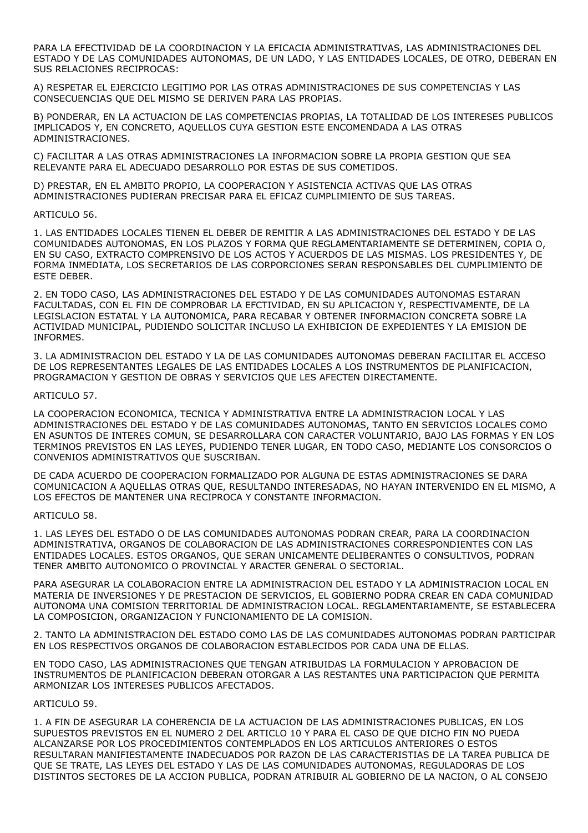PARA LA EFECTIVIDAD DE LA COORDINACION Y LA EFICACIA ADMINISTRATIVAS, LAS ADMINISTRACIONES DEL ESTADO Y DE LAS COMUNIDADES AUTONOMAS, DE UN LADO, Y LAS ENTIDADES LOCALES, DE OTRO, DEBERAN EN SUS RELACIONES RECIPROCAS:

A) RESPETAR EL EJERCICIO LEGITIMO POR LAS OTRAS ADMINISTRACIONES DE SUS COMPETENCIAS Y LAS CONSECUENCIAS QUE DEL MISMO SE DERIVEN PARA LAS PROPIAS.

B) PONDERAR, EN LA ACTUACION DE LAS COMPETENCIAS PROPIAS, LA TOTALIDAD DE LOS INTERESES PUBLICOS IMPLICADOS Y, EN CONCRETO, AQUELLOS CUYA GESTION ESTE ENCOMENDADA A LAS OTRAS ADMINISTRACIONES.

C) FACILITAR A LAS OTRAS ADMINISTRACIONES LA INFORMACION SOBRE LA PROPIA GESTION QUE SEA RELEVANTE PARA EL ADECUADO DESARROLLO POR ESTAS DE SUS COMETIDOS.

D) PRESTAR, EN EL AMBITO PROPIO, LA COOPERACION Y ASISTENCIA ACTIVAS QUE LAS OTRAS ADMINISTRACIONES PUDIERAN PRECISAR PARA EL EFICAZ CUMPLIMIENTO DE SUS TAREAS.

#### ARTICULO 56.

1. LAS ENTIDADES LOCALES TIENEN EL DEBER DE REMITIR A LAS ADMINISTRACIONES DEL ESTADO Y DE LAS COMUNIDADES AUTONOMAS, EN LOS PLAZOS Y FORMA QUE REGLAMENTARIAMENTE SE DETERMINEN, COPIA O, EN SU CASO, EXTRACTO COMPRENSIVO DE LOS ACTOS Y ACUERDOS DE LAS MISMAS. LOS PRESIDENTES Y, DE FORMA INMEDIATA, LOS SECRETARIOS DE LAS CORPORCIONES SERAN RESPONSABLES DEL CUMPLIMIENTO DE ESTE DEBER.

2. EN TODO CASO, LAS ADMINISTRACIONES DEL ESTADO Y DE LAS COMUNIDADES AUTONOMAS ESTARAN FACULTADAS, CON EL FIN DE COMPROBAR LA EFCTIVIDAD, EN SU APLICACION Y, RESPECTIVAMENTE, DE LA LEGISLACION ESTATAL Y LA AUTONOMICA, PARA RECABAR Y OBTENER INFORMACION CONCRETA SOBRE LA ACTIVIDAD MUNICIPAL, PUDIENDO SOLICITAR INCLUSO LA EXHIBICION DE EXPEDIENTES Y LA EMISION DE INFORMES.

3. LA ADMINISTRACION DEL ESTADO Y LA DE LAS COMUNIDADES AUTONOMAS DEBERAN FACILITAR EL ACCESO DE LOS REPRESENTANTES LEGALES DE LAS ENTIDADES LOCALES A LOS INSTRUMENTOS DE PLANIFICACION, PROGRAMACION Y GESTION DE OBRAS Y SERVICIOS QUE LES AFECTEN DIRECTAMENTE.

#### ARTICULO 57.

LA COOPERACION ECONOMICA, TECNICA Y ADMINISTRATIVA ENTRE LA ADMINISTRACION LOCAL Y LAS ADMINISTRACIONES DEL ESTADO Y DE LAS COMUNIDADES AUTONOMAS, TANTO EN SERVICIOS LOCALES COMO EN ASUNTOS DE INTERES COMUN, SE DESARROLLARA CON CARACTER VOLUNTARIO, BAJO LAS FORMAS Y EN LOS TERMINOS PREVISTOS EN LAS LEYES, PUDIENDO TENER LUGAR, EN TODO CASO, MEDIANTE LOS CONSORCIOS O CONVENIOS ADMINISTRATIVOS QUE SUSCRIBAN.

DE CADA ACUERDO DE COOPERACION FORMALIZADO POR ALGUNA DE ESTAS ADMINISTRACIONES SE DARA COMUNICACION A AQUELLAS OTRAS QUE, RESULTANDO INTERESADAS, NO HAYAN INTERVENIDO EN EL MISMO, A LOS EFECTOS DE MANTENER UNA RECIPROCA Y CONSTANTE INFORMACION.

# ARTICULO 58.

1. LAS LEYES DEL ESTADO O DE LAS COMUNIDADES AUTONOMAS PODRAN CREAR, PARA LA COORDINACION ADMINISTRATIVA, ORGANOS DE COLABORACION DE LAS ADMINISTRACIONES CORRESPONDIENTES CON LAS ENTIDADES LOCALES. ESTOS ORGANOS, QUE SERAN UNICAMENTE DELIBERANTES O CONSULTIVOS, PODRAN TENER AMBITO AUTONOMICO O PROVINCIAL Y ARACTER GENERAL O SECTORIAL.

PARA ASEGURAR LA COLABORACION ENTRE LA ADMINISTRACION DEL ESTADO Y LA ADMINISTRACION LOCAL EN MATERIA DE INVERSIONES Y DE PRESTACION DE SERVICIOS, EL GOBIERNO PODRA CREAR EN CADA COMUNIDAD AUTONOMA UNA COMISION TERRITORIAL DE ADMINISTRACION LOCAL. REGLAMENTARIAMENTE, SE ESTABLECERA LA COMPOSICION, ORGANIZACION Y FUNCIONAMIENTO DE LA COMISION.

2. TANTO LA ADMINISTRACION DEL ESTADO COMO LAS DE LAS COMUNIDADES AUTONOMAS PODRAN PARTICIPAR EN LOS RESPECTIVOS ORGANOS DE COLABORACION ESTABLECIDOS POR CADA UNA DE ELLAS.

EN TODO CASO, LAS ADMINISTRACIONES QUE TENGAN ATRIBUIDAS LA FORMULACION Y APROBACION DE INSTRUMENTOS DE PLANIFICACION DEBERAN OTORGAR A LAS RESTANTES UNA PARTICIPACION QUE PERMITA ARMONIZAR LOS INTERESES PUBLICOS AFECTADOS.

#### ARTICULO 59.

1. A FIN DE ASEGURAR LA COHERENCIA DE LA ACTUACION DE LAS ADMINISTRACIONES PUBLICAS, EN LOS SUPUESTOS PREVISTOS EN EL NUMERO 2 DEL ARTICLO 10 Y PARA EL CASO DE QUE DICHO FIN NO PUEDA ALCANZARSE POR LOS PROCEDIMIENTOS CONTEMPLADOS EN LOS ARTICULOS ANTERIORES O ESTOS RESULTARAN MANIFIESTAMENTE INADECUADOS POR RAZON DE LAS CARACTERISTIAS DE LA TAREA PUBLICA DE QUE SE TRATE, LAS LEYES DEL ESTADO Y LAS DE LAS COMUNIDADES AUTONOMAS, REGULADORAS DE LOS DISTINTOS SECTORES DE LA ACCION PUBLICA, PODRAN ATRIBUIR AL GOBIERNO DE LA NACION, O AL CONSEJO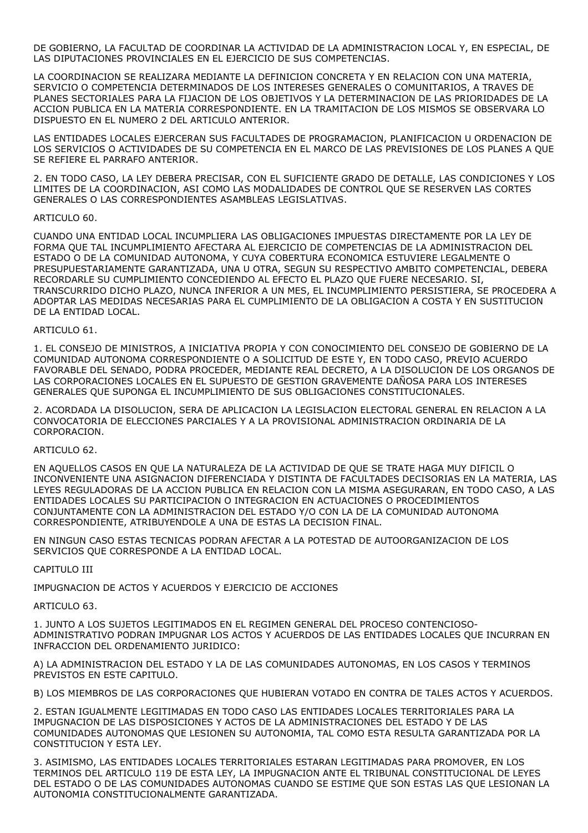DE GOBIERNO, LA FACULTAD DE COORDINAR LA ACTIVIDAD DE LA ADMINISTRACION LOCAL Y, EN ESPECIAL, DE LAS DIPUTACIONES PROVINCIALES EN EL EJERCICIO DE SUS COMPETENCIAS.

LA COORDINACION SE REALIZARA MEDIANTE LA DEFINICION CONCRETA Y EN RELACION CON UNA MATERIA, SERVICIO O COMPETENCIA DETERMINADOS DE LOS INTERESES GENERALES O COMUNITARIOS, A TRAVES DE PLANES SECTORIALES PARA LA FIJACION DE LOS OBJETIVOS Y LA DETERMINACION DE LAS PRIORIDADES DE LA ACCION PUBLICA EN LA MATERIA CORRESPONDIENTE. EN LA TRAMITACION DE LOS MISMOS SE OBSERVARA LO DISPUESTO EN EL NUMERO 2 DEL ARTICULO ANTERIOR.

LAS ENTIDADES LOCALES EJERCERAN SUS FACULTADES DE PROGRAMACION, PLANIFICACION U ORDENACION DE LOS SERVICIOS O ACTIVIDADES DE SU COMPETENCIA EN EL MARCO DE LAS PREVISIONES DE LOS PLANES A QUE SE REFIERE EL PARRAFO ANTERIOR.

2. EN TODO CASO, LA LEY DEBERA PRECISAR, CON EL SUFICIENTE GRADO DE DETALLE, LAS CONDICIONES Y LOS LIMITES DE LA COORDINACION, ASI COMO LAS MODALIDADES DE CONTROL QUE SE RESERVEN LAS CORTES GENERALES O LAS CORRESPONDIENTES ASAMBLEAS LEGISLATIVAS.

#### ARTICULO 60.

CUANDO UNA ENTIDAD LOCAL INCUMPLIERA LAS OBLIGACIONES IMPUESTAS DIRECTAMENTE POR LA LEY DE FORMA QUE TAL INCUMPLIMIENTO AFECTARA AL EJERCICIO DE COMPETENCIAS DE LA ADMINISTRACION DEL ESTADO O DE LA COMUNIDAD AUTONOMA, Y CUYA COBERTURA ECONOMICA ESTUVIERE LEGALMENTE O PRESUPUESTARIAMENTE GARANTIZADA, UNA U OTRA, SEGUN SU RESPECTIVO AMBITO COMPETENCIAL, DEBERA RECORDARLE SU CUMPLIMIENTO CONCEDIENDO AL EFECTO EL PLAZO QUE FUERE NECESARIO. SI, TRANSCURRIDO DICHO PLAZO, NUNCA INFERIOR A UN MES, EL INCUMPLIMIENTO PERSISTIERA, SE PROCEDERA A ADOPTAR LAS MEDIDAS NECESARIAS PARA EL CUMPLIMIENTO DE LA OBLIGACION A COSTA Y EN SUSTITUCION DE LA ENTIDAD LOCAL.

#### ARTICULO 61.

1. EL CONSEJO DE MINISTROS, A INICIATIVA PROPIA Y CON CONOCIMIENTO DEL CONSEJO DE GOBIERNO DE LA COMUNIDAD AUTONOMA CORRESPONDIENTE O A SOLICITUD DE ESTE Y, EN TODO CASO, PREVIO ACUERDO FAVORABLE DEL SENADO, PODRA PROCEDER, MEDIANTE REAL DECRETO, A LA DISOLUCION DE LOS ORGANOS DE LAS CORPORACIONES LOCALES EN EL SUPUESTO DE GESTION GRAVEMENTE DAÑOSA PARA LOS INTERESES GENERALES QUE SUPONGA EL INCUMPLIMIENTO DE SUS OBLIGACIONES CONSTITUCIONALES.

2. ACORDADA LA DISOLUCION, SERA DE APLICACION LA LEGISLACION ELECTORAL GENERAL EN RELACION A LA CONVOCATORIA DE ELECCIONES PARCIALES Y A LA PROVISIONAL ADMINISTRACION ORDINARIA DE LA CORPORACION.

# ARTICULO 62.

EN AQUELLOS CASOS EN QUE LA NATURALEZA DE LA ACTIVIDAD DE QUE SE TRATE HAGA MUY DIFICIL O INCONVENIENTE UNA ASIGNACION DIFERENCIADA Y DISTINTA DE FACULTADES DECISORIAS EN LA MATERIA, LAS LEYES REGULADORAS DE LA ACCION PUBLICA EN RELACION CON LA MISMA ASEGURARAN, EN TODO CASO, A LAS ENTIDADES LOCALES SU PARTICIPACION O INTEGRACION EN ACTUACIONES O PROCEDIMIENTOS CONJUNTAMENTE CON LA ADMINISTRACION DEL ESTADO Y/O CON LA DE LA COMUNIDAD AUTONOMA CORRESPONDIENTE, ATRIBUYENDOLE A UNA DE ESTAS LA DECISION FINAL.

EN NINGUN CASO ESTAS TECNICAS PODRAN AFECTAR A LA POTESTAD DE AUTOORGANIZACION DE LOS SERVICIOS QUE CORRESPONDE A LA ENTIDAD LOCAL.

# CAPITULO III

IMPUGNACION DE ACTOS Y ACUERDOS Y EJERCICIO DE ACCIONES

ARTICULO 63.

1. JUNTO A LOS SUJETOS LEGITIMADOS EN EL REGIMEN GENERAL DEL PROCESO CONTENCIOSO-ADMINISTRATIVO PODRAN IMPUGNAR LOS ACTOS Y ACUERDOS DE LAS ENTIDADES LOCALES QUE INCURRAN EN INFRACCION DEL ORDENAMIENTO JURIDICO:

A) LA ADMINISTRACION DEL ESTADO Y LA DE LAS COMUNIDADES AUTONOMAS, EN LOS CASOS Y TERMINOS PREVISTOS EN ESTE CAPITULO.

B) LOS MIEMBROS DE LAS CORPORACIONES QUE HUBIERAN VOTADO EN CONTRA DE TALES ACTOS Y ACUERDOS.

2. ESTAN IGUALMENTE LEGITIMADAS EN TODO CASO LAS ENTIDADES LOCALES TERRITORIALES PARA LA IMPUGNACION DE LAS DISPOSICIONES Y ACTOS DE LA ADMINISTRACIONES DEL ESTADO Y DE LAS COMUNIDADES AUTONOMAS QUE LESIONEN SU AUTONOMIA, TAL COMO ESTA RESULTA GARANTIZADA POR LA CONSTITUCION Y ESTA LEY.

3. ASIMISMO, LAS ENTIDADES LOCALES TERRITORIALES ESTARAN LEGITIMADAS PARA PROMOVER, EN LOS TERMINOS DEL ARTICULO 119 DE ESTA LEY, LA IMPUGNACION ANTE EL TRIBUNAL CONSTITUCIONAL DE LEYES DEL ESTADO O DE LAS COMUNIDADES AUTONOMAS CUANDO SE ESTIME QUE SON ESTAS LAS QUE LESIONAN LA AUTONOMIA CONSTITUCIONALMENTE GARANTIZADA.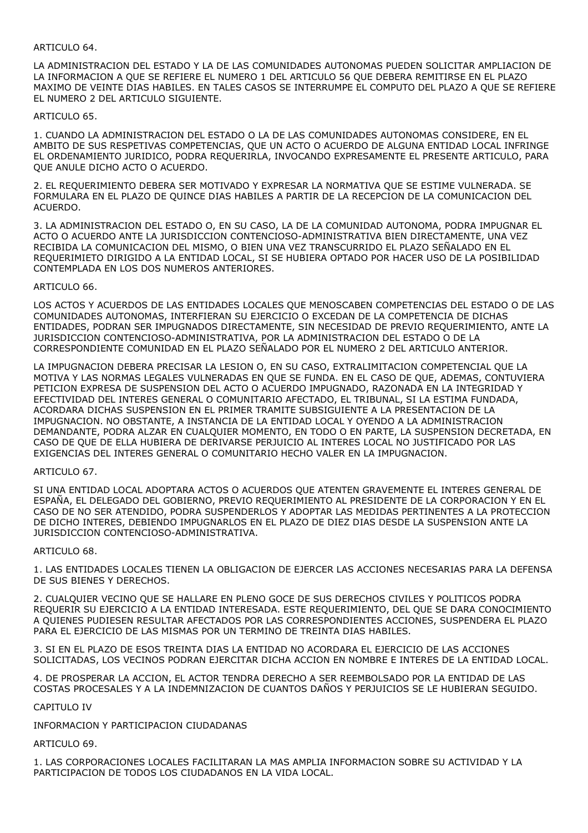# ARTICULO 64.

LA ADMINISTRACION DEL ESTADO Y LA DE LAS COMUNIDADES AUTONOMAS PUEDEN SOLICITAR AMPLIACION DE LA INFORMACION A QUE SE REFIERE EL NUMERO 1 DEL ARTICULO 56 QUE DEBERA REMITIRSE EN EL PLAZO MAXIMO DE VEINTE DIAS HABILES. EN TALES CASOS SE INTERRUMPE EL COMPUTO DEL PLAZO A QUE SE REFIERE EL NUMERO 2 DEL ARTICULO SIGUIENTE.

### ARTICULO 65.

1. CUANDO LA ADMINISTRACION DEL ESTADO O LA DE LAS COMUNIDADES AUTONOMAS CONSIDERE, EN EL AMBITO DE SUS RESPETIVAS COMPETENCIAS, QUE UN ACTO O ACUERDO DE ALGUNA ENTIDAD LOCAL INFRINGE EL ORDENAMIENTO JURIDICO, PODRA REQUERIRLA, INVOCANDO EXPRESAMENTE EL PRESENTE ARTICULO, PARA QUE ANULE DICHO ACTO O ACUERDO.

2. EL REQUERIMIENTO DEBERA SER MOTIVADO Y EXPRESAR LA NORMATIVA QUE SE ESTIME VULNERADA. SE FORMULARA EN EL PLAZO DE QUINCE DIAS HABILES A PARTIR DE LA RECEPCION DE LA COMUNICACION DEL ACUERDO.

3. LA ADMINISTRACION DEL ESTADO O, EN SU CASO, LA DE LA COMUNIDAD AUTONOMA, PODRA IMPUGNAR EL ACTO O ACUERDO ANTE LA JURISDICCION CONTENCIOSO-ADMINISTRATIVA BIEN DIRECTAMENTE, UNA VEZ RECIBIDA LA COMUNICACION DEL MISMO, O BIEN UNA VEZ TRANSCURRIDO EL PLAZO SEÑALADO EN EL REQUERIMIETO DIRIGIDO A LA ENTIDAD LOCAL, SI SE HUBIERA OPTADO POR HACER USO DE LA POSIBILIDAD CONTEMPLADA EN LOS DOS NUMEROS ANTERIORES.

#### ARTICULO 66.

LOS ACTOS Y ACUERDOS DE LAS ENTIDADES LOCALES QUE MENOSCABEN COMPETENCIAS DEL ESTADO O DE LAS COMUNIDADES AUTONOMAS, INTERFIERAN SU EJERCICIO O EXCEDAN DE LA COMPETENCIA DE DICHAS ENTIDADES, PODRAN SER IMPUGNADOS DIRECTAMENTE, SIN NECESIDAD DE PREVIO REQUERIMIENTO, ANTE LA JURISDICCION CONTENCIOSO-ADMINISTRATIVA, POR LA ADMINISTRACION DEL ESTADO O DE LA CORRESPONDIENTE COMUNIDAD EN EL PLAZO SEÑALADO POR EL NUMERO 2 DEL ARTICULO ANTERIOR.

LA IMPUGNACION DEBERA PRECISAR LA LESION O, EN SU CASO, EXTRALIMITACION COMPETENCIAL QUE LA MOTIVA Y LAS NORMAS LEGALES VULNERADAS EN QUE SE FUNDA. EN EL CASO DE QUE, ADEMAS, CONTUVIERA PETICION EXPRESA DE SUSPENSION DEL ACTO O ACUERDO IMPUGNADO, RAZONADA EN LA INTEGRIDAD Y EFECTIVIDAD DEL INTERES GENERAL O COMUNITARIO AFECTADO, EL TRIBUNAL, SI LA ESTIMA FUNDADA, ACORDARA DICHAS SUSPENSION EN EL PRIMER TRAMITE SUBSIGUIENTE A LA PRESENTACION DE LA IMPUGNACION. NO OBSTANTE, A INSTANCIA DE LA ENTIDAD LOCAL Y OYENDO A LA ADMINISTRACION DEMANDANTE, PODRA ALZAR EN CUALQUIER MOMENTO, EN TODO O EN PARTE, LA SUSPENSION DECRETADA, EN CASO DE QUE DE ELLA HUBIERA DE DERIVARSE PERJUICIO AL INTERES LOCAL NO JUSTIFICADO POR LAS EXIGENCIAS DEL INTERES GENERAL O COMUNITARIO HECHO VALER EN LA IMPUGNACION.

# ARTICULO 67.

SI UNA ENTIDAD LOCAL ADOPTARA ACTOS O ACUERDOS QUE ATENTEN GRAVEMENTE EL INTERES GENERAL DE ESPAÑA, EL DELEGADO DEL GOBIERNO, PREVIO REQUERIMIENTO AL PRESIDENTE DE LA CORPORACION Y EN EL CASO DE NO SER ATENDIDO, PODRA SUSPENDERLOS Y ADOPTAR LAS MEDIDAS PERTINENTES A LA PROTECCION DE DICHO INTERES, DEBIENDO IMPUGNARLOS EN EL PLAZO DE DIEZ DIAS DESDE LA SUSPENSION ANTE LA JURISDICCION CONTENCIOSO-ADMINISTRATIVA.

# ARTICULO 68.

1. LAS ENTIDADES LOCALES TIENEN LA OBLIGACION DE EJERCER LAS ACCIONES NECESARIAS PARA LA DEFENSA DE SUS BIENES Y DERECHOS.

2. CUALQUIER VECINO QUE SE HALLARE EN PLENO GOCE DE SUS DERECHOS CIVILES Y POLITICOS PODRA REQUERIR SU EJERCICIO A LA ENTIDAD INTERESADA. ESTE REQUERIMIENTO, DEL QUE SE DARA CONOCIMIENTO A QUIENES PUDIESEN RESULTAR AFECTADOS POR LAS CORRESPONDIENTES ACCIONES, SUSPENDERA EL PLAZO PARA EL EJERCICIO DE LAS MISMAS POR UN TERMINO DE TREINTA DIAS HABILES.

3. SI EN EL PLAZO DE ESOS TREINTA DIAS LA ENTIDAD NO ACORDARA EL EJERCICIO DE LAS ACCIONES SOLICITADAS, LOS VECINOS PODRAN EJERCITAR DICHA ACCION EN NOMBRE E INTERES DE LA ENTIDAD LOCAL.

4. DE PROSPERAR LA ACCION, EL ACTOR TENDRA DERECHO A SER REEMBOLSADO POR LA ENTIDAD DE LAS COSTAS PROCESALES Y A LA INDEMNIZACION DE CUANTOS DAÑOS Y PERJUICIOS SE LE HUBIERAN SEGUIDO.

CAPITULO IV

INFORMACION Y PARTICIPACION CIUDADANAS

ARTICULO 69.

1. LAS CORPORACIONES LOCALES FACILITARAN LA MAS AMPLIA INFORMACION SOBRE SU ACTIVIDAD Y LA PARTICIPACION DE TODOS LOS CIUDADANOS EN LA VIDA LOCAL.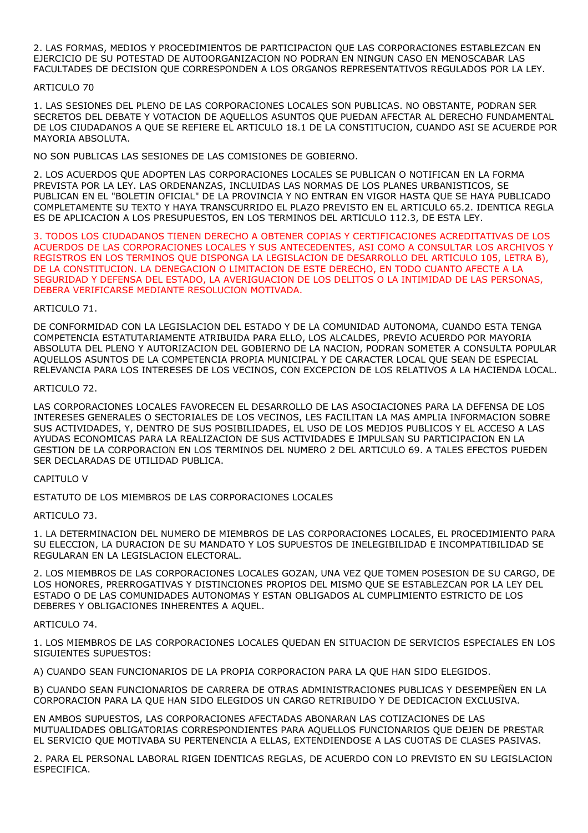2. LAS FORMAS, MEDIOS Y PROCEDIMIENTOS DE PARTICIPACION QUE LAS CORPORACIONES ESTABLEZCAN EN EJERCICIO DE SU POTESTAD DE AUTOORGANIZACION NO PODRAN EN NINGUN CASO EN MENOSCABAR LAS FACULTADES DE DECISION QUE CORRESPONDEN A LOS ORGANOS REPRESENTATIVOS REGULADOS POR LA LEY.

# ARTICULO 70

1. LAS SESIONES DEL PLENO DE LAS CORPORACIONES LOCALES SON PUBLICAS. NO OBSTANTE, PODRAN SER SECRETOS DEL DEBATE Y VOTACION DE AQUELLOS ASUNTOS QUE PUEDAN AFECTAR AL DERECHO FUNDAMENTAL DE LOS CIUDADANOS A QUE SE REFIERE EL ARTICULO 18.1 DE LA CONSTITUCION, CUANDO ASI SE ACUERDE POR MAYORIA ABSOLUTA.

NO SON PUBLICAS LAS SESIONES DE LAS COMISIONES DE GOBIERNO.

2. LOS ACUERDOS QUE ADOPTEN LAS CORPORACIONES LOCALES SE PUBLICAN O NOTIFICAN EN LA FORMA PREVISTA POR LA LEY. LAS ORDENANZAS, INCLUIDAS LAS NORMAS DE LOS PLANES URBANISTICOS, SE PUBLICAN EN EL "BOLETIN OFICIAL" DE LA PROVINCIA Y NO ENTRAN EN VIGOR HASTA QUE SE HAYA PUBLICADO COMPLETAMENTE SU TEXTO Y HAYA TRANSCURRIDO EL PLAZO PREVISTO EN EL ARTICULO 65.2. IDENTICA REGLA ES DE APLICACION A LOS PRESUPUESTOS, EN LOS TERMINOS DEL ARTICULO 112.3, DE ESTA LEY.

3. TODOS LOS CIUDADANOS TIENEN DERECHO A OBTENER COPIAS Y CERTIFICACIONES ACREDITATIVAS DE LOS ACUERDOS DE LAS CORPORACIONES LOCALES Y SUS ANTECEDENTES, ASI COMO A CONSULTAR LOS ARCHIVOS Y REGISTROS EN LOS TERMINOS QUE DISPONGA LA LEGISLACION DE DESARROLLO DEL ARTICULO 105, LETRA B), DE LA CONSTITUCION. LA DENEGACION O LIMITACION DE ESTE DERECHO, EN TODO CUANTO AFECTE A LA SEGURIDAD Y DEFENSA DEL ESTADO, LA AVERIGUACION DE LOS DELITOS O LA INTIMIDAD DE LAS PERSONAS, DEBERA VERIFICARSE MEDIANTE RESOLUCION MOTIVADA.

# ARTICULO 71.

DE CONFORMIDAD CON LA LEGISLACION DEL ESTADO Y DE LA COMUNIDAD AUTONOMA, CUANDO ESTA TENGA COMPETENCIA ESTATUTARIAMENTE ATRIBUIDA PARA ELLO, LOS ALCALDES, PREVIO ACUERDO POR MAYORIA ABSOLUTA DEL PLENO Y AUTORIZACION DEL GOBIERNO DE LA NACION, PODRAN SOMETER A CONSULTA POPULAR AQUELLOS ASUNTOS DE LA COMPETENCIA PROPIA MUNICIPAL Y DE CARACTER LOCAL QUE SEAN DE ESPECIAL RELEVANCIA PARA LOS INTERESES DE LOS VECINOS, CON EXCEPCION DE LOS RELATIVOS A LA HACIENDA LOCAL.

# ARTICULO 72.

LAS CORPORACIONES LOCALES FAVORECEN EL DESARROLLO DE LAS ASOCIACIONES PARA LA DEFENSA DE LOS INTERESES GENERALES O SECTORIALES DE LOS VECINOS, LES FACILITAN LA MAS AMPLIA INFORMACION SOBRE SUS ACTIVIDADES, Y, DENTRO DE SUS POSIBILIDADES, EL USO DE LOS MEDIOS PUBLICOS Y EL ACCESO A LAS AYUDAS ECONOMICAS PARA LA REALIZACION DE SUS ACTIVIDADES E IMPULSAN SU PARTICIPACION EN LA GESTION DE LA CORPORACION EN LOS TERMINOS DEL NUMERO 2 DEL ARTICULO 69. A TALES EFECTOS PUEDEN SER DECLARADAS DE UTILIDAD PUBLICA.

# CAPITULO V

ESTATUTO DE LOS MIEMBROS DE LAS CORPORACIONES LOCALES

# ARTICULO 73.

1. LA DETERMINACION DEL NUMERO DE MIEMBROS DE LAS CORPORACIONES LOCALES, EL PROCEDIMIENTO PARA SU ELECCION, LA DURACION DE SU MANDATO Y LOS SUPUESTOS DE INELEGIBILIDAD E INCOMPATIBILIDAD SE REGULARAN EN LA LEGISLACION ELECTORAL.

2. LOS MIEMBROS DE LAS CORPORACIONES LOCALES GOZAN, UNA VEZ QUE TOMEN POSESION DE SU CARGO, DE LOS HONORES, PRERROGATIVAS Y DISTINCIONES PROPIOS DEL MISMO QUE SE ESTABLEZCAN POR LA LEY DEL ESTADO O DE LAS COMUNIDADES AUTONOMAS Y ESTAN OBLIGADOS AL CUMPLIMIENTO ESTRICTO DE LOS DEBERES Y OBLIGACIONES INHERENTES A AQUEL.

# ARTICULO 74.

1. LOS MIEMBROS DE LAS CORPORACIONES LOCALES QUEDAN EN SITUACION DE SERVICIOS ESPECIALES EN LOS SIGUIENTES SUPUESTOS:

A) CUANDO SEAN FUNCIONARIOS DE LA PROPIA CORPORACION PARA LA QUE HAN SIDO ELEGIDOS.

B) CUANDO SEAN FUNCIONARIOS DE CARRERA DE OTRAS ADMINISTRACIONES PUBLICAS Y DESEMPEÑEN EN LA CORPORACION PARA LA QUE HAN SIDO ELEGIDOS UN CARGO RETRIBUIDO Y DE DEDICACION EXCLUSIVA.

EN AMBOS SUPUESTOS, LAS CORPORACIONES AFECTADAS ABONARAN LAS COTIZACIONES DE LAS MUTUALIDADES OBLIGATORIAS CORRESPONDIENTES PARA AQUELLOS FUNCIONARIOS QUE DEJEN DE PRESTAR EL SERVICIO QUE MOTIVABA SU PERTENENCIA A ELLAS, EXTENDIENDOSE A LAS CUOTAS DE CLASES PASIVAS.

2. PARA EL PERSONAL LABORAL RIGEN IDENTICAS REGLAS, DE ACUERDO CON LO PREVISTO EN SU LEGISLACION ESPECIFICA.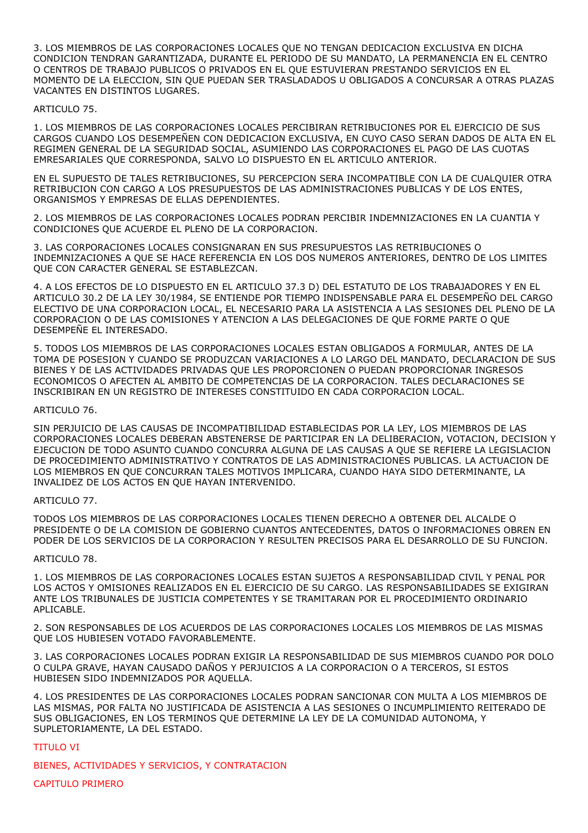3. LOS MIEMBROS DE LAS CORPORACIONES LOCALES QUE NO TENGAN DEDICACION EXCLUSIVA EN DICHA CONDICION TENDRAN GARANTIZADA, DURANTE EL PERIODO DE SU MANDATO, LA PERMANENCIA EN EL CENTRO O CENTROS DE TRABAJO PUBLICOS O PRIVADOS EN EL QUE ESTUVIERAN PRESTANDO SERVICIOS EN EL MOMENTO DE LA ELECCION, SIN QUE PUEDAN SER TRASLADADOS U OBLIGADOS A CONCURSAR A OTRAS PLAZAS VACANTES EN DISTINTOS LUGARES.

### ARTICULO 75.

1. LOS MIEMBROS DE LAS CORPORACIONES LOCALES PERCIBIRAN RETRIBUCIONES POR EL EJERCICIO DE SUS CARGOS CUANDO LOS DESEMPEÑEN CON DEDICACION EXCLUSIVA, EN CUYO CASO SERAN DADOS DE ALTA EN EL REGIMEN GENERAL DE LA SEGURIDAD SOCIAL, ASUMIENDO LAS CORPORACIONES EL PAGO DE LAS CUOTAS EMRESARIALES QUE CORRESPONDA, SALVO LO DISPUESTO EN EL ARTICULO ANTERIOR.

EN EL SUPUESTO DE TALES RETRIBUCIONES, SU PERCEPCION SERA INCOMPATIBLE CON LA DE CUALQUIER OTRA RETRIBUCION CON CARGO A LOS PRESUPUESTOS DE LAS ADMINISTRACIONES PUBLICAS Y DE LOS ENTES, ORGANISMOS Y EMPRESAS DE ELLAS DEPENDIENTES.

2. LOS MIEMBROS DE LAS CORPORACIONES LOCALES PODRAN PERCIBIR INDEMNIZACIONES EN LA CUANTIA Y CONDICIONES QUE ACUERDE EL PLENO DE LA CORPORACION.

3. LAS CORPORACIONES LOCALES CONSIGNARAN EN SUS PRESUPUESTOS LAS RETRIBUCIONES O INDEMNIZACIONES A QUE SE HACE REFERENCIA EN LOS DOS NUMEROS ANTERIORES, DENTRO DE LOS LIMITES QUE CON CARACTER GENERAL SE ESTABLEZCAN.

4. A LOS EFECTOS DE LO DISPUESTO EN EL ARTICULO 37.3 D) DEL ESTATUTO DE LOS TRABAJADORES Y EN EL ARTICULO 30.2 DE LA LEY 30/1984, SE ENTIENDE POR TIEMPO INDISPENSABLE PARA EL DESEMPEÑO DEL CARGO ELECTIVO DE UNA CORPORACION LOCAL, EL NECESARIO PARA LA ASISTENCIA A LAS SESIONES DEL PLENO DE LA CORPORACION O DE LAS COMISIONES Y ATENCION A LAS DELEGACIONES DE QUE FORME PARTE O QUE DESEMPEÑE EL INTERESADO.

5. TODOS LOS MIEMBROS DE LAS CORPORACIONES LOCALES ESTAN OBLIGADOS A FORMULAR, ANTES DE LA TOMA DE POSESION Y CUANDO SE PRODUZCAN VARIACIONES A LO LARGO DEL MANDATO, DECLARACION DE SUS BIENES Y DE LAS ACTIVIDADES PRIVADAS QUE LES PROPORCIONEN O PUEDAN PROPORCIONAR INGRESOS ECONOMICOS O AFECTEN AL AMBITO DE COMPETENCIAS DE LA CORPORACION. TALES DECLARACIONES SE INSCRIBIRAN EN UN REGISTRO DE INTERESES CONSTITUIDO EN CADA CORPORACION LOCAL.

#### ARTICULO 76.

SIN PERJUICIO DE LAS CAUSAS DE INCOMPATIBILIDAD ESTABLECIDAS POR LA LEY, LOS MIEMBROS DE LAS CORPORACIONES LOCALES DEBERAN ABSTENERSE DE PARTICIPAR EN LA DELIBERACION, VOTACION, DECISION Y EJECUCION DE TODO ASUNTO CUANDO CONCURRA ALGUNA DE LAS CAUSAS A QUE SE REFIERE LA LEGISLACION DE PROCEDIMIENTO ADMINISTRATIVO Y CONTRATOS DE LAS ADMINISTRACIONES PUBLICAS. LA ACTUACION DE LOS MIEMBROS EN QUE CONCURRAN TALES MOTIVOS IMPLICARA, CUANDO HAYA SIDO DETERMINANTE, LA INVALIDEZ DE LOS ACTOS EN QUE HAYAN INTERVENIDO.

# ARTICULO 77.

TODOS LOS MIEMBROS DE LAS CORPORACIONES LOCALES TIENEN DERECHO A OBTENER DEL ALCALDE O PRESIDENTE O DE LA COMISION DE GOBIERNO CUANTOS ANTECEDENTES, DATOS O INFORMACIONES OBREN EN PODER DE LOS SERVICIOS DE LA CORPORACION Y RESULTEN PRECISOS PARA EL DESARROLLO DE SU FUNCION.

#### ARTICULO 78.

1. LOS MIEMBROS DE LAS CORPORACIONES LOCALES ESTAN SUJETOS A RESPONSABILIDAD CIVIL Y PENAL POR LOS ACTOS Y OMISIONES REALIZADOS EN EL EJERCICIO DE SU CARGO. LAS RESPONSABILIDADES SE EXIGIRAN ANTE LOS TRIBUNALES DE JUSTICIA COMPETENTES Y SE TRAMITARAN POR EL PROCEDIMIENTO ORDINARIO APLICABLE.

2. SON RESPONSABLES DE LOS ACUERDOS DE LAS CORPORACIONES LOCALES LOS MIEMBROS DE LAS MISMAS QUE LOS HUBIESEN VOTADO FAVORABLEMENTE.

3. LAS CORPORACIONES LOCALES PODRAN EXIGIR LA RESPONSABILIDAD DE SUS MIEMBROS CUANDO POR DOLO O CULPA GRAVE, HAYAN CAUSADO DAÑOS Y PERJUICIOS A LA CORPORACION O A TERCEROS, SI ESTOS HUBIESEN SIDO INDEMNIZADOS POR AQUELLA.

4. LOS PRESIDENTES DE LAS CORPORACIONES LOCALES PODRAN SANCIONAR CON MULTA A LOS MIEMBROS DE LAS MISMAS, POR FALTA NO JUSTIFICADA DE ASISTENCIA A LAS SESIONES O INCUMPLIMIENTO REITERADO DE SUS OBLIGACIONES, EN LOS TERMINOS QUE DETERMINE LA LEY DE LA COMUNIDAD AUTONOMA, Y SUPLETORIAMENTE, LA DEL ESTADO.

# TITULO VI

BIENES, ACTIVIDADES Y SERVICIOS, Y CONTRATACION

CAPITULO PRIMERO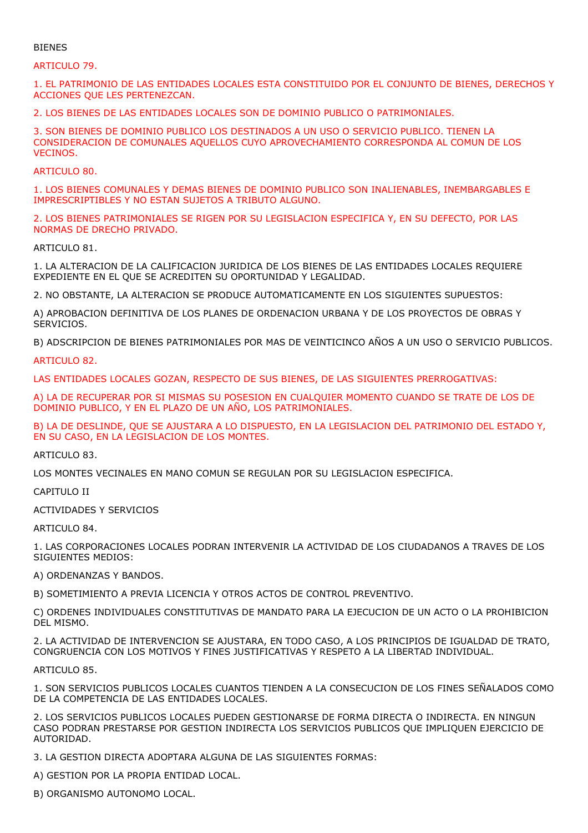# BIENES

#### ARTICULO 79.

1. EL PATRIMONIO DE LAS ENTIDADES LOCALES ESTA CONSTITUIDO POR EL CONJUNTO DE BIENES, DERECHOS Y ACCIONES QUE LES PERTENEZCAN.

2. LOS BIENES DE LAS ENTIDADES LOCALES SON DE DOMINIO PUBLICO O PATRIMONIALES.

3. SON BIENES DE DOMINIO PUBLICO LOS DESTINADOS A UN USO O SERVICIO PUBLICO. TIENEN LA CONSIDERACION DE COMUNALES AQUELLOS CUYO APROVECHAMIENTO CORRESPONDA AL COMUN DE LOS VECINOS.

ARTICULO 80.

1. LOS BIENES COMUNALES Y DEMAS BIENES DE DOMINIO PUBLICO SON INALIENABLES, INEMBARGABLES E IMPRESCRIPTIBLES Y NO ESTAN SUJETOS A TRIBUTO ALGUNO.

2. LOS BIENES PATRIMONIALES SE RIGEN POR SU LEGISLACION ESPECIFICA Y, EN SU DEFECTO, POR LAS NORMAS DE DRECHO PRIVADO.

ARTICULO 81.

1. LA ALTERACION DE LA CALIFICACION JURIDICA DE LOS BIENES DE LAS ENTIDADES LOCALES REQUIERE EXPEDIENTE EN EL QUE SE ACREDITEN SU OPORTUNIDAD Y LEGALIDAD.

2. NO OBSTANTE, LA ALTERACION SE PRODUCE AUTOMATICAMENTE EN LOS SIGUIENTES SUPUESTOS:

A) APROBACION DEFINITIVA DE LOS PLANES DE ORDENACION URBANA Y DE LOS PROYECTOS DE OBRAS Y SERVICIOS.

B) ADSCRIPCION DE BIENES PATRIMONIALES POR MAS DE VEINTICINCO AÑOS A UN USO O SERVICIO PUBLICOS.

ARTICULO 82.

LAS ENTIDADES LOCALES GOZAN, RESPECTO DE SUS BIENES, DE LAS SIGUIENTES PRERROGATIVAS:

A) LA DE RECUPERAR POR SI MISMAS SU POSESION EN CUALQUIER MOMENTO CUANDO SE TRATE DE LOS DE DOMINIO PUBLICO, Y EN EL PLAZO DE UN AÑO, LOS PATRIMONIALES.

B) LA DE DESLINDE, QUE SE AJUSTARA A LO DISPUESTO, EN LA LEGISLACION DEL PATRIMONIO DEL ESTADO Y, EN SU CASO, EN LA LEGISLACION DE LOS MONTES.

ARTICULO 83.

LOS MONTES VECINALES EN MANO COMUN SE REGULAN POR SU LEGISLACION ESPECIFICA.

CAPITULO II

ACTIVIDADES Y SERVICIOS

ARTICULO 84.

1. LAS CORPORACIONES LOCALES PODRAN INTERVENIR LA ACTIVIDAD DE LOS CIUDADANOS A TRAVES DE LOS SIGUIENTES MEDIOS:

A) ORDENANZAS Y BANDOS.

B) SOMETIMIENTO A PREVIA LICENCIA Y OTROS ACTOS DE CONTROL PREVENTIVO.

C) ORDENES INDIVIDUALES CONSTITUTIVAS DE MANDATO PARA LA EJECUCION DE UN ACTO O LA PROHIBICION DEL MISMO.

2. LA ACTIVIDAD DE INTERVENCION SE AJUSTARA, EN TODO CASO, A LOS PRINCIPIOS DE IGUALDAD DE TRATO, CONGRUENCIA CON LOS MOTIVOS Y FINES JUSTIFICATIVAS Y RESPETO A LA LIBERTAD INDIVIDUAL.

ARTICULO 85.

1. SON SERVICIOS PUBLICOS LOCALES CUANTOS TIENDEN A LA CONSECUCION DE LOS FINES SEÑALADOS COMO DE LA COMPETENCIA DE LAS ENTIDADES LOCALES.

2. LOS SERVICIOS PUBLICOS LOCALES PUEDEN GESTIONARSE DE FORMA DIRECTA O INDIRECTA. EN NINGUN CASO PODRAN PRESTARSE POR GESTION INDIRECTA LOS SERVICIOS PUBLICOS QUE IMPLIQUEN EJERCICIO DE AUTORIDAD.

3. LA GESTION DIRECTA ADOPTARA ALGUNA DE LAS SIGUIENTES FORMAS:

A) GESTION POR LA PROPIA ENTIDAD LOCAL.

B) ORGANISMO AUTONOMO LOCAL.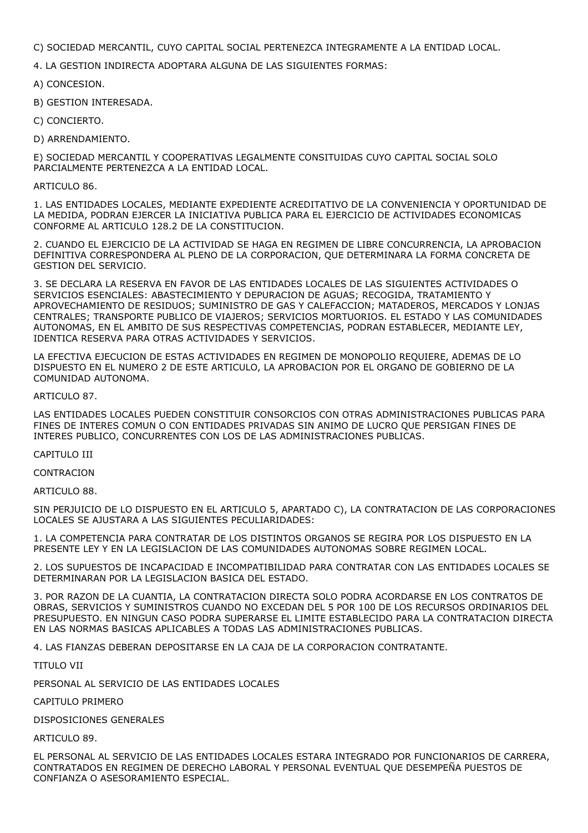C) SOCIEDAD MERCANTIL, CUYO CAPITAL SOCIAL PERTENEZCA INTEGRAMENTE A LA ENTIDAD LOCAL.

4. LA GESTION INDIRECTA ADOPTARA ALGUNA DE LAS SIGUIENTES FORMAS:

A) CONCESION.

- B) GESTION INTERESADA.
- C) CONCIERTO.
- D) ARRENDAMIENTO.

E) SOCIEDAD MERCANTIL Y COOPERATIVAS LEGALMENTE CONSITUIDAS CUYO CAPITAL SOCIAL SOLO PARCIALMENTE PERTENEZCA A LA ENTIDAD LOCAL.

#### ARTICULO 86.

1. LAS ENTIDADES LOCALES, MEDIANTE EXPEDIENTE ACREDITATIVO DE LA CONVENIENCIA Y OPORTUNIDAD DE LA MEDIDA, PODRAN EJERCER LA INICIATIVA PUBLICA PARA EL EJERCICIO DE ACTIVIDADES ECONOMICAS CONFORME AL ARTICULO 128.2 DE LA CONSTITUCION.

2. CUANDO EL EJERCICIO DE LA ACTIVIDAD SE HAGA EN REGIMEN DE LIBRE CONCURRENCIA, LA APROBACION DEFINITIVA CORRESPONDERA AL PLENO DE LA CORPORACION, QUE DETERMINARA LA FORMA CONCRETA DE GESTION DEL SERVICIO.

3. SE DECLARA LA RESERVA EN FAVOR DE LAS ENTIDADES LOCALES DE LAS SIGUIENTES ACTIVIDADES O SERVICIOS ESENCIALES: ABASTECIMIENTO Y DEPURACION DE AGUAS; RECOGIDA, TRATAMIENTO Y APROVECHAMIENTO DE RESIDUOS; SUMINISTRO DE GAS Y CALEFACCION; MATADEROS, MERCADOS Y LONJAS CENTRALES; TRANSPORTE PUBLICO DE VIAJEROS; SERVICIOS MORTUORIOS. EL ESTADO Y LAS COMUNIDADES AUTONOMAS, EN EL AMBITO DE SUS RESPECTIVAS COMPETENCIAS, PODRAN ESTABLECER, MEDIANTE LEY, IDENTICA RESERVA PARA OTRAS ACTIVIDADES Y SERVICIOS.

LA EFECTIVA EJECUCION DE ESTAS ACTIVIDADES EN REGIMEN DE MONOPOLIO REQUIERE, ADEMAS DE LO DISPUESTO EN EL NUMERO 2 DE ESTE ARTICULO, LA APROBACION POR EL ORGANO DE GOBIERNO DE LA COMUNIDAD AUTONOMA.

# ARTICULO 87.

LAS ENTIDADES LOCALES PUEDEN CONSTITUIR CONSORCIOS CON OTRAS ADMINISTRACIONES PUBLICAS PARA FINES DE INTERES COMUN O CON ENTIDADES PRIVADAS SIN ANIMO DE LUCRO QUE PERSIGAN FINES DE INTERES PUBLICO, CONCURRENTES CON LOS DE LAS ADMINISTRACIONES PUBLICAS.

# CAPITULO III

**CONTRACION** 

ARTICULO 88.

SIN PERJUICIO DE LO DISPUESTO EN EL ARTICULO 5, APARTADO C), LA CONTRATACION DE LAS CORPORACIONES LOCALES SE AJUSTARA A LAS SIGUIENTES PECULIARIDADES:

1. LA COMPETENCIA PARA CONTRATAR DE LOS DISTINTOS ORGANOS SE REGIRA POR LOS DISPUESTO EN LA PRESENTE LEY Y EN LA LEGISLACION DE LAS COMUNIDADES AUTONOMAS SOBRE REGIMEN LOCAL.

2. LOS SUPUESTOS DE INCAPACIDAD E INCOMPATIBILIDAD PARA CONTRATAR CON LAS ENTIDADES LOCALES SE DETERMINARAN POR LA LEGISLACION BASICA DEL ESTADO.

3. POR RAZON DE LA CUANTIA, LA CONTRATACION DIRECTA SOLO PODRA ACORDARSE EN LOS CONTRATOS DE OBRAS, SERVICIOS Y SUMINISTROS CUANDO NO EXCEDAN DEL 5 POR 100 DE LOS RECURSOS ORDINARIOS DEL PRESUPUESTO. EN NINGUN CASO PODRA SUPERARSE EL LIMITE ESTABLECIDO PARA LA CONTRATACION DIRECTA EN LAS NORMAS BASICAS APLICABLES A TODAS LAS ADMINISTRACIONES PUBLICAS.

4. LAS FIANZAS DEBERAN DEPOSITARSE EN LA CAJA DE LA CORPORACION CONTRATANTE.

TITULO VII

PERSONAL AL SERVICIO DE LAS ENTIDADES LOCALES

CAPITULO PRIMERO

DISPOSICIONES GENERALES

ARTICULO 89.

EL PERSONAL AL SERVICIO DE LAS ENTIDADES LOCALES ESTARA INTEGRADO POR FUNCIONARIOS DE CARRERA, CONTRATADOS EN REGIMEN DE DERECHO LABORAL Y PERSONAL EVENTUAL QUE DESEMPEÑA PUESTOS DE CONFIANZA O ASESORAMIENTO ESPECIAL.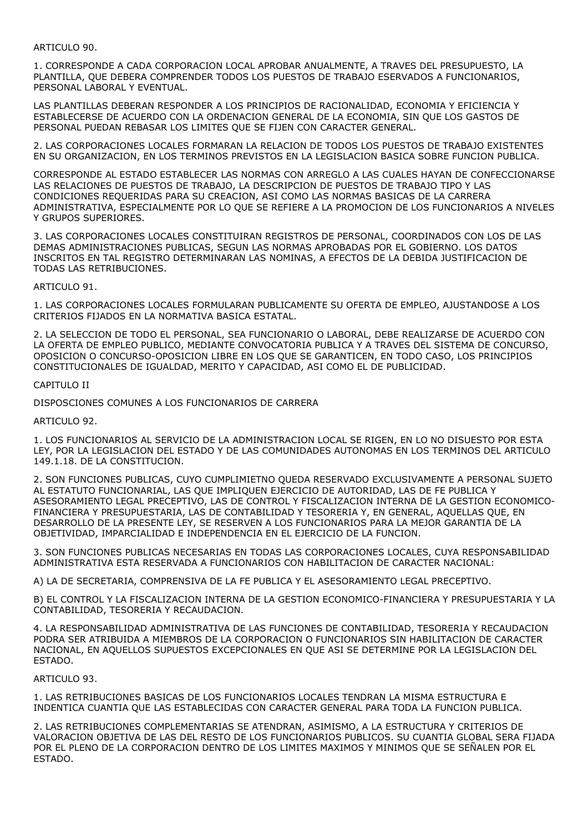# ARTICULO 90.

1. CORRESPONDE A CADA CORPORACION LOCAL APROBAR ANUALMENTE, A TRAVES DEL PRESUPUESTO, LA PLANTILLA, QUE DEBERA COMPRENDER TODOS LOS PUESTOS DE TRABAJO ESERVADOS A FUNCIONARIOS, PERSONAL LABORAL Y EVENTUAL.

LAS PLANTILLAS DEBERAN RESPONDER A LOS PRINCIPIOS DE RACIONALIDAD, ECONOMIA Y EFICIENCIA Y ESTABLECERSE DE ACUERDO CON LA ORDENACION GENERAL DE LA ECONOMIA, SIN QUE LOS GASTOS DE PERSONAL PUEDAN REBASAR LOS LIMITES QUE SE FIJEN CON CARACTER GENERAL.

2. LAS CORPORACIONES LOCALES FORMARAN LA RELACION DE TODOS LOS PUESTOS DE TRABAJO EXISTENTES EN SU ORGANIZACION, EN LOS TERMINOS PREVISTOS EN LA LEGISLACION BASICA SOBRE FUNCION PUBLICA.

CORRESPONDE AL ESTADO ESTABLECER LAS NORMAS CON ARREGLO A LAS CUALES HAYAN DE CONFECCIONARSE LAS RELACIONES DE PUESTOS DE TRABAJO, LA DESCRIPCION DE PUESTOS DE TRABAJO TIPO Y LAS CONDICIONES REQUERIDAS PARA SU CREACION, ASI COMO LAS NORMAS BASICAS DE LA CARRERA ADMINISTRATIVA, ESPECIALMENTE POR LO QUE SE REFIERE A LA PROMOCION DE LOS FUNCIONARIOS A NIVELES Y GRUPOS SUPERIORES.

3. LAS CORPORACIONES LOCALES CONSTITUIRAN REGISTROS DE PERSONAL, COORDINADOS CON LOS DE LAS DEMAS ADMINISTRACIONES PUBLICAS, SEGUN LAS NORMAS APROBADAS POR EL GOBIERNO. LOS DATOS INSCRITOS EN TAL REGISTRO DETERMINARAN LAS NOMINAS, A EFECTOS DE LA DEBIDA JUSTIFICACION DE TODAS LAS RETRIBUCIONES.

ARTICULO 91.

1. LAS CORPORACIONES LOCALES FORMULARAN PUBLICAMENTE SU OFERTA DE EMPLEO, AJUSTANDOSE A LOS CRITERIOS FIJADOS EN LA NORMATIVA BASICA ESTATAL.

2. LA SELECCION DE TODO EL PERSONAL, SEA FUNCIONARIO O LABORAL, DEBE REALIZARSE DE ACUERDO CON LA OFERTA DE EMPLEO PUBLICO, MEDIANTE CONVOCATORIA PUBLICA Y A TRAVES DEL SISTEMA DE CONCURSO, OPOSICION O CONCURSO-OPOSICION LIBRE EN LOS QUE SE GARANTICEN, EN TODO CASO, LOS PRINCIPIOS CONSTITUCIONALES DE IGUALDAD, MERITO Y CAPACIDAD, ASI COMO EL DE PUBLICIDAD.

#### CAPITULO II

DISPOSCIONES COMUNES A LOS FUNCIONARIOS DE CARRERA

#### ARTICULO 92.

1. LOS FUNCIONARIOS AL SERVICIO DE LA ADMINISTRACION LOCAL SE RIGEN, EN LO NO DISUESTO POR ESTA LEY, POR LA LEGISLACION DEL ESTADO Y DE LAS COMUNIDADES AUTONOMAS EN LOS TERMINOS DEL ARTICULO 149.1.18. DE LA CONSTITUCION.

2. SON FUNCIONES PUBLICAS, CUYO CUMPLIMIETNO QUEDA RESERVADO EXCLUSIVAMENTE A PERSONAL SUJETO AL ESTATUTO FUNCIONARIAL, LAS QUE IMPLIQUEN EJERCICIO DE AUTORIDAD, LAS DE FE PUBLICA Y ASESORAMIENTO LEGAL PRECEPTIVO, LAS DE CONTROL Y FISCALIZACION INTERNA DE LA GESTION ECONOMICO-FINANCIERA Y PRESUPUESTARIA, LAS DE CONTABILIDAD Y TESORERIA Y, EN GENERAL, AQUELLAS QUE, EN DESARROLLO DE LA PRESENTE LEY, SE RESERVEN A LOS FUNCIONARIOS PARA LA MEJOR GARANTIA DE LA OBJETIVIDAD, IMPARCIALIDAD E INDEPENDENCIA EN EL EJERCICIO DE LA FUNCION.

3. SON FUNCIONES PUBLICAS NECESARIAS EN TODAS LAS CORPORACIONES LOCALES, CUYA RESPONSABILIDAD ADMINISTRATIVA ESTA RESERVADA A FUNCIONARIOS CON HABILITACION DE CARACTER NACIONAL:

A) LA DE SECRETARIA, COMPRENSIVA DE LA FE PUBLICA Y EL ASESORAMIENTO LEGAL PRECEPTIVO.

B) EL CONTROL Y LA FISCALIZACION INTERNA DE LA GESTION ECONOMICO-FINANCIERA Y PRESUPUESTARIA Y LA CONTABILIDAD, TESORERIA Y RECAUDACION.

4. LA RESPONSABILIDAD ADMINISTRATIVA DE LAS FUNCIONES DE CONTABILIDAD, TESORERIA Y RECAUDACION PODRA SER ATRIBUIDA A MIEMBROS DE LA CORPORACION O FUNCIONARIOS SIN HABILITACION DE CARACTER NACIONAL, EN AQUELLOS SUPUESTOS EXCEPCIONALES EN QUE ASI SE DETERMINE POR LA LEGISLACION DEL ESTADO.

# ARTICULO 93.

1. LAS RETRIBUCIONES BASICAS DE LOS FUNCIONARIOS LOCALES TENDRAN LA MISMA ESTRUCTURA E INDENTICA CUANTIA QUE LAS ESTABLECIDAS CON CARACTER GENERAL PARA TODA LA FUNCION PUBLICA.

2. LAS RETRIBUCIONES COMPLEMENTARIAS SE ATENDRAN, ASIMISMO, A LA ESTRUCTURA Y CRITERIOS DE VALORACION OBJETIVA DE LAS DEL RESTO DE LOS FUNCIONARIOS PUBLICOS. SU CUANTIA GLOBAL SERA FIJADA POR EL PLENO DE LA CORPORACION DENTRO DE LOS LIMITES MAXIMOS Y MINIMOS QUE SE SEÑALEN POR EL ESTADO.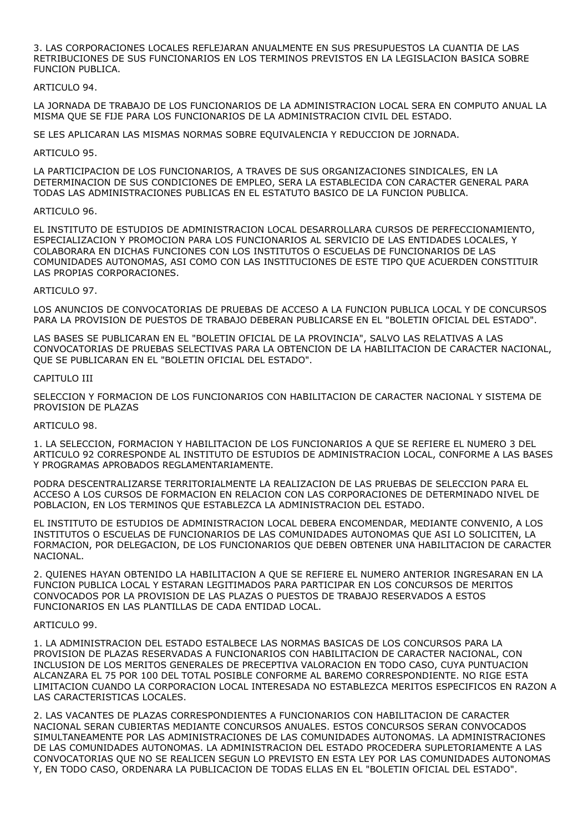3. LAS CORPORACIONES LOCALES REFLEJARAN ANUALMENTE EN SUS PRESUPUESTOS LA CUANTIA DE LAS RETRIBUCIONES DE SUS FUNCIONARIOS EN LOS TERMINOS PREVISTOS EN LA LEGISLACION BASICA SOBRE FUNCION PUBLICA.

# ARTICULO 94.

LA JORNADA DE TRABAJO DE LOS FUNCIONARIOS DE LA ADMINISTRACION LOCAL SERA EN COMPUTO ANUAL LA MISMA QUE SE FIJE PARA LOS FUNCIONARIOS DE LA ADMINISTRACION CIVIL DEL ESTADO.

SE LES APLICARAN LAS MISMAS NORMAS SOBRE EQUIVALENCIA Y REDUCCION DE JORNADA.

### ARTICULO 95.

LA PARTICIPACION DE LOS FUNCIONARIOS, A TRAVES DE SUS ORGANIZACIONES SINDICALES, EN LA DETERMINACION DE SUS CONDICIONES DE EMPLEO, SERA LA ESTABLECIDA CON CARACTER GENERAL PARA TODAS LAS ADMINISTRACIONES PUBLICAS EN EL ESTATUTO BASICO DE LA FUNCION PUBLICA.

# ARTICULO 96.

EL INSTITUTO DE ESTUDIOS DE ADMINISTRACION LOCAL DESARROLLARA CURSOS DE PERFECCIONAMIENTO, ESPECIALIZACION Y PROMOCION PARA LOS FUNCIONARIOS AL SERVICIO DE LAS ENTIDADES LOCALES, Y COLABORARA EN DICHAS FUNCIONES CON LOS INSTITUTOS O ESCUELAS DE FUNCIONARIOS DE LAS COMUNIDADES AUTONOMAS, ASI COMO CON LAS INSTITUCIONES DE ESTE TIPO QUE ACUERDEN CONSTITUIR LAS PROPIAS CORPORACIONES.

# ARTICULO 97.

LOS ANUNCIOS DE CONVOCATORIAS DE PRUEBAS DE ACCESO A LA FUNCION PUBLICA LOCAL Y DE CONCURSOS PARA LA PROVISION DE PUESTOS DE TRABAJO DEBERAN PUBLICARSE EN EL "BOLETIN OFICIAL DEL ESTADO".

LAS BASES SE PUBLICARAN EN EL "BOLETIN OFICIAL DE LA PROVINCIA", SALVO LAS RELATIVAS A LAS CONVOCATORIAS DE PRUEBAS SELECTIVAS PARA LA OBTENCION DE LA HABILITACION DE CARACTER NACIONAL, QUE SE PUBLICARAN EN EL "BOLETIN OFICIAL DEL ESTADO".

#### CAPITULO III

SELECCION Y FORMACION DE LOS FUNCIONARIOS CON HABILITACION DE CARACTER NACIONAL Y SISTEMA DE PROVISION DE PLAZAS

#### ARTICULO 98.

1. LA SELECCION, FORMACION Y HABILITACION DE LOS FUNCIONARIOS A QUE SE REFIERE EL NUMERO 3 DEL ARTICULO 92 CORRESPONDE AL INSTITUTO DE ESTUDIOS DE ADMINISTRACION LOCAL, CONFORME A LAS BASES Y PROGRAMAS APROBADOS REGLAMENTARIAMENTE.

PODRA DESCENTRALIZARSE TERRITORIALMENTE LA REALIZACION DE LAS PRUEBAS DE SELECCION PARA EL ACCESO A LOS CURSOS DE FORMACION EN RELACION CON LAS CORPORACIONES DE DETERMINADO NIVEL DE POBLACION, EN LOS TERMINOS QUE ESTABLEZCA LA ADMINISTRACION DEL ESTADO.

EL INSTITUTO DE ESTUDIOS DE ADMINISTRACION LOCAL DEBERA ENCOMENDAR, MEDIANTE CONVENIO, A LOS INSTITUTOS O ESCUELAS DE FUNCIONARIOS DE LAS COMUNIDADES AUTONOMAS QUE ASI LO SOLICITEN, LA FORMACION, POR DELEGACION, DE LOS FUNCIONARIOS QUE DEBEN OBTENER UNA HABILITACION DE CARACTER NACIONAL.

2. QUIENES HAYAN OBTENIDO LA HABILITACION A QUE SE REFIERE EL NUMERO ANTERIOR INGRESARAN EN LA FUNCION PUBLICA LOCAL Y ESTARAN LEGITIMADOS PARA PARTICIPAR EN LOS CONCURSOS DE MERITOS CONVOCADOS POR LA PROVISION DE LAS PLAZAS O PUESTOS DE TRABAJO RESERVADOS A ESTOS FUNCIONARIOS EN LAS PLANTILLAS DE CADA ENTIDAD LOCAL.

#### ARTICULO 99.

1. LA ADMINISTRACION DEL ESTADO ESTALBECE LAS NORMAS BASICAS DE LOS CONCURSOS PARA LA PROVISION DE PLAZAS RESERVADAS A FUNCIONARIOS CON HABILITACION DE CARACTER NACIONAL, CON INCLUSION DE LOS MERITOS GENERALES DE PRECEPTIVA VALORACION EN TODO CASO, CUYA PUNTUACION ALCANZARA EL 75 POR 100 DEL TOTAL POSIBLE CONFORME AL BAREMO CORRESPONDIENTE. NO RIGE ESTA LIMITACION CUANDO LA CORPORACION LOCAL INTERESADA NO ESTABLEZCA MERITOS ESPECIFICOS EN RAZON A LAS CARACTERISTICAS LOCALES.

2. LAS VACANTES DE PLAZAS CORRESPONDIENTES A FUNCIONARIOS CON HABILITACION DE CARACTER NACIONAL SERAN CUBIERTAS MEDIANTE CONCURSOS ANUALES. ESTOS CONCURSOS SERAN CONVOCADOS SIMULTANEAMENTE POR LAS ADMINISTRACIONES DE LAS COMUNIDADES AUTONOMAS. LA ADMINISTRACIONES DE LAS COMUNIDADES AUTONOMAS. LA ADMINISTRACION DEL ESTADO PROCEDERA SUPLETORIAMENTE A LAS CONVOCATORIAS QUE NO SE REALICEN SEGUN LO PREVISTO EN ESTA LEY POR LAS COMUNIDADES AUTONOMAS Y, EN TODO CASO, ORDENARA LA PUBLICACION DE TODAS ELLAS EN EL "BOLETIN OFICIAL DEL ESTADO".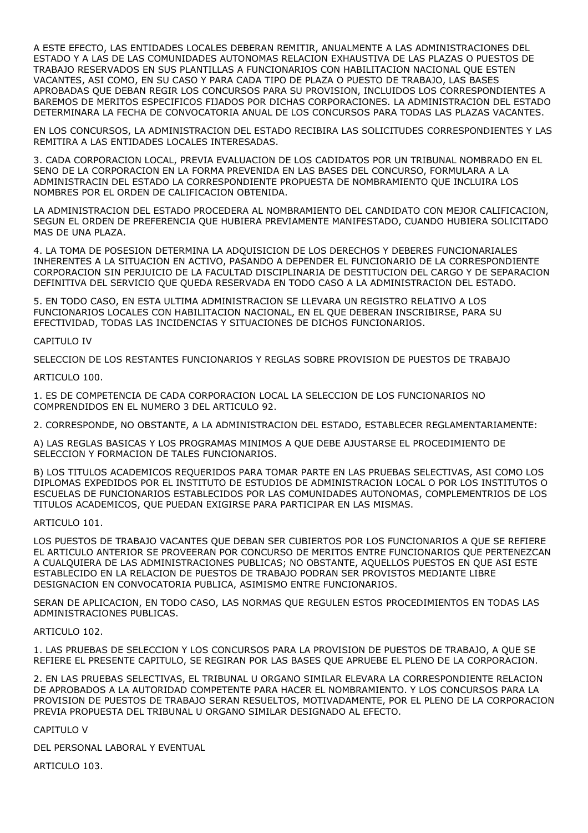A ESTE EFECTO, LAS ENTIDADES LOCALES DEBERAN REMITIR, ANUALMENTE A LAS ADMINISTRACIONES DEL ESTADO Y A LAS DE LAS COMUNIDADES AUTONOMAS RELACION EXHAUSTIVA DE LAS PLAZAS O PUESTOS DE TRABAJO RESERVADOS EN SUS PLANTILLAS A FUNCIONARIOS CON HABILITACION NACIONAL QUE ESTEN VACANTES, ASI COMO, EN SU CASO Y PARA CADA TIPO DE PLAZA O PUESTO DE TRABAJO, LAS BASES APROBADAS QUE DEBAN REGIR LOS CONCURSOS PARA SU PROVISION, INCLUIDOS LOS CORRESPONDIENTES A BAREMOS DE MERITOS ESPECIFICOS FIJADOS POR DICHAS CORPORACIONES. LA ADMINISTRACION DEL ESTADO DETERMINARA LA FECHA DE CONVOCATORIA ANUAL DE LOS CONCURSOS PARA TODAS LAS PLAZAS VACANTES.

EN LOS CONCURSOS, LA ADMINISTRACION DEL ESTADO RECIBIRA LAS SOLICITUDES CORRESPONDIENTES Y LAS REMITIRA A LAS ENTIDADES LOCALES INTERESADAS.

3. CADA CORPORACION LOCAL, PREVIA EVALUACION DE LOS CADIDATOS POR UN TRIBUNAL NOMBRADO EN EL SENO DE LA CORPORACION EN LA FORMA PREVENIDA EN LAS BASES DEL CONCURSO, FORMULARA A LA ADMINISTRACIN DEL ESTADO LA CORRESPONDIENTE PROPUESTA DE NOMBRAMIENTO QUE INCLUIRA LOS NOMBRES POR EL ORDEN DE CALIFICACION OBTENIDA.

LA ADMINISTRACION DEL ESTADO PROCEDERA AL NOMBRAMIENTO DEL CANDIDATO CON MEJOR CALIFICACION, SEGUN EL ORDEN DE PREFERENCIA QUE HUBIERA PREVIAMENTE MANIFESTADO, CUANDO HUBIERA SOLICITADO MAS DE UNA PLAZA.

4. LA TOMA DE POSESION DETERMINA LA ADQUISICION DE LOS DERECHOS Y DEBERES FUNCIONARIALES INHERENTES A LA SITUACION EN ACTIVO, PASANDO A DEPENDER EL FUNCIONARIO DE LA CORRESPONDIENTE CORPORACION SIN PERJUICIO DE LA FACULTAD DISCIPLINARIA DE DESTITUCION DEL CARGO Y DE SEPARACION DEFINITIVA DEL SERVICIO QUE QUEDA RESERVADA EN TODO CASO A LA ADMINISTRACION DEL ESTADO.

5. EN TODO CASO, EN ESTA ULTIMA ADMINISTRACION SE LLEVARA UN REGISTRO RELATIVO A LOS FUNCIONARIOS LOCALES CON HABILITACION NACIONAL, EN EL QUE DEBERAN INSCRIBIRSE, PARA SU EFECTIVIDAD, TODAS LAS INCIDENCIAS Y SITUACIONES DE DICHOS FUNCIONARIOS.

# CAPITULO IV

SELECCION DE LOS RESTANTES FUNCIONARIOS Y REGLAS SOBRE PROVISION DE PUESTOS DE TRABAJO

ARTICULO 100.

1. ES DE COMPETENCIA DE CADA CORPORACION LOCAL LA SELECCION DE LOS FUNCIONARIOS NO COMPRENDIDOS EN EL NUMERO 3 DEL ARTICULO 92.

2. CORRESPONDE, NO OBSTANTE, A LA ADMINISTRACION DEL ESTADO, ESTABLECER REGLAMENTARIAMENTE:

A) LAS REGLAS BASICAS Y LOS PROGRAMAS MINIMOS A QUE DEBE AJUSTARSE EL PROCEDIMIENTO DE SELECCION Y FORMACION DE TALES FUNCIONARIOS.

B) LOS TITULOS ACADEMICOS REQUERIDOS PARA TOMAR PARTE EN LAS PRUEBAS SELECTIVAS, ASI COMO LOS DIPLOMAS EXPEDIDOS POR EL INSTITUTO DE ESTUDIOS DE ADMINISTRACION LOCAL O POR LOS INSTITUTOS O ESCUELAS DE FUNCIONARIOS ESTABLECIDOS POR LAS COMUNIDADES AUTONOMAS, COMPLEMENTRIOS DE LOS TITULOS ACADEMICOS, QUE PUEDAN EXIGIRSE PARA PARTICIPAR EN LAS MISMAS.

# ARTICULO 101.

LOS PUESTOS DE TRABAJO VACANTES QUE DEBAN SER CUBIERTOS POR LOS FUNCIONARIOS A QUE SE REFIERE EL ARTICULO ANTERIOR SE PROVEERAN POR CONCURSO DE MERITOS ENTRE FUNCIONARIOS QUE PERTENEZCAN A CUALQUIERA DE LAS ADMINISTRACIONES PUBLICAS; NO OBSTANTE, AQUELLOS PUESTOS EN QUE ASI ESTE ESTABLECIDO EN LA RELACION DE PUESTOS DE TRABAJO PODRAN SER PROVISTOS MEDIANTE LIBRE DESIGNACION EN CONVOCATORIA PUBLICA, ASIMISMO ENTRE FUNCIONARIOS.

SERAN DE APLICACION, EN TODO CASO, LAS NORMAS QUE REGULEN ESTOS PROCEDIMIENTOS EN TODAS LAS ADMINISTRACIONES PUBLICAS.

# ARTICULO 102.

1. LAS PRUEBAS DE SELECCION Y LOS CONCURSOS PARA LA PROVISION DE PUESTOS DE TRABAJO, A QUE SE REFIERE EL PRESENTE CAPITULO, SE REGIRAN POR LAS BASES QUE APRUEBE EL PLENO DE LA CORPORACION.

2. EN LAS PRUEBAS SELECTIVAS, EL TRIBUNAL U ORGANO SIMILAR ELEVARA LA CORRESPONDIENTE RELACION DE APROBADOS A LA AUTORIDAD COMPETENTE PARA HACER EL NOMBRAMIENTO. Y LOS CONCURSOS PARA LA PROVISION DE PUESTOS DE TRABAJO SERAN RESUELTOS, MOTIVADAMENTE, POR EL PLENO DE LA CORPORACION PREVIA PROPUESTA DEL TRIBUNAL U ORGANO SIMILAR DESIGNADO AL EFECTO.

CAPITULO V

DEL PERSONAL LABORAL Y EVENTUAL

ARTICULO 103.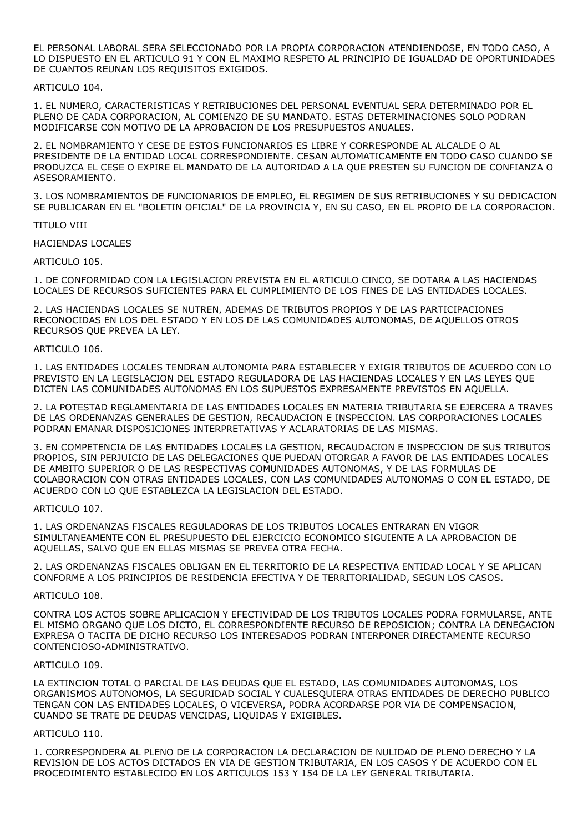EL PERSONAL LABORAL SERA SELECCIONADO POR LA PROPIA CORPORACION ATENDIENDOSE, EN TODO CASO, A LO DISPUESTO EN EL ARTICULO 91 Y CON EL MAXIMO RESPETO AL PRINCIPIO DE IGUALDAD DE OPORTUNIDADES DE CUANTOS REUNAN LOS REQUISITOS EXIGIDOS.

### ARTICULO 104.

1. EL NUMERO, CARACTERISTICAS Y RETRIBUCIONES DEL PERSONAL EVENTUAL SERA DETERMINADO POR EL PLENO DE CADA CORPORACION, AL COMIENZO DE SU MANDATO. ESTAS DETERMINACIONES SOLO PODRAN MODIFICARSE CON MOTIVO DE LA APROBACION DE LOS PRESUPUESTOS ANUALES.

2. EL NOMBRAMIENTO Y CESE DE ESTOS FUNCIONARIOS ES LIBRE Y CORRESPONDE AL ALCALDE O AL PRESIDENTE DE LA ENTIDAD LOCAL CORRESPONDIENTE. CESAN AUTOMATICAMENTE EN TODO CASO CUANDO SE PRODUZCA EL CESE O EXPIRE EL MANDATO DE LA AUTORIDAD A LA QUE PRESTEN SU FUNCION DE CONFIANZA O ASESORAMIENTO.

3. LOS NOMBRAMIENTOS DE FUNCIONARIOS DE EMPLEO, EL REGIMEN DE SUS RETRIBUCIONES Y SU DEDICACION SE PUBLICARAN EN EL "BOLETIN OFICIAL" DE LA PROVINCIA Y, EN SU CASO, EN EL PROPIO DE LA CORPORACION.

#### TITULO VIII

HACIENDAS LOCALES

ARTICULO 105.

1. DE CONFORMIDAD CON LA LEGISLACION PREVISTA EN EL ARTICULO CINCO, SE DOTARA A LAS HACIENDAS LOCALES DE RECURSOS SUFICIENTES PARA EL CUMPLIMIENTO DE LOS FINES DE LAS ENTIDADES LOCALES.

2. LAS HACIENDAS LOCALES SE NUTREN, ADEMAS DE TRIBUTOS PROPIOS Y DE LAS PARTICIPACIONES RECONOCIDAS EN LOS DEL ESTADO Y EN LOS DE LAS COMUNIDADES AUTONOMAS, DE AQUELLOS OTROS RECURSOS QUE PREVEA LA LEY.

#### ARTICULO 106.

1. LAS ENTIDADES LOCALES TENDRAN AUTONOMIA PARA ESTABLECER Y EXIGIR TRIBUTOS DE ACUERDO CON LO PREVISTO EN LA LEGISLACION DEL ESTADO REGULADORA DE LAS HACIENDAS LOCALES Y EN LAS LEYES QUE DICTEN LAS COMUNIDADES AUTONOMAS EN LOS SUPUESTOS EXPRESAMENTE PREVISTOS EN AQUELLA.

2. LA POTESTAD REGLAMENTARIA DE LAS ENTIDADES LOCALES EN MATERIA TRIBUTARIA SE EJERCERA A TRAVES DE LAS ORDENANZAS GENERALES DE GESTION, RECAUDACION E INSPECCION. LAS CORPORACIONES LOCALES PODRAN EMANAR DISPOSICIONES INTERPRETATIVAS Y ACLARATORIAS DE LAS MISMAS.

3. EN COMPETENCIA DE LAS ENTIDADES LOCALES LA GESTION, RECAUDACION E INSPECCION DE SUS TRIBUTOS PROPIOS, SIN PERJUICIO DE LAS DELEGACIONES QUE PUEDAN OTORGAR A FAVOR DE LAS ENTIDADES LOCALES DE AMBITO SUPERIOR O DE LAS RESPECTIVAS COMUNIDADES AUTONOMAS, Y DE LAS FORMULAS DE COLABORACION CON OTRAS ENTIDADES LOCALES, CON LAS COMUNIDADES AUTONOMAS O CON EL ESTADO, DE ACUERDO CON LO QUE ESTABLEZCA LA LEGISLACION DEL ESTADO.

# ARTICULO 107.

1. LAS ORDENANZAS FISCALES REGULADORAS DE LOS TRIBUTOS LOCALES ENTRARAN EN VIGOR SIMULTANEAMENTE CON EL PRESUPUESTO DEL EJERCICIO ECONOMICO SIGUIENTE A LA APROBACION DE AQUELLAS, SALVO QUE EN ELLAS MISMAS SE PREVEA OTRA FECHA.

2. LAS ORDENANZAS FISCALES OBLIGAN EN EL TERRITORIO DE LA RESPECTIVA ENTIDAD LOCAL Y SE APLICAN CONFORME A LOS PRINCIPIOS DE RESIDENCIA EFECTIVA Y DE TERRITORIALIDAD, SEGUN LOS CASOS.

# ARTICULO 108.

CONTRA LOS ACTOS SOBRE APLICACION Y EFECTIVIDAD DE LOS TRIBUTOS LOCALES PODRA FORMULARSE, ANTE EL MISMO ORGANO QUE LOS DICTO, EL CORRESPONDIENTE RECURSO DE REPOSICION; CONTRA LA DENEGACION EXPRESA O TACITA DE DICHO RECURSO LOS INTERESADOS PODRAN INTERPONER DIRECTAMENTE RECURSO CONTENCIOSO-ADMINISTRATIVO.

#### ARTICULO 109.

LA EXTINCION TOTAL O PARCIAL DE LAS DEUDAS QUE EL ESTADO, LAS COMUNIDADES AUTONOMAS, LOS ORGANISMOS AUTONOMOS, LA SEGURIDAD SOCIAL Y CUALESQUIERA OTRAS ENTIDADES DE DERECHO PUBLICO TENGAN CON LAS ENTIDADES LOCALES, O VICEVERSA, PODRA ACORDARSE POR VIA DE COMPENSACION, CUANDO SE TRATE DE DEUDAS VENCIDAS, LIQUIDAS Y EXIGIBLES.

#### ARTICULO 110.

1. CORRESPONDERA AL PLENO DE LA CORPORACION LA DECLARACION DE NULIDAD DE PLENO DERECHO Y LA REVISION DE LOS ACTOS DICTADOS EN VIA DE GESTION TRIBUTARIA, EN LOS CASOS Y DE ACUERDO CON EL PROCEDIMIENTO ESTABLECIDO EN LOS ARTICULOS 153 Y 154 DE LA LEY GENERAL TRIBUTARIA.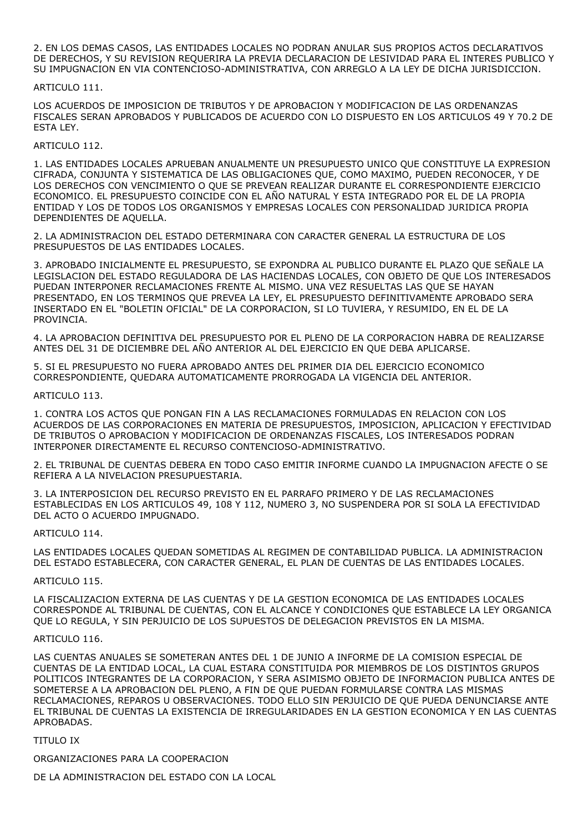2. EN LOS DEMAS CASOS, LAS ENTIDADES LOCALES NO PODRAN ANULAR SUS PROPIOS ACTOS DECLARATIVOS DE DERECHOS, Y SU REVISION REQUERIRA LA PREVIA DECLARACION DE LESIVIDAD PARA EL INTERES PUBLICO Y SU IMPUGNACION EN VIA CONTENCIOSO-ADMINISTRATIVA, CON ARREGLO A LA LEY DE DICHA JURISDICCION.

# ARTICULO 111.

LOS ACUERDOS DE IMPOSICION DE TRIBUTOS Y DE APROBACION Y MODIFICACION DE LAS ORDENANZAS FISCALES SERAN APROBADOS Y PUBLICADOS DE ACUERDO CON LO DISPUESTO EN LOS ARTICULOS 49 Y 70.2 DE ESTA LEY.

# ARTICULO 112.

1. LAS ENTIDADES LOCALES APRUEBAN ANUALMENTE UN PRESUPUESTO UNICO QUE CONSTITUYE LA EXPRESION CIFRADA, CONJUNTA Y SISTEMATICA DE LAS OBLIGACIONES QUE, COMO MAXIMO, PUEDEN RECONOCER, Y DE LOS DERECHOS CON VENCIMIENTO O QUE SE PREVEAN REALIZAR DURANTE EL CORRESPONDIENTE EJERCICIO ECONOMICO. EL PRESUPUESTO COINCIDE CON EL AÑO NATURAL Y ESTA INTEGRADO POR EL DE LA PROPIA ENTIDAD Y LOS DE TODOS LOS ORGANISMOS Y EMPRESAS LOCALES CON PERSONALIDAD JURIDICA PROPIA DEPENDIENTES DE AQUELLA.

2. LA ADMINISTRACION DEL ESTADO DETERMINARA CON CARACTER GENERAL LA ESTRUCTURA DE LOS PRESUPUESTOS DE LAS ENTIDADES LOCALES.

3. APROBADO INICIALMENTE EL PRESUPUESTO, SE EXPONDRA AL PUBLICO DURANTE EL PLAZO QUE SEÑALE LA LEGISLACION DEL ESTADO REGULADORA DE LAS HACIENDAS LOCALES, CON OBJETO DE QUE LOS INTERESADOS PUEDAN INTERPONER RECLAMACIONES FRENTE AL MISMO. UNA VEZ RESUELTAS LAS QUE SE HAYAN PRESENTADO, EN LOS TERMINOS QUE PREVEA LA LEY, EL PRESUPUESTO DEFINITIVAMENTE APROBADO SERA INSERTADO EN EL "BOLETIN OFICIAL" DE LA CORPORACION, SI LO TUVIERA, Y RESUMIDO, EN EL DE LA PROVINCIA.

4. LA APROBACION DEFINITIVA DEL PRESUPUESTO POR EL PLENO DE LA CORPORACION HABRA DE REALIZARSE ANTES DEL 31 DE DICIEMBRE DEL AÑO ANTERIOR AL DEL EJERCICIO EN QUE DEBA APLICARSE.

5. SI EL PRESUPUESTO NO FUERA APROBADO ANTES DEL PRIMER DIA DEL EJERCICIO ECONOMICO CORRESPONDIENTE, QUEDARA AUTOMATICAMENTE PRORROGADA LA VIGENCIA DEL ANTERIOR.

#### ARTICULO 113.

1. CONTRA LOS ACTOS QUE PONGAN FIN A LAS RECLAMACIONES FORMULADAS EN RELACION CON LOS ACUERDOS DE LAS CORPORACIONES EN MATERIA DE PRESUPUESTOS, IMPOSICION, APLICACION Y EFECTIVIDAD DE TRIBUTOS O APROBACION Y MODIFICACION DE ORDENANZAS FISCALES, LOS INTERESADOS PODRAN INTERPONER DIRECTAMENTE EL RECURSO CONTENCIOSO-ADMINISTRATIVO.

2. EL TRIBUNAL DE CUENTAS DEBERA EN TODO CASO EMITIR INFORME CUANDO LA IMPUGNACION AFECTE O SE REFIERA A LA NIVELACION PRESUPUESTARIA.

3. LA INTERPOSICION DEL RECURSO PREVISTO EN EL PARRAFO PRIMERO Y DE LAS RECLAMACIONES ESTABLECIDAS EN LOS ARTICULOS 49, 108 Y 112, NUMERO 3, NO SUSPENDERA POR SI SOLA LA EFECTIVIDAD DEL ACTO O ACUERDO IMPUGNADO.

# ARTICULO 114.

LAS ENTIDADES LOCALES QUEDAN SOMETIDAS AL REGIMEN DE CONTABILIDAD PUBLICA. LA ADMINISTRACION DEL ESTADO ESTABLECERA, CON CARACTER GENERAL, EL PLAN DE CUENTAS DE LAS ENTIDADES LOCALES.

# ARTICULO 115.

LA FISCALIZACION EXTERNA DE LAS CUENTAS Y DE LA GESTION ECONOMICA DE LAS ENTIDADES LOCALES CORRESPONDE AL TRIBUNAL DE CUENTAS, CON EL ALCANCE Y CONDICIONES QUE ESTABLECE LA LEY ORGANICA QUE LO REGULA, Y SIN PERJUICIO DE LOS SUPUESTOS DE DELEGACION PREVISTOS EN LA MISMA.

#### ARTICULO 116.

LAS CUENTAS ANUALES SE SOMETERAN ANTES DEL 1 DE JUNIO A INFORME DE LA COMISION ESPECIAL DE CUENTAS DE LA ENTIDAD LOCAL, LA CUAL ESTARA CONSTITUIDA POR MIEMBROS DE LOS DISTINTOS GRUPOS POLITICOS INTEGRANTES DE LA CORPORACION, Y SERA ASIMISMO OBJETO DE INFORMACION PUBLICA ANTES DE SOMETERSE A LA APROBACION DEL PLENO, A FIN DE QUE PUEDAN FORMULARSE CONTRA LAS MISMAS RECLAMACIONES, REPAROS U OBSERVACIONES. TODO ELLO SIN PERJUICIO DE QUE PUEDA DENUNCIARSE ANTE EL TRIBUNAL DE CUENTAS LA EXISTENCIA DE IRREGULARIDADES EN LA GESTION ECONOMICA Y EN LAS CUENTAS APROBADAS.

#### TITULO IX

ORGANIZACIONES PARA LA COOPERACION

DE LA ADMINISTRACION DEL ESTADO CON LA LOCAL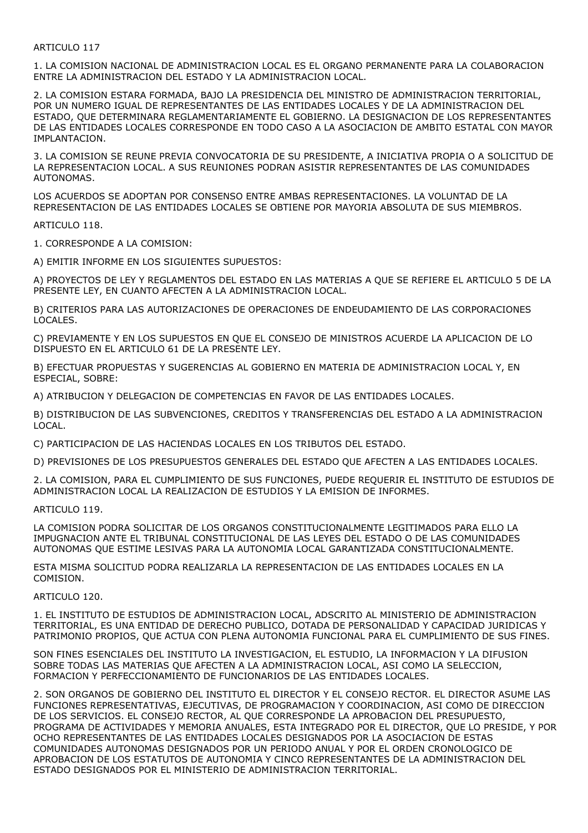# ARTICULO 117

1. LA COMISION NACIONAL DE ADMINISTRACION LOCAL ES EL ORGANO PERMANENTE PARA LA COLABORACION ENTRE LA ADMINISTRACION DEL ESTADO Y LA ADMINISTRACION LOCAL.

2. LA COMISION ESTARA FORMADA, BAJO LA PRESIDENCIA DEL MINISTRO DE ADMINISTRACION TERRITORIAL, POR UN NUMERO IGUAL DE REPRESENTANTES DE LAS ENTIDADES LOCALES Y DE LA ADMINISTRACION DEL ESTADO, QUE DETERMINARA REGLAMENTARIAMENTE EL GOBIERNO. LA DESIGNACION DE LOS REPRESENTANTES DE LAS ENTIDADES LOCALES CORRESPONDE EN TODO CASO A LA ASOCIACION DE AMBITO ESTATAL CON MAYOR IMPLANTACION.

3. LA COMISION SE REUNE PREVIA CONVOCATORIA DE SU PRESIDENTE, A INICIATIVA PROPIA O A SOLICITUD DE LA REPRESENTACION LOCAL. A SUS REUNIONES PODRAN ASISTIR REPRESENTANTES DE LAS COMUNIDADES AUTONOMAS.

LOS ACUERDOS SE ADOPTAN POR CONSENSO ENTRE AMBAS REPRESENTACIONES. LA VOLUNTAD DE LA REPRESENTACION DE LAS ENTIDADES LOCALES SE OBTIENE POR MAYORIA ABSOLUTA DE SUS MIEMBROS.

ARTICULO 118.

1. CORRESPONDE A LA COMISION:

A) EMITIR INFORME EN LOS SIGUIENTES SUPUESTOS:

A) PROYECTOS DE LEY Y REGLAMENTOS DEL ESTADO EN LAS MATERIAS A QUE SE REFIERE EL ARTICULO 5 DE LA PRESENTE LEY, EN CUANTO AFECTEN A LA ADMINISTRACION LOCAL.

B) CRITERIOS PARA LAS AUTORIZACIONES DE OPERACIONES DE ENDEUDAMIENTO DE LAS CORPORACIONES LOCALES.

C) PREVIAMENTE Y EN LOS SUPUESTOS EN QUE EL CONSEJO DE MINISTROS ACUERDE LA APLICACION DE LO DISPUESTO EN EL ARTICULO 61 DE LA PRESENTE LEY.

B) EFECTUAR PROPUESTAS Y SUGERENCIAS AL GOBIERNO EN MATERIA DE ADMINISTRACION LOCAL Y, EN ESPECIAL, SOBRE:

A) ATRIBUCION Y DELEGACION DE COMPETENCIAS EN FAVOR DE LAS ENTIDADES LOCALES.

B) DISTRIBUCION DE LAS SUBVENCIONES, CREDITOS Y TRANSFERENCIAS DEL ESTADO A LA ADMINISTRACION LOCAL.

C) PARTICIPACION DE LAS HACIENDAS LOCALES EN LOS TRIBUTOS DEL ESTADO.

D) PREVISIONES DE LOS PRESUPUESTOS GENERALES DEL ESTADO QUE AFECTEN A LAS ENTIDADES LOCALES.

2. LA COMISION, PARA EL CUMPLIMIENTO DE SUS FUNCIONES, PUEDE REQUERIR EL INSTITUTO DE ESTUDIOS DE ADMINISTRACION LOCAL LA REALIZACION DE ESTUDIOS Y LA EMISION DE INFORMES.

ARTICULO 119.

LA COMISION PODRA SOLICITAR DE LOS ORGANOS CONSTITUCIONALMENTE LEGITIMADOS PARA ELLO LA IMPUGNACION ANTE EL TRIBUNAL CONSTITUCIONAL DE LAS LEYES DEL ESTADO O DE LAS COMUNIDADES AUTONOMAS QUE ESTIME LESIVAS PARA LA AUTONOMIA LOCAL GARANTIZADA CONSTITUCIONALMENTE.

ESTA MISMA SOLICITUD PODRA REALIZARLA LA REPRESENTACION DE LAS ENTIDADES LOCALES EN LA COMISION.

ARTICULO 120.

1. EL INSTITUTO DE ESTUDIOS DE ADMINISTRACION LOCAL, ADSCRITO AL MINISTERIO DE ADMINISTRACION TERRITORIAL, ES UNA ENTIDAD DE DERECHO PUBLICO, DOTADA DE PERSONALIDAD Y CAPACIDAD JURIDICAS Y PATRIMONIO PROPIOS, QUE ACTUA CON PLENA AUTONOMIA FUNCIONAL PARA EL CUMPLIMIENTO DE SUS FINES.

SON FINES ESENCIALES DEL INSTITUTO LA INVESTIGACION, EL ESTUDIO, LA INFORMACION Y LA DIFUSION SOBRE TODAS LAS MATERIAS QUE AFECTEN A LA ADMINISTRACION LOCAL, ASI COMO LA SELECCION, FORMACION Y PERFECCIONAMIENTO DE FUNCIONARIOS DE LAS ENTIDADES LOCALES.

2. SON ORGANOS DE GOBIERNO DEL INSTITUTO EL DIRECTOR Y EL CONSEJO RECTOR. EL DIRECTOR ASUME LAS FUNCIONES REPRESENTATIVAS, EJECUTIVAS, DE PROGRAMACION Y COORDINACION, ASI COMO DE DIRECCION DE LOS SERVICIOS. EL CONSEJO RECTOR, AL QUE CORRESPONDE LA APROBACION DEL PRESUPUESTO, PROGRAMA DE ACTIVIDADES Y MEMORIA ANUALES, ESTA INTEGRADO POR EL DIRECTOR, QUE LO PRESIDE, Y POR OCHO REPRESENTANTES DE LAS ENTIDADES LOCALES DESIGNADOS POR LA ASOCIACION DE ESTAS COMUNIDADES AUTONOMAS DESIGNADOS POR UN PERIODO ANUAL Y POR EL ORDEN CRONOLOGICO DE APROBACION DE LOS ESTATUTOS DE AUTONOMIA Y CINCO REPRESENTANTES DE LA ADMINISTRACION DEL ESTADO DESIGNADOS POR EL MINISTERIO DE ADMINISTRACION TERRITORIAL.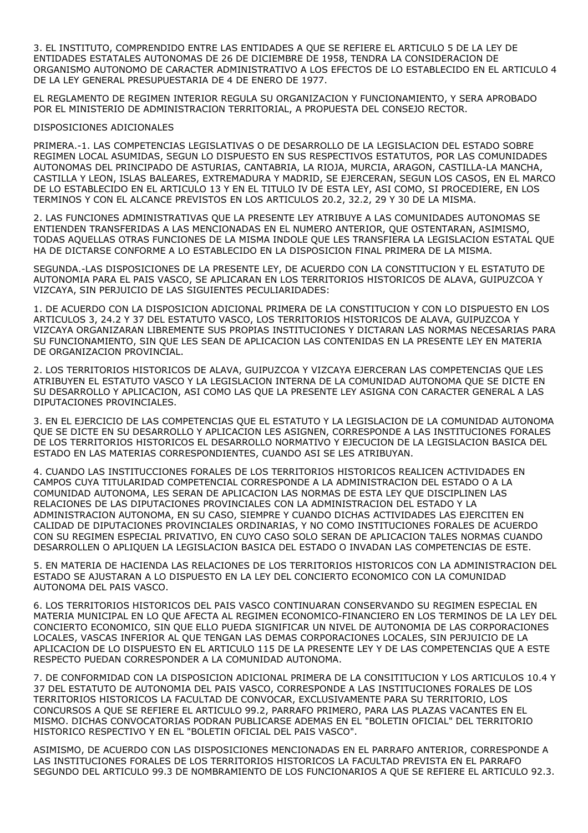3. EL INSTITUTO, COMPRENDIDO ENTRE LAS ENTIDADES A QUE SE REFIERE EL ARTICULO 5 DE LA LEY DE ENTIDADES ESTATALES AUTONOMAS DE 26 DE DICIEMBRE DE 1958, TENDRA LA CONSIDERACION DE ORGANISMO AUTONOMO DE CARACTER ADMINISTRATIVO A LOS EFECTOS DE LO ESTABLECIDO EN EL ARTICULO 4 DE LA LEY GENERAL PRESUPUESTARIA DE 4 DE ENERO DE 1977.

EL REGLAMENTO DE REGIMEN INTERIOR REGULA SU ORGANIZACION Y FUNCIONAMIENTO, Y SERA APROBADO POR EL MINISTERIO DE ADMINISTRACION TERRITORIAL, A PROPUESTA DEL CONSEJO RECTOR.

# DISPOSICIONES ADICIONALES

PRIMERA.-1. LAS COMPETENCIAS LEGISLATIVAS O DE DESARROLLO DE LA LEGISLACION DEL ESTADO SOBRE REGIMEN LOCAL ASUMIDAS, SEGUN LO DISPUESTO EN SUS RESPECTIVOS ESTATUTOS, POR LAS COMUNIDADES AUTONOMAS DEL PRINCIPADO DE ASTURIAS, CANTABRIA, LA RIOJA, MURCIA, ARAGON, CASTILLA-LA MANCHA, CASTILLA Y LEON, ISLAS BALEARES, EXTREMADURA Y MADRID, SE EJERCERAN, SEGUN LOS CASOS, EN EL MARCO DE LO ESTABLECIDO EN EL ARTICULO 13 Y EN EL TITULO IV DE ESTA LEY, ASI COMO, SI PROCEDIERE, EN LOS TERMINOS Y CON EL ALCANCE PREVISTOS EN LOS ARTICULOS 20.2, 32.2, 29 Y 30 DE LA MISMA.

2. LAS FUNCIONES ADMINISTRATIVAS QUE LA PRESENTE LEY ATRIBUYE A LAS COMUNIDADES AUTONOMAS SE ENTIENDEN TRANSFERIDAS A LAS MENCIONADAS EN EL NUMERO ANTERIOR, QUE OSTENTARAN, ASIMISMO, TODAS AQUELLAS OTRAS FUNCIONES DE LA MISMA INDOLE QUE LES TRANSFIERA LA LEGISLACION ESTATAL QUE HA DE DICTARSE CONFORME A LO ESTABLECIDO EN LA DISPOSICION FINAL PRIMERA DE LA MISMA.

SEGUNDA.-LAS DISPOSICIONES DE LA PRESENTE LEY, DE ACUERDO CON LA CONSTITUCION Y EL ESTATUTO DE AUTONOMIA PARA EL PAIS VASCO, SE APLICARAN EN LOS TERRITORIOS HISTORICOS DE ALAVA, GUIPUZCOA Y VIZCAYA, SIN PERJUICIO DE LAS SIGUIENTES PECULIARIDADES:

1. DE ACUERDO CON LA DISPOSICION ADICIONAL PRIMERA DE LA CONSTITUCION Y CON LO DISPUESTO EN LOS ARTICULOS 3, 24.2 Y 37 DEL ESTATUTO VASCO, LOS TERRITORIOS HISTORICOS DE ALAVA, GUIPUZCOA Y VIZCAYA ORGANIZARAN LIBREMENTE SUS PROPIAS INSTITUCIONES Y DICTARAN LAS NORMAS NECESARIAS PARA SU FUNCIONAMIENTO, SIN QUE LES SEAN DE APLICACION LAS CONTENIDAS EN LA PRESENTE LEY EN MATERIA DE ORGANIZACION PROVINCIAL.

2. LOS TERRITORIOS HISTORICOS DE ALAVA, GUIPUZCOA Y VIZCAYA EJERCERAN LAS COMPETENCIAS QUE LES ATRIBUYEN EL ESTATUTO VASCO Y LA LEGISLACION INTERNA DE LA COMUNIDAD AUTONOMA QUE SE DICTE EN SU DESARROLLO Y APLICACION, ASI COMO LAS QUE LA PRESENTE LEY ASIGNA CON CARACTER GENERAL A LAS DIPUTACIONES PROVINCIALES.

3. EN EL EJERCICIO DE LAS COMPETENCIAS QUE EL ESTATUTO Y LA LEGISLACION DE LA COMUNIDAD AUTONOMA QUE SE DICTE EN SU DESARROLLO Y APLICACION LES ASIGNEN, CORRESPONDE A LAS INSTITUCIONES FORALES DE LOS TERRITORIOS HISTORICOS EL DESARROLLO NORMATIVO Y EJECUCION DE LA LEGISLACION BASICA DEL ESTADO EN LAS MATERIAS CORRESPONDIENTES, CUANDO ASI SE LES ATRIBUYAN.

4. CUANDO LAS INSTITUCCIONES FORALES DE LOS TERRITORIOS HISTORICOS REALICEN ACTIVIDADES EN CAMPOS CUYA TITULARIDAD COMPETENCIAL CORRESPONDE A LA ADMINISTRACION DEL ESTADO O A LA COMUNIDAD AUTONOMA, LES SERAN DE APLICACION LAS NORMAS DE ESTA LEY QUE DISCIPLINEN LAS RELACIONES DE LAS DIPUTACIONES PROVINCIALES CON LA ADMINISTRACION DEL ESTADO Y LA ADMINISTRACION AUTONOMA, EN SU CASO, SIEMPRE Y CUANDO DICHAS ACTIVIDADES LAS EJERCITEN EN CALIDAD DE DIPUTACIONES PROVINCIALES ORDINARIAS, Y NO COMO INSTITUCIONES FORALES DE ACUERDO CON SU REGIMEN ESPECIAL PRIVATIVO, EN CUYO CASO SOLO SERAN DE APLICACION TALES NORMAS CUANDO DESARROLLEN O APLIQUEN LA LEGISLACION BASICA DEL ESTADO O INVADAN LAS COMPETENCIAS DE ESTE.

5. EN MATERIA DE HACIENDA LAS RELACIONES DE LOS TERRITORIOS HISTORICOS CON LA ADMINISTRACION DEL ESTADO SE AJUSTARAN A LO DISPUESTO EN LA LEY DEL CONCIERTO ECONOMICO CON LA COMUNIDAD AUTONOMA DEL PAIS VASCO.

6. LOS TERRITORIOS HISTORICOS DEL PAIS VASCO CONTINUARAN CONSERVANDO SU REGIMEN ESPECIAL EN MATERIA MUNICIPAL EN LO QUE AFECTA AL REGIMEN ECONOMICO-FINANCIERO EN LOS TERMINOS DE LA LEY DEL CONCIERTO ECONOMICO, SIN QUE ELLO PUEDA SIGNIFICAR UN NIVEL DE AUTONOMIA DE LAS CORPORACIONES LOCALES, VASCAS INFERIOR AL QUE TENGAN LAS DEMAS CORPORACIONES LOCALES, SIN PERJUICIO DE LA APLICACION DE LO DISPUESTO EN EL ARTICULO 115 DE LA PRESENTE LEY Y DE LAS COMPETENCIAS QUE A ESTE RESPECTO PUEDAN CORRESPONDER A LA COMUNIDAD AUTONOMA.

7. DE CONFORMIDAD CON LA DISPOSICION ADICIONAL PRIMERA DE LA CONSITITUCION Y LOS ARTICULOS 10.4 Y 37 DEL ESTATUTO DE AUTONOMIA DEL PAIS VASCO, CORRESPONDE A LAS INSTITUCIONES FORALES DE LOS TERRITORIOS HISTORICOS LA FACULTAD DE CONVOCAR, EXCLUSIVAMENTE PARA SU TERRITORIO, LOS CONCURSOS A QUE SE REFIERE EL ARTICULO 99.2, PARRAFO PRIMERO, PARA LAS PLAZAS VACANTES EN EL MISMO. DICHAS CONVOCATORIAS PODRAN PUBLICARSE ADEMAS EN EL "BOLETIN OFICIAL" DEL TERRITORIO HISTORICO RESPECTIVO Y EN EL "BOLETIN OFICIAL DEL PAIS VASCO".

ASIMISMO, DE ACUERDO CON LAS DISPOSICIONES MENCIONADAS EN EL PARRAFO ANTERIOR, CORRESPONDE A LAS INSTITUCIONES FORALES DE LOS TERRITORIOS HISTORICOS LA FACULTAD PREVISTA EN EL PARRAFO SEGUNDO DEL ARTICULO 99.3 DE NOMBRAMIENTO DE LOS FUNCIONARIOS A QUE SE REFIERE EL ARTICULO 92.3.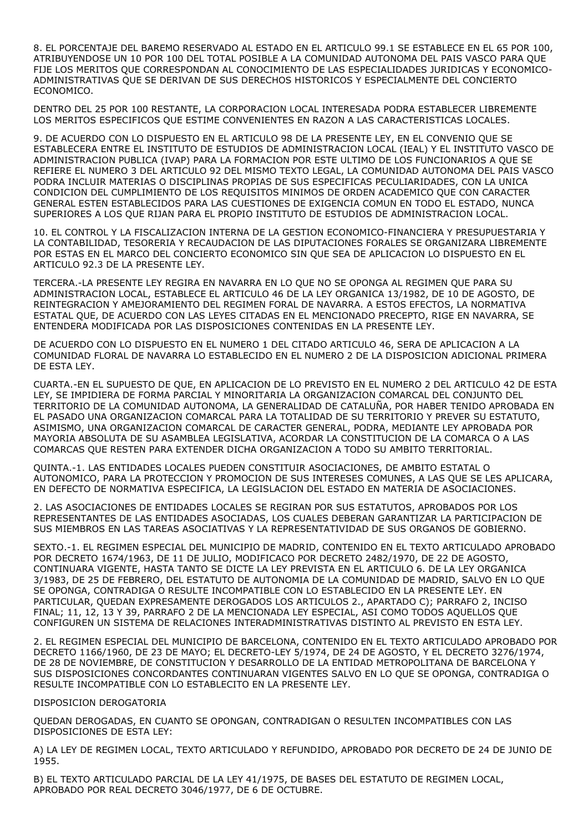8. EL PORCENTAJE DEL BAREMO RESERVADO AL ESTADO EN EL ARTICULO 99.1 SE ESTABLECE EN EL 65 POR 100, ATRIBUYENDOSE UN 10 POR 100 DEL TOTAL POSIBLE A LA COMUNIDAD AUTONOMA DEL PAIS VASCO PARA QUE FIJE LOS MERITOS QUE CORRESPONDAN AL CONOCIMIENTO DE LAS ESPECIALIDADES JURIDICAS Y ECONOMICO-ADMINISTRATIVAS QUE SE DERIVAN DE SUS DERECHOS HISTORICOS Y ESPECIALMENTE DEL CONCIERTO ECONOMICO.

DENTRO DEL 25 POR 100 RESTANTE, LA CORPORACION LOCAL INTERESADA PODRA ESTABLECER LIBREMENTE LOS MERITOS ESPECIFICOS QUE ESTIME CONVENIENTES EN RAZON A LAS CARACTERISTICAS LOCALES.

9. DE ACUERDO CON LO DISPUESTO EN EL ARTICULO 98 DE LA PRESENTE LEY, EN EL CONVENIO QUE SE ESTABLECERA ENTRE EL INSTITUTO DE ESTUDIOS DE ADMINISTRACION LOCAL (IEAL) Y EL INSTITUTO VASCO DE ADMINISTRACION PUBLICA (IVAP) PARA LA FORMACION POR ESTE ULTIMO DE LOS FUNCIONARIOS A QUE SE REFIERE EL NUMERO 3 DEL ARTICULO 92 DEL MISMO TEXTO LEGAL, LA COMUNIDAD AUTONOMA DEL PAIS VASCO PODRA INCLUIR MATERIAS O DISCIPLINAS PROPIAS DE SUS ESPECIFICAS PECULIARIDADES, CON LA UNICA CONDICION DEL CUMPLIMIENTO DE LOS REQUISITOS MINIMOS DE ORDEN ACADEMICO QUE CON CARACTER GENERAL ESTEN ESTABLECIDOS PARA LAS CUESTIONES DE EXIGENCIA COMUN EN TODO EL ESTADO, NUNCA SUPERIORES A LOS QUE RIJAN PARA EL PROPIO INSTITUTO DE ESTUDIOS DE ADMINISTRACION LOCAL.

10. EL CONTROL Y LA FISCALIZACION INTERNA DE LA GESTION ECONOMICO-FINANCIERA Y PRESUPUESTARIA Y LA CONTABILIDAD, TESORERIA Y RECAUDACION DE LAS DIPUTACIONES FORALES SE ORGANIZARA LIBREMENTE POR ESTAS EN EL MARCO DEL CONCIERTO ECONOMICO SIN QUE SEA DE APLICACION LO DISPUESTO EN EL ARTICULO 92.3 DE LA PRESENTE LEY.

TERCERA.-LA PRESENTE LEY REGIRA EN NAVARRA EN LO QUE NO SE OPONGA AL REGIMEN QUE PARA SU ADMINISTRACION LOCAL, ESTABLECE EL ARTICULO 46 DE LA LEY ORGANICA 13/1982, DE 10 DE AGOSTO, DE REINTEGRACION Y AMEJORAMIENTO DEL REGIMEN FORAL DE NAVARRA. A ESTOS EFECTOS, LA NORMATIVA ESTATAL QUE, DE ACUERDO CON LAS LEYES CITADAS EN EL MENCIONADO PRECEPTO, RIGE EN NAVARRA, SE ENTENDERA MODIFICADA POR LAS DISPOSICIONES CONTENIDAS EN LA PRESENTE LEY.

DE ACUERDO CON LO DISPUESTO EN EL NUMERO 1 DEL CITADO ARTICULO 46, SERA DE APLICACION A LA COMUNIDAD FLORAL DE NAVARRA LO ESTABLECIDO EN EL NUMERO 2 DE LA DISPOSICION ADICIONAL PRIMERA DE ESTA LEY.

CUARTA.-EN EL SUPUESTO DE QUE, EN APLICACION DE LO PREVISTO EN EL NUMERO 2 DEL ARTICULO 42 DE ESTA LEY, SE IMPIDIERA DE FORMA PARCIAL Y MINORITARIA LA ORGANIZACION COMARCAL DEL CONJUNTO DEL TERRITORIO DE LA COMUNIDAD AUTONOMA, LA GENERALIDAD DE CATALUÑA, POR HABER TENIDO APROBADA EN EL PASADO UNA ORGANIZACION COMARCAL PARA LA TOTALIDAD DE SU TERRITORIO Y PREVER SU ESTATUTO, ASIMISMO, UNA ORGANIZACION COMARCAL DE CARACTER GENERAL, PODRA, MEDIANTE LEY APROBADA POR MAYORIA ABSOLUTA DE SU ASAMBLEA LEGISLATIVA, ACORDAR LA CONSTITUCION DE LA COMARCA O A LAS COMARCAS QUE RESTEN PARA EXTENDER DICHA ORGANIZACION A TODO SU AMBITO TERRITORIAL.

QUINTA.-1. LAS ENTIDADES LOCALES PUEDEN CONSTITUIR ASOCIACIONES, DE AMBITO ESTATAL O AUTONOMICO, PARA LA PROTECCION Y PROMOCION DE SUS INTERESES COMUNES, A LAS QUE SE LES APLICARA, EN DEFECTO DE NORMATIVA ESPECIFICA, LA LEGISLACION DEL ESTADO EN MATERIA DE ASOCIACIONES.

2. LAS ASOCIACIONES DE ENTIDADES LOCALES SE REGIRAN POR SUS ESTATUTOS, APROBADOS POR LOS REPRESENTANTES DE LAS ENTIDADES ASOCIADAS, LOS CUALES DEBERAN GARANTIZAR LA PARTICIPACION DE SUS MIEMBROS EN LAS TAREAS ASOCIATIVAS Y LA REPRESENTATIVIDAD DE SUS ORGANOS DE GOBIERNO.

SEXTO.-1. EL REGIMEN ESPECIAL DEL MUNICIPIO DE MADRID, CONTENIDO EN EL TEXTO ARTICULADO APROBADO POR DECRETO 1674/1963, DE 11 DE JULIO, MODIFICACO POR DECRETO 2482/1970, DE 22 DE AGOSTO, CONTINUARA VIGENTE, HASTA TANTO SE DICTE LA LEY PREVISTA EN EL ARTICULO 6. DE LA LEY ORGANICA 3/1983, DE 25 DE FEBRERO, DEL ESTATUTO DE AUTONOMIA DE LA COMUNIDAD DE MADRID, SALVO EN LO QUE SE OPONGA, CONTRADIGA O RESULTE INCOMPATIBLE CON LO ESTABLECIDO EN LA PRESENTE LEY. EN PARTICULAR, QUEDAN EXPRESAMENTE DEROGADOS LOS ARTICULOS 2., APARTADO C); PARRAFO 2, INCISO FINAL; 11, 12, 13 Y 39, PARRAFO 2 DE LA MENCIONADA LEY ESPECIAL, ASI COMO TODOS AQUELLOS QUE CONFIGUREN UN SISTEMA DE RELACIONES INTERADMINISTRATIVAS DISTINTO AL PREVISTO EN ESTA LEY.

2. EL REGIMEN ESPECIAL DEL MUNICIPIO DE BARCELONA, CONTENIDO EN EL TEXTO ARTICULADO APROBADO POR DECRETO 1166/1960, DE 23 DE MAYO; EL DECRETO-LEY 5/1974, DE 24 DE AGOSTO, Y EL DECRETO 3276/1974, DE 28 DE NOVIEMBRE, DE CONSTITUCION Y DESARROLLO DE LA ENTIDAD METROPOLITANA DE BARCELONA Y SUS DISPOSICIONES CONCORDANTES CONTINUARAN VIGENTES SALVO EN LO QUE SE OPONGA, CONTRADIGA O RESULTE INCOMPATIBLE CON LO ESTABLECITO EN LA PRESENTE LEY.

# DISPOSICION DEROGATORIA

QUEDAN DEROGADAS, EN CUANTO SE OPONGAN, CONTRADIGAN O RESULTEN INCOMPATIBLES CON LAS DISPOSICIONES DE ESTA LEY:

A) LA LEY DE REGIMEN LOCAL, TEXTO ARTICULADO Y REFUNDIDO, APROBADO POR DECRETO DE 24 DE JUNIO DE 1955.

B) EL TEXTO ARTICULADO PARCIAL DE LA LEY 41/1975, DE BASES DEL ESTATUTO DE REGIMEN LOCAL, APROBADO POR REAL DECRETO 3046/1977, DE 6 DE OCTUBRE.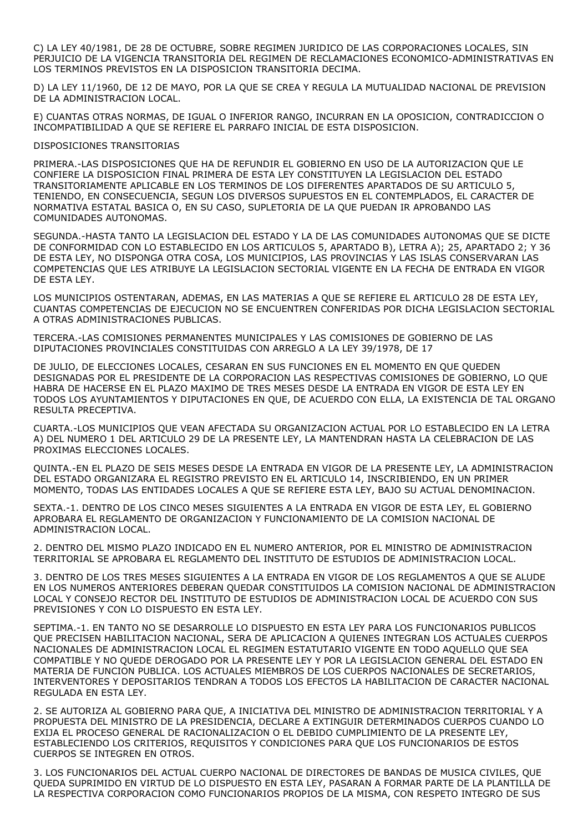C) LA LEY 40/1981, DE 28 DE OCTUBRE, SOBRE REGIMEN JURIDICO DE LAS CORPORACIONES LOCALES, SIN PERJUICIO DE LA VIGENCIA TRANSITORIA DEL REGIMEN DE RECLAMACIONES ECONOMICO-ADMINISTRATIVAS EN LOS TERMINOS PREVISTOS EN LA DISPOSICION TRANSITORIA DECIMA.

D) LA LEY 11/1960, DE 12 DE MAYO, POR LA QUE SE CREA Y REGULA LA MUTUALIDAD NACIONAL DE PREVISION DE LA ADMINISTRACION LOCAL.

E) CUANTAS OTRAS NORMAS, DE IGUAL O INFERIOR RANGO, INCURRAN EN LA OPOSICION, CONTRADICCION O INCOMPATIBILIDAD A QUE SE REFIERE EL PARRAFO INICIAL DE ESTA DISPOSICION.

#### DISPOSICIONES TRANSITORIAS

PRIMERA.-LAS DISPOSICIONES QUE HA DE REFUNDIR EL GOBIERNO EN USO DE LA AUTORIZACION QUE LE CONFIERE LA DISPOSICION FINAL PRIMERA DE ESTA LEY CONSTITUYEN LA LEGISLACION DEL ESTADO TRANSITORIAMENTE APLICABLE EN LOS TERMINOS DE LOS DIFERENTES APARTADOS DE SU ARTICULO 5, TENIENDO, EN CONSECUENCIA, SEGUN LOS DIVERSOS SUPUESTOS EN EL CONTEMPLADOS, EL CARACTER DE NORMATIVA ESTATAL BASICA O, EN SU CASO, SUPLETORIA DE LA QUE PUEDAN IR APROBANDO LAS COMUNIDADES AUTONOMAS.

SEGUNDA.-HASTA TANTO LA LEGISLACION DEL ESTADO Y LA DE LAS COMUNIDADES AUTONOMAS QUE SE DICTE DE CONFORMIDAD CON LO ESTABLECIDO EN LOS ARTICULOS 5, APARTADO B), LETRA A); 25, APARTADO 2; Y 36 DE ESTA LEY, NO DISPONGA OTRA COSA, LOS MUNICIPIOS, LAS PROVINCIAS Y LAS ISLAS CONSERVARAN LAS COMPETENCIAS QUE LES ATRIBUYE LA LEGISLACION SECTORIAL VIGENTE EN LA FECHA DE ENTRADA EN VIGOR DE ESTA LEY.

LOS MUNICIPIOS OSTENTARAN, ADEMAS, EN LAS MATERIAS A QUE SE REFIERE EL ARTICULO 28 DE ESTA LEY, CUANTAS COMPETENCIAS DE EJECUCION NO SE ENCUENTREN CONFERIDAS POR DICHA LEGISLACION SECTORIAL A OTRAS ADMINISTRACIONES PUBLICAS.

TERCERA.-LAS COMISIONES PERMANENTES MUNICIPALES Y LAS COMISIONES DE GOBIERNO DE LAS DIPUTACIONES PROVINCIALES CONSTITUIDAS CON ARREGLO A LA LEY 39/1978, DE 17

DE JULIO, DE ELECCIONES LOCALES, CESARAN EN SUS FUNCIONES EN EL MOMENTO EN QUE QUEDEN DESIGNADAS POR EL PRESIDENTE DE LA CORPORACION LAS RESPECTIVAS COMISIONES DE GOBIERNO, LO QUE HABRA DE HACERSE EN EL PLAZO MAXIMO DE TRES MESES DESDE LA ENTRADA EN VIGOR DE ESTA LEY EN TODOS LOS AYUNTAMIENTOS Y DIPUTACIONES EN QUE, DE ACUERDO CON ELLA, LA EXISTENCIA DE TAL ORGANO RESULTA PRECEPTIVA.

CUARTA.-LOS MUNICIPIOS QUE VEAN AFECTADA SU ORGANIZACION ACTUAL POR LO ESTABLECIDO EN LA LETRA A) DEL NUMERO 1 DEL ARTICULO 29 DE LA PRESENTE LEY, LA MANTENDRAN HASTA LA CELEBRACION DE LAS PROXIMAS ELECCIONES LOCALES.

QUINTA.-EN EL PLAZO DE SEIS MESES DESDE LA ENTRADA EN VIGOR DE LA PRESENTE LEY, LA ADMINISTRACION DEL ESTADO ORGANIZARA EL REGISTRO PREVISTO EN EL ARTICULO 14, INSCRIBIENDO, EN UN PRIMER MOMENTO, TODAS LAS ENTIDADES LOCALES A QUE SE REFIERE ESTA LEY, BAJO SU ACTUAL DENOMINACION.

SEXTA.-1. DENTRO DE LOS CINCO MESES SIGUIENTES A LA ENTRADA EN VIGOR DE ESTA LEY, EL GOBIERNO APROBARA EL REGLAMENTO DE ORGANIZACION Y FUNCIONAMIENTO DE LA COMISION NACIONAL DE ADMINISTRACION LOCAL.

2. DENTRO DEL MISMO PLAZO INDICADO EN EL NUMERO ANTERIOR, POR EL MINISTRO DE ADMINISTRACION TERRITORIAL SE APROBARA EL REGLAMENTO DEL INSTITUTO DE ESTUDIOS DE ADMINISTRACION LOCAL.

3. DENTRO DE LOS TRES MESES SIGUIENTES A LA ENTRADA EN VIGOR DE LOS REGLAMENTOS A QUE SE ALUDE EN LOS NUMEROS ANTERIORES DEBERAN QUEDAR CONSTITUIDOS LA COMISION NACIONAL DE ADMINISTRACION LOCAL Y CONSEJO RECTOR DEL INSTITUTO DE ESTUDIOS DE ADMINISTRACION LOCAL DE ACUERDO CON SUS PREVISIONES Y CON LO DISPUESTO EN ESTA LEY.

SEPTIMA.-1. EN TANTO NO SE DESARROLLE LO DISPUESTO EN ESTA LEY PARA LOS FUNCIONARIOS PUBLICOS QUE PRECISEN HABILITACION NACIONAL, SERA DE APLICACION A QUIENES INTEGRAN LOS ACTUALES CUERPOS NACIONALES DE ADMINISTRACION LOCAL EL REGIMEN ESTATUTARIO VIGENTE EN TODO AQUELLO QUE SEA COMPATIBLE Y NO QUEDE DEROGADO POR LA PRESENTE LEY Y POR LA LEGISLACION GENERAL DEL ESTADO EN MATERIA DE FUNCION PUBLICA. LOS ACTUALES MIEMBROS DE LOS CUERPOS NACIONALES DE SECRETARIOS, INTERVENTORES Y DEPOSITARIOS TENDRAN A TODOS LOS EFECTOS LA HABILITACION DE CARACTER NACIONAL REGULADA EN ESTA LEY.

2. SE AUTORIZA AL GOBIERNO PARA QUE, A INICIATIVA DEL MINISTRO DE ADMINISTRACION TERRITORIAL Y A PROPUESTA DEL MINISTRO DE LA PRESIDENCIA, DECLARE A EXTINGUIR DETERMINADOS CUERPOS CUANDO LO EXIJA EL PROCESO GENERAL DE RACIONALIZACION O EL DEBIDO CUMPLIMIENTO DE LA PRESENTE LEY, ESTABLECIENDO LOS CRITERIOS, REQUISITOS Y CONDICIONES PARA QUE LOS FUNCIONARIOS DE ESTOS CUERPOS SE INTEGREN EN OTROS.

3. LOS FUNCIONARIOS DEL ACTUAL CUERPO NACIONAL DE DIRECTORES DE BANDAS DE MUSICA CIVILES, QUE QUEDA SUPRIMIDO EN VIRTUD DE LO DISPUESTO EN ESTA LEY, PASARAN A FORMAR PARTE DE LA PLANTILLA DE LA RESPECTIVA CORPORACION COMO FUNCIONARIOS PROPIOS DE LA MISMA, CON RESPETO INTEGRO DE SUS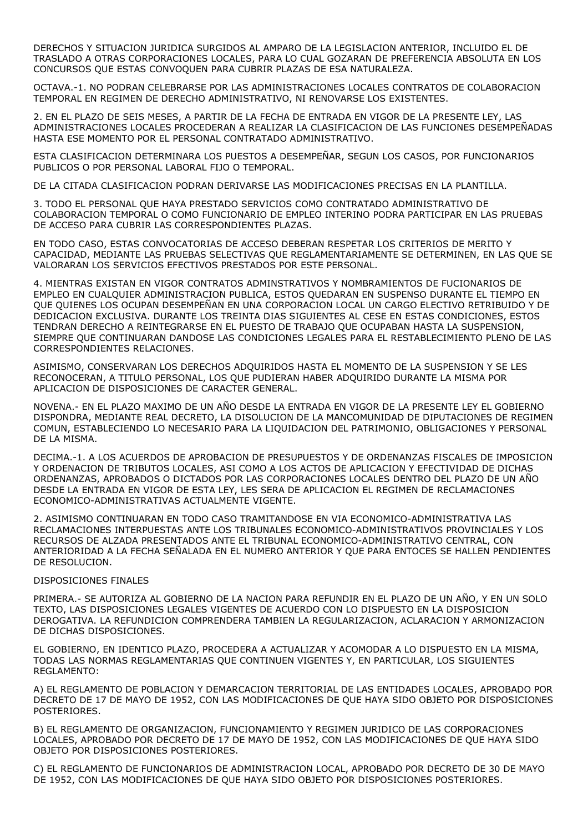DERECHOS Y SITUACION JURIDICA SURGIDOS AL AMPARO DE LA LEGISLACION ANTERIOR, INCLUIDO EL DE TRASLADO A OTRAS CORPORACIONES LOCALES, PARA LO CUAL GOZARAN DE PREFERENCIA ABSOLUTA EN LOS CONCURSOS QUE ESTAS CONVOQUEN PARA CUBRIR PLAZAS DE ESA NATURALEZA.

OCTAVA.-1. NO PODRAN CELEBRARSE POR LAS ADMINISTRACIONES LOCALES CONTRATOS DE COLABORACION TEMPORAL EN REGIMEN DE DERECHO ADMINISTRATIVO, NI RENOVARSE LOS EXISTENTES.

2. EN EL PLAZO DE SEIS MESES, A PARTIR DE LA FECHA DE ENTRADA EN VIGOR DE LA PRESENTE LEY, LAS ADMINISTRACIONES LOCALES PROCEDERAN A REALIZAR LA CLASIFICACION DE LAS FUNCIONES DESEMPEÑADAS HASTA ESE MOMENTO POR EL PERSONAL CONTRATADO ADMINISTRATIVO.

ESTA CLASIFICACION DETERMINARA LOS PUESTOS A DESEMPEÑAR, SEGUN LOS CASOS, POR FUNCIONARIOS PUBLICOS O POR PERSONAL LABORAL FIJO O TEMPORAL.

DE LA CITADA CLASIFICACION PODRAN DERIVARSE LAS MODIFICACIONES PRECISAS EN LA PLANTILLA.

3. TODO EL PERSONAL QUE HAYA PRESTADO SERVICIOS COMO CONTRATADO ADMINISTRATIVO DE COLABORACION TEMPORAL O COMO FUNCIONARIO DE EMPLEO INTERINO PODRA PARTICIPAR EN LAS PRUEBAS DE ACCESO PARA CUBRIR LAS CORRESPONDIENTES PLAZAS.

EN TODO CASO, ESTAS CONVOCATORIAS DE ACCESO DEBERAN RESPETAR LOS CRITERIOS DE MERITO Y CAPACIDAD, MEDIANTE LAS PRUEBAS SELECTIVAS QUE REGLAMENTARIAMENTE SE DETERMINEN, EN LAS QUE SE VALORARAN LOS SERVICIOS EFECTIVOS PRESTADOS POR ESTE PERSONAL.

4. MIENTRAS EXISTAN EN VIGOR CONTRATOS ADMINSTRATIVOS Y NOMBRAMIENTOS DE FUCIONARIOS DE EMPLEO EN CUALQUIER ADMINISTRACION PUBLICA, ESTOS QUEDARAN EN SUSPENSO DURANTE EL TIEMPO EN QUE QUIENES LOS OCUPAN DESEMPEÑAN EN UNA CORPORACION LOCAL UN CARGO ELECTIVO RETRIBUIDO Y DE DEDICACION EXCLUSIVA. DURANTE LOS TREINTA DIAS SIGUIENTES AL CESE EN ESTAS CONDICIONES, ESTOS TENDRAN DERECHO A REINTEGRARSE EN EL PUESTO DE TRABAJO QUE OCUPABAN HASTA LA SUSPENSION, SIEMPRE QUE CONTINUARAN DANDOSE LAS CONDICIONES LEGALES PARA EL RESTABLECIMIENTO PLENO DE LAS CORRESPONDIENTES RELACIONES.

ASIMISMO, CONSERVARAN LOS DERECHOS ADQUIRIDOS HASTA EL MOMENTO DE LA SUSPENSION Y SE LES RECONOCERAN, A TITULO PERSONAL, LOS QUE PUDIERAN HABER ADQUIRIDO DURANTE LA MISMA POR APLICACION DE DISPOSICIONES DE CARACTER GENERAL.

NOVENA.- EN EL PLAZO MAXIMO DE UN AÑO DESDE LA ENTRADA EN VIGOR DE LA PRESENTE LEY EL GOBIERNO DISPONDRA, MEDIANTE REAL DECRETO, LA DISOLUCION DE LA MANCOMUNIDAD DE DIPUTACIONES DE REGIMEN COMUN, ESTABLECIENDO LO NECESARIO PARA LA LIQUIDACION DEL PATRIMONIO, OBLIGACIONES Y PERSONAL DE LA MISMA.

DECIMA.-1. A LOS ACUERDOS DE APROBACION DE PRESUPUESTOS Y DE ORDENANZAS FISCALES DE IMPOSICION Y ORDENACION DE TRIBUTOS LOCALES, ASI COMO A LOS ACTOS DE APLICACION Y EFECTIVIDAD DE DICHAS ORDENANZAS, APROBADOS O DICTADOS POR LAS CORPORACIONES LOCALES DENTRO DEL PLAZO DE UN AÑO DESDE LA ENTRADA EN VIGOR DE ESTA LEY, LES SERA DE APLICACION EL REGIMEN DE RECLAMACIONES ECONOMICO-ADMINISTRATIVAS ACTUALMENTE VIGENTE.

2. ASIMISMO CONTINUARAN EN TODO CASO TRAMITANDOSE EN VIA ECONOMICO-ADMINISTRATIVA LAS RECLAMACIONES INTERPUESTAS ANTE LOS TRIBUNALES ECONOMICO-ADMINISTRATIVOS PROVINCIALES Y LOS RECURSOS DE ALZADA PRESENTADOS ANTE EL TRIBUNAL ECONOMICO-ADMINISTRATIVO CENTRAL, CON ANTERIORIDAD A LA FECHA SEÑALADA EN EL NUMERO ANTERIOR Y QUE PARA ENTOCES SE HALLEN PENDIENTES DE RESOLUCION.

#### DISPOSICIONES FINALES

PRIMERA.- SE AUTORIZA AL GOBIERNO DE LA NACION PARA REFUNDIR EN EL PLAZO DE UN AÑO, Y EN UN SOLO TEXTO, LAS DISPOSICIONES LEGALES VIGENTES DE ACUERDO CON LO DISPUESTO EN LA DISPOSICION DEROGATIVA. LA REFUNDICION COMPRENDERA TAMBIEN LA REGULARIZACION, ACLARACION Y ARMONIZACION DE DICHAS DISPOSICIONES.

EL GOBIERNO, EN IDENTICO PLAZO, PROCEDERA A ACTUALIZAR Y ACOMODAR A LO DISPUESTO EN LA MISMA, TODAS LAS NORMAS REGLAMENTARIAS QUE CONTINUEN VIGENTES Y, EN PARTICULAR, LOS SIGUIENTES REGLAMENTO:

A) EL REGLAMENTO DE POBLACION Y DEMARCACION TERRITORIAL DE LAS ENTIDADES LOCALES, APROBADO POR DECRETO DE 17 DE MAYO DE 1952, CON LAS MODIFICACIONES DE QUE HAYA SIDO OBJETO POR DISPOSICIONES POSTERIORES.

B) EL REGLAMENTO DE ORGANIZACION, FUNCIONAMIENTO Y REGIMEN JURIDICO DE LAS CORPORACIONES LOCALES, APROBADO POR DECRETO DE 17 DE MAYO DE 1952, CON LAS MODIFICACIONES DE QUE HAYA SIDO OBJETO POR DISPOSICIONES POSTERIORES.

C) EL REGLAMENTO DE FUNCIONARIOS DE ADMINISTRACION LOCAL, APROBADO POR DECRETO DE 30 DE MAYO DE 1952, CON LAS MODIFICACIONES DE QUE HAYA SIDO OBJETO POR DISPOSICIONES POSTERIORES.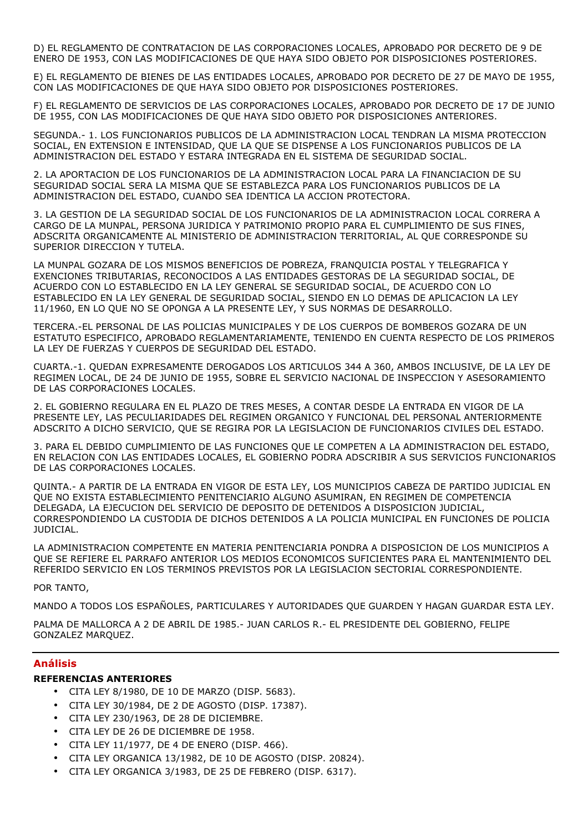D) EL REGLAMENTO DE CONTRATACION DE LAS CORPORACIONES LOCALES, APROBADO POR DECRETO DE 9 DE ENERO DE 1953, CON LAS MODIFICACIONES DE QUE HAYA SIDO OBJETO POR DISPOSICIONES POSTERIORES.

E) EL REGLAMENTO DE BIENES DE LAS ENTIDADES LOCALES, APROBADO POR DECRETO DE 27 DE MAYO DE 1955, CON LAS MODIFICACIONES DE QUE HAYA SIDO OBJETO POR DISPOSICIONES POSTERIORES.

F) EL REGLAMENTO DE SERVICIOS DE LAS CORPORACIONES LOCALES, APROBADO POR DECRETO DE 17 DE JUNIO DE 1955, CON LAS MODIFICACIONES DE QUE HAYA SIDO OBJETO POR DISPOSICIONES ANTERIORES.

SEGUNDA.- 1. LOS FUNCIONARIOS PUBLICOS DE LA ADMINISTRACION LOCAL TENDRAN LA MISMA PROTECCION SOCIAL, EN EXTENSION E INTENSIDAD, QUE LA QUE SE DISPENSE A LOS FUNCIONARIOS PUBLICOS DE LA ADMINISTRACION DEL ESTADO Y ESTARA INTEGRADA EN EL SISTEMA DE SEGURIDAD SOCIAL.

2. LA APORTACION DE LOS FUNCIONARIOS DE LA ADMINISTRACION LOCAL PARA LA FINANCIACION DE SU SEGURIDAD SOCIAL SERA LA MISMA QUE SE ESTABLEZCA PARA LOS FUNCIONARIOS PUBLICOS DE LA ADMINISTRACION DEL ESTADO, CUANDO SEA IDENTICA LA ACCION PROTECTORA.

3. LA GESTION DE LA SEGURIDAD SOCIAL DE LOS FUNCIONARIOS DE LA ADMINISTRACION LOCAL CORRERA A CARGO DE LA MUNPAL, PERSONA JURIDICA Y PATRIMONIO PROPIO PARA EL CUMPLIMIENTO DE SUS FINES, ADSCRITA ORGANICAMENTE AL MINISTERIO DE ADMINISTRACION TERRITORIAL, AL QUE CORRESPONDE SU SUPERIOR DIRECCION Y TUTELA.

LA MUNPAL GOZARA DE LOS MISMOS BENEFICIOS DE POBREZA, FRANQUICIA POSTAL Y TELEGRAFICA Y EXENCIONES TRIBUTARIAS, RECONOCIDOS A LAS ENTIDADES GESTORAS DE LA SEGURIDAD SOCIAL, DE ACUERDO CON LO ESTABLECIDO EN LA LEY GENERAL SE SEGURIDAD SOCIAL, DE ACUERDO CON LO ESTABLECIDO EN LA LEY GENERAL DE SEGURIDAD SOCIAL, SIENDO EN LO DEMAS DE APLICACION LA LEY 11/1960, EN LO QUE NO SE OPONGA A LA PRESENTE LEY, Y SUS NORMAS DE DESARROLLO.

TERCERA.-EL PERSONAL DE LAS POLICIAS MUNICIPALES Y DE LOS CUERPOS DE BOMBEROS GOZARA DE UN ESTATUTO ESPECIFICO, APROBADO REGLAMENTARIAMENTE, TENIENDO EN CUENTA RESPECTO DE LOS PRIMEROS LA LEY DE FUERZAS Y CUERPOS DE SEGURIDAD DEL ESTADO.

CUARTA.-1. QUEDAN EXPRESAMENTE DEROGADOS LOS ARTICULOS 344 A 360, AMBOS INCLUSIVE, DE LA LEY DE REGIMEN LOCAL, DE 24 DE JUNIO DE 1955, SOBRE EL SERVICIO NACIONAL DE INSPECCION Y ASESORAMIENTO DE LAS CORPORACIONES LOCALES.

2. EL GOBIERNO REGULARA EN EL PLAZO DE TRES MESES, A CONTAR DESDE LA ENTRADA EN VIGOR DE LA PRESENTE LEY, LAS PECULIARIDADES DEL REGIMEN ORGANICO Y FUNCIONAL DEL PERSONAL ANTERIORMENTE ADSCRITO A DICHO SERVICIO, QUE SE REGIRA POR LA LEGISLACION DE FUNCIONARIOS CIVILES DEL ESTADO.

3. PARA EL DEBIDO CUMPLIMIENTO DE LAS FUNCIONES QUE LE COMPETEN A LA ADMINISTRACION DEL ESTADO, EN RELACION CON LAS ENTIDADES LOCALES, EL GOBIERNO PODRA ADSCRIBIR A SUS SERVICIOS FUNCIONARIOS DE LAS CORPORACIONES LOCALES.

QUINTA.- A PARTIR DE LA ENTRADA EN VIGOR DE ESTA LEY, LOS MUNICIPIOS CABEZA DE PARTIDO JUDICIAL EN QUE NO EXISTA ESTABLECIMIENTO PENITENCIARIO ALGUNO ASUMIRAN, EN REGIMEN DE COMPETENCIA DELEGADA, LA EJECUCION DEL SERVICIO DE DEPOSITO DE DETENIDOS A DISPOSICION JUDICIAL, CORRESPONDIENDO LA CUSTODIA DE DICHOS DETENIDOS A LA POLICIA MUNICIPAL EN FUNCIONES DE POLICIA JUDICIAL.

LA ADMINISTRACION COMPETENTE EN MATERIA PENITENCIARIA PONDRA A DISPOSICION DE LOS MUNICIPIOS A QUE SE REFIERE EL PARRAFO ANTERIOR LOS MEDIOS ECONOMICOS SUFICIENTES PARA EL MANTENIMIENTO DEL REFERIDO SERVICIO EN LOS TERMINOS PREVISTOS POR LA LEGISLACION SECTORIAL CORRESPONDIENTE.

# POR TANTO,

MANDO A TODOS LOS ESPAÑOLES, PARTICULARES Y AUTORIDADES QUE GUARDEN Y HAGAN GUARDAR ESTA LEY.

PALMA DE MALLORCA A 2 DE ABRIL DE 1985.- JUAN CARLOS R.- EL PRESIDENTE DEL GOBIERNO, FELIPE GONZALEZ MARQUEZ.

# Análisis

# REFERENCIAS ANTERIORES

- CITA LEY 8/1980, DE 10 DE MARZO (DISP. 5683).
- CITA LEY 30/1984, DE 2 DE AGOSTO (DISP. 17387).
- CITA LEY 230/1963, DE 28 DE DICIEMBRE.
- CITA LEY DE 26 DE DICIEMBRE DE 1958.
- CITA LEY 11/1977, DE 4 DE ENERO (DISP. 466).
- CITA LEY ORGANICA 13/1982, DE 10 DE AGOSTO (DISP. 20824).
- CITA LEY ORGANICA 3/1983, DE 25 DE FEBRERO (DISP. 6317).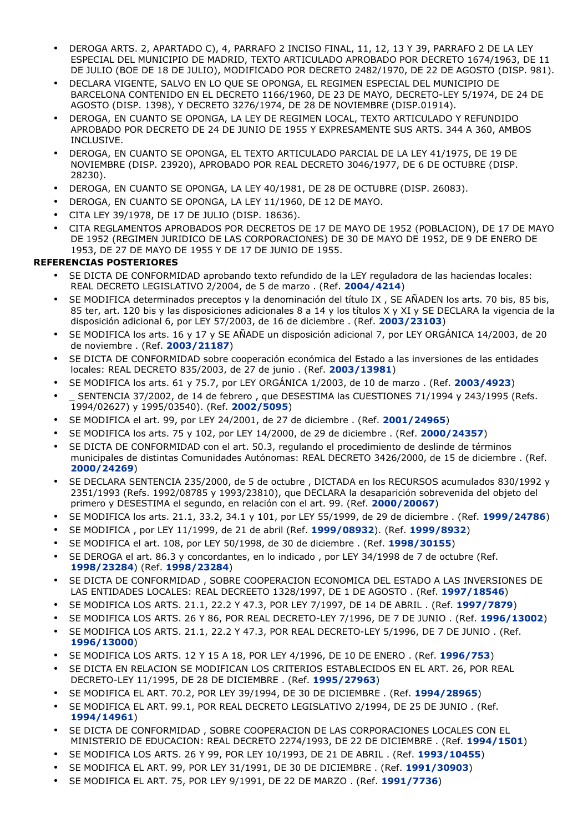- DEROGA ARTS. 2, APARTADO C), 4, PARRAFO 2 INCISO FINAL, 11, 12, 13 Y 39, PARRAFO 2 DE LA LEY ESPECIAL DEL MUNICIPIO DE MADRID, TEXTO ARTICULADO APROBADO POR DECRETO 1674/1963, DE 11 DE JULIO (BOE DE 18 DE JULIO), MODIFICADO POR DECRETO 2482/1970, DE 22 DE AGOSTO (DISP. 981).
- DECLARA VIGENTE, SALVO EN LO QUE SE OPONGA, EL REGIMEN ESPECIAL DEL MUNICIPIO DE BARCELONA CONTENIDO EN EL DECRETO 1166/1960, DE 23 DE MAYO, DECRETO-LEY 5/1974, DE 24 DE AGOSTO (DISP. 1398), Y DECRETO 3276/1974, DE 28 DE NOVIEMBRE (DISP.01914).
- DEROGA, EN CUANTO SE OPONGA, LA LEY DE REGIMEN LOCAL, TEXTO ARTICULADO Y REFUNDIDO APROBADO POR DECRETO DE 24 DE JUNIO DE 1955 Y EXPRESAMENTE SUS ARTS. 344 A 360, AMBOS INCLUSIVE.
- DEROGA, EN CUANTO SE OPONGA, EL TEXTO ARTICULADO PARCIAL DE LA LEY 41/1975, DE 19 DE NOVIEMBRE (DISP. 23920), APROBADO POR REAL DECRETO 3046/1977, DE 6 DE OCTUBRE (DISP. 28230).
- DEROGA, EN CUANTO SE OPONGA, LA LEY 40/1981, DE 28 DE OCTUBRE (DISP. 26083).
- DEROGA, EN CUANTO SE OPONGA, LA LEY 11/1960, DE 12 DE MAYO.
- CITA LEY 39/1978, DE 17 DE JULIO (DISP. 18636).
- CITA REGLAMENTOS APROBADOS POR DECRETOS DE 17 DE MAYO DE 1952 (POBLACION), DE 17 DE MAYO DE 1952 (REGIMEN JURIDICO DE LAS CORPORACIONES) DE 30 DE MAYO DE 1952, DE 9 DE ENERO DE 1953, DE 27 DE MAYO DE 1955 Y DE 17 DE JUNIO DE 1955.

# REFERENCIAS POSTERIORES

- SE DICTA DE CONFORMIDAD aprobando texto refundido de la LEY reguladora de las haciendas locales: REAL DECRETO LEGISLATIVO 2/2004, de 5 de marzo . (Ref. 2004/4214)
- SE MODIFICA determinados preceptos y la denominación del título IX , SE AÑADEN los arts. 70 bis, 85 bis, 85 ter, art. 120 bis y las disposiciones adicionales 8 a 14 y los títulos X y XI y SE DECLARA la vigencia de la disposición adicional 6, por LEY 57/2003, de 16 de diciembre . (Ref. 2003/23103)
- SE MODIFICA los arts. 16 y 17 y SE AÑADE un disposición adicional 7, por LEY ORGÁNICA 14/2003, de 20 de noviembre . (Ref. 2003/21187)
- SE DICTA DE CONFORMIDAD sobre cooperación económica del Estado a las inversiones de las entidades locales: REAL DECRETO 835/2003, de 27 de junio . (Ref. 2003/13981)
- SE MODIFICA los arts. 61 y 75.7, por LEY ORGÁNICA 1/2003, de 10 de marzo . (Ref. 2003/4923)
- SENTENCIA 37/2002, de 14 de febrero , que DESESTIMA las CUESTIONES 71/1994 y 243/1995 (Refs. 1994/02627) y 1995/03540). (Ref. 2002/5095)
- SE MODIFICA el art. 99, por LEY 24/2001, de 27 de diciembre . (Ref. 2001/24965)
- SE MODIFICA los arts. 75 y 102, por LEY 14/2000, de 29 de diciembre . (Ref. 2000/24357)
- SE DICTA DE CONFORMIDAD con el art. 50.3, regulando el procedimiento de deslinde de términos municipales de distintas Comunidades Autónomas: REAL DECRETO 3426/2000, de 15 de diciembre . (Ref. 2000/24269)
- SE DECLARA SENTENCIA 235/2000, de 5 de octubre , DICTADA en los RECURSOS acumulados 830/1992 y 2351/1993 (Refs. 1992/08785 y 1993/23810), que DECLARA la desaparición sobrevenida del objeto del primero y DESESTIMA el segundo, en relación con el art. 99. (Ref. 2000/20067)
- SE MODIFICA los arts. 21.1, 33.2, 34.1 y 101, por LEY 55/1999, de 29 de diciembre . (Ref. 1999/24786)
- SE MODIFICA , por LEY 11/1999, de 21 de abril (Ref. 1999/08932). (Ref. 1999/8932)
- SE MODIFICA el art. 108, por LEY 50/1998, de 30 de diciembre . (Ref. 1998/30155)
- SE DEROGA el art. 86.3 y concordantes, en lo indicado , por LEY 34/1998 de 7 de octubre (Ref. 1998/23284) (Ref. 1998/23284)
- SE DICTA DE CONFORMIDAD , SOBRE COOPERACION ECONOMICA DEL ESTADO A LAS INVERSIONES DE LAS ENTIDADES LOCALES: REAL DECREETO 1328/1997, DE 1 DE AGOSTO . (Ref. 1997/18546)
- SE MODIFICA LOS ARTS. 21.1, 22.2 Y 47.3, POR LEY 7/1997, DE 14 DE ABRIL . (Ref. 1997/7879)
- SE MODIFICA LOS ARTS. 26 Y 86, POR REAL DECRETO-LEY 7/1996, DE 7 DE JUNIO . (Ref. 1996/13002)
- SE MODIFICA LOS ARTS. 21.1, 22.2 Y 47.3, POR REAL DECRETO-LEY 5/1996, DE 7 DE JUNIO . (Ref. 1996/13000)
- SE MODIFICA LOS ARTS. 12 Y 15 A 18, POR LEY 4/1996, DE 10 DE ENERO . (Ref. 1996/753)
- SE DICTA EN RELACION SE MODIFICAN LOS CRITERIOS ESTABLECIDOS EN EL ART. 26, POR REAL DECRETO-LEY 11/1995, DE 28 DE DICIEMBRE . (Ref. 1995/27963)
- SE MODIFICA EL ART. 70.2, POR LEY 39/1994, DE 30 DE DICIEMBRE . (Ref. 1994/28965)
- SE MODIFICA EL ART. 99.1, POR REAL DECRETO LEGISLATIVO 2/1994, DE 25 DE JUNIO . (Ref. 1994/14961)
- SE DICTA DE CONFORMIDAD , SOBRE COOPERACION DE LAS CORPORACIONES LOCALES CON EL MINISTERIO DE EDUCACION: REAL DECRETO 2274/1993, DE 22 DE DICIEMBRE . (Ref. 1994/1501)
- SE MODIFICA LOS ARTS. 26 Y 99, POR LEY 10/1993, DE 21 DE ABRIL . (Ref. 1993/10455)
- SE MODIFICA EL ART. 99, POR LEY 31/1991, DE 30 DE DICIEMBRE . (Ref. 1991/30903)
- SE MODIFICA EL ART. 75, POR LEY 9/1991, DE 22 DE MARZO . (Ref. 1991/7736)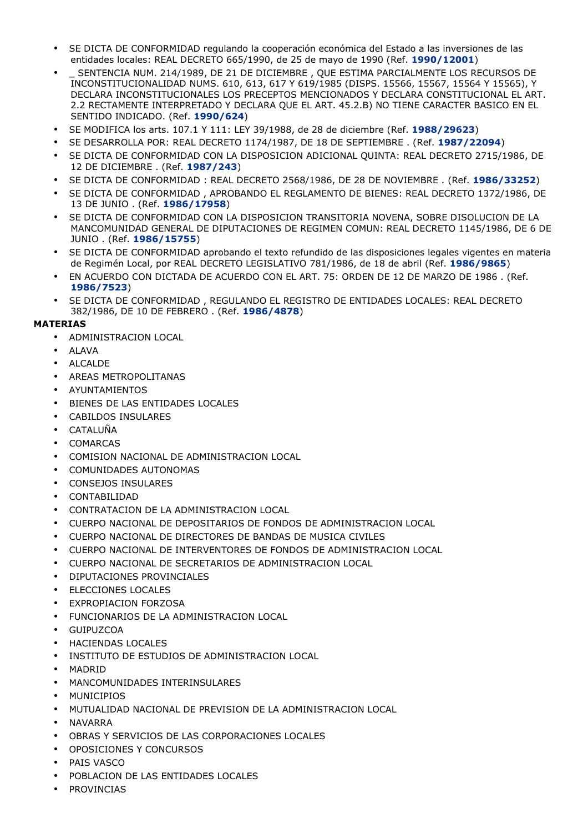- SE DICTA DE CONFORMIDAD regulando la cooperación económica del Estado a las inversiones de las entidades locales: REAL DECRETO 665/1990, de 25 de mayo de 1990 (Ref. 1990/12001)
- SENTENCIA NUM. 214/1989, DE 21 DE DICIEMBRE, QUE ESTIMA PARCIALMENTE LOS RECURSOS DE INCONSTITUCIONALIDAD NUMS. 610, 613, 617 Y 619/1985 (DISPS. 15566, 15567, 15564 Y 15565), Y DECLARA INCONSTITUCIONALES LOS PRECEPTOS MENCIONADOS Y DECLARA CONSTITUCIONAL EL ART. 2.2 RECTAMENTE INTERPRETADO Y DECLARA QUE EL ART. 45.2.B) NO TIENE CARACTER BASICO EN EL SENTIDO INDICADO. (Ref. 1990/624)
- SE MODIFICA los arts. 107.1 Y 111: LEY 39/1988, de 28 de diciembre (Ref. 1988/29623)
- SE DESARROLLA POR: REAL DECRETO 1174/1987, DE 18 DE SEPTIEMBRE . (Ref. 1987/22094)
- SE DICTA DE CONFORMIDAD CON LA DISPOSICION ADICIONAL QUINTA: REAL DECRETO 2715/1986, DE 12 DE DICIEMBRE . (Ref. 1987/243)
- SE DICTA DE CONFORMIDAD : REAL DECRETO 2568/1986, DE 28 DE NOVIEMBRE . (Ref. 1986/33252)
- SE DICTA DE CONFORMIDAD , APROBANDO EL REGLAMENTO DE BIENES: REAL DECRETO 1372/1986, DE 13 DE JUNIO . (Ref. 1986/17958)
- SE DICTA DE CONFORMIDAD CON LA DISPOSICION TRANSITORIA NOVENA, SOBRE DISOLUCION DE LA MANCOMUNIDAD GENERAL DE DIPUTACIONES DE REGIMEN COMUN: REAL DECRETO 1145/1986, DE 6 DE JUNIO . (Ref. 1986/15755)
- SE DICTA DE CONFORMIDAD aprobando el texto refundido de las disposiciones legales vigentes en materia de Regimén Local, por REAL DECRETO LEGISLATIVO 781/1986, de 18 de abril (Ref. 1986/9865)
- EN ACUERDO CON DICTADA DE ACUERDO CON EL ART. 75: ORDEN DE 12 DE MARZO DE 1986 . (Ref. 1986/7523)
- SE DICTA DE CONFORMIDAD , REGULANDO EL REGISTRO DE ENTIDADES LOCALES: REAL DECRETO 382/1986, DE 10 DE FEBRERO . (Ref. 1986/4878)

# MATERIAS

- ADMINISTRACION LOCAL
- ALAVA
- ALCALDE
- AREAS METROPOLITANAS
- AYUNTAMIENTOS
- BIENES DE LAS ENTIDADES LOCALES
- CABILDOS INSULARES
- **CATALUÑA**
- **COMARCAS**
- COMISION NACIONAL DE ADMINISTRACION LOCAL
- COMUNIDADES AUTONOMAS
- CONSEJOS INSULARES
- CONTABILIDAD
- CONTRATACION DE LA ADMINISTRACION LOCAL
- CUERPO NACIONAL DE DEPOSITARIOS DE FONDOS DE ADMINISTRACION LOCAL
- CUERPO NACIONAL DE DIRECTORES DE BANDAS DE MUSICA CIVILES
- CUERPO NACIONAL DE INTERVENTORES DE FONDOS DE ADMINISTRACION LOCAL
- CUERPO NACIONAL DE SECRETARIOS DE ADMINISTRACION LOCAL
- DIPUTACIONES PROVINCIALES
- **ELECCIONES LOCALES**
- EXPROPIACION FORZOSA
- FUNCIONARIOS DE LA ADMINISTRACION LOCAL
- GUIPUZCOA
- HACIENDAS LOCALES
- INSTITUTO DE ESTUDIOS DE ADMINISTRACION LOCAL
- MADRID
- MANCOMUNIDADES INTERINSULARES
- **MUNICIPIOS**
- MUTUALIDAD NACIONAL DE PREVISION DE LA ADMINISTRACION LOCAL
- NAVARRA
- OBRAS Y SERVICIOS DE LAS CORPORACIONES LOCALES
- OPOSICIONES Y CONCURSOS
- PAIS VASCO
- POBLACION DE LAS ENTIDADES LOCALES
- **PROVINCIAS**